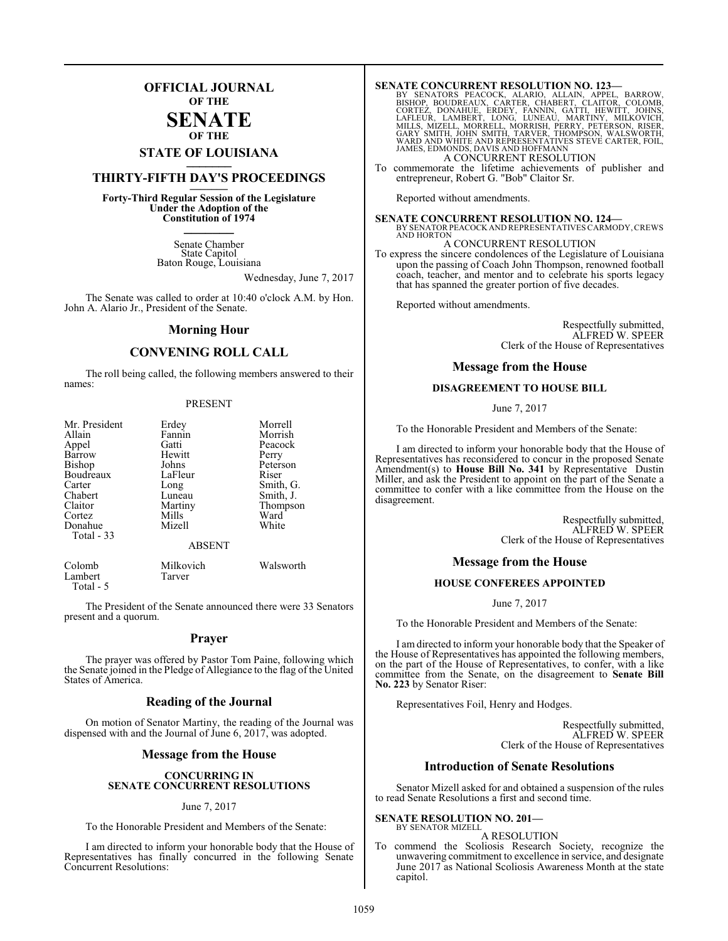## **OFFICIAL JOURNAL OF THE**

#### **SENATE OF THE**

# **STATE OF LOUISIANA \_\_\_\_\_\_\_**

## **THIRTY-FIFTH DAY'S PROCEEDINGS \_\_\_\_\_\_\_**

**Forty-Third Regular Session of the Legislature Under the Adoption of the Constitution of 1974 \_\_\_\_\_\_\_**

> Senate Chamber State Capitol Baton Rouge, Louisiana

> > Wednesday, June 7, 2017

The Senate was called to order at 10:40 o'clock A.M. by Hon. John A. Alario Jr., President of the Senate.

#### **Morning Hour**

#### **CONVENING ROLL CALL**

The roll being called, the following members answered to their names:

#### PRESENT

| Mr. President<br>Allain<br>Appel<br>Barrow<br><b>Bishop</b><br>Boudreaux<br>Carter<br>Chabert<br>Claitor<br>Cortez<br>Donahue<br>Total - 33 | Erdey<br>Fannin<br>Gatti<br>Hewitt<br>Johns<br>LaFleur<br>Long<br>Luneau<br>Martiny<br>Mills<br>Mizell | Morrell<br>Morrish<br>Peacock<br>Perry<br>Peterson<br>Riser<br>Smith, G.<br>Smith, J.<br>Thompson<br>Ward<br>White |
|---------------------------------------------------------------------------------------------------------------------------------------------|--------------------------------------------------------------------------------------------------------|--------------------------------------------------------------------------------------------------------------------|
|                                                                                                                                             | <b>ABSENT</b>                                                                                          |                                                                                                                    |
|                                                                                                                                             |                                                                                                        |                                                                                                                    |

Colomb Milkovich Walsworth Lambert Total - 5

The President of the Senate announced there were 33 Senators present and a quorum.

#### **Prayer**

The prayer was offered by Pastor Tom Paine, following which the Senate joined in the Pledge of Allegiance to the flag of the United States of America.

#### **Reading of the Journal**

On motion of Senator Martiny, the reading of the Journal was dispensed with and the Journal of June 6, 2017, was adopted.

#### **Message from the House**

#### **CONCURRING IN SENATE CONCURRENT RESOLUTIONS**

#### June 7, 2017

To the Honorable President and Members of the Senate:

I am directed to inform your honorable body that the House of Representatives has finally concurred in the following Senate Concurrent Resolutions:

SENATE CONCURRENT RESOLUTION NO. 123—<br>BY SENATORS PEACOCK, ALARIO, ALLAIN, APPEL, BARROW,<br>BISHOP, BOUDREAUX, CARTER, CHABERT, CLAITOR, COLOMB,<br>CORTEZ, DONAHUE, ERDEY, FANNIN, GATTI, HEWITT, JOHNS,<br>LAFLEUR, LAMBERT, LONG, L A CONCURRENT RESOLUTION

To commemorate the lifetime achievements of publisher and entrepreneur, Robert G. "Bob" Claitor Sr.

Reported without amendments.

**SENATE CONCURRENT RESOLUTION NO. 124—** BY SENATOR PEACOCK AND REPRESENTATIVES CARMODY,CREWS AND HORTON

A CONCURRENT RESOLUTION

To express the sincere condolences of the Legislature of Louisiana upon the passing of Coach John Thompson, renowned football coach, teacher, and mentor and to celebrate his sports legacy that has spanned the greater portion of five decades.

Reported without amendments.

Respectfully submitted, ALFRED W. SPEER Clerk of the House of Representatives

#### **Message from the House**

#### **DISAGREEMENT TO HOUSE BILL**

June 7, 2017

To the Honorable President and Members of the Senate:

I am directed to inform your honorable body that the House of Representatives has reconsidered to concur in the proposed Senate Amendment(s) to **House Bill No. 341** by Representative Dustin Miller, and ask the President to appoint on the part of the Senate a committee to confer with a like committee from the House on the disagreement.

> Respectfully submitted, ALFRED W. SPEER Clerk of the House of Representatives

#### **Message from the House**

#### **HOUSE CONFEREES APPOINTED**

June 7, 2017

To the Honorable President and Members of the Senate:

I am directed to inform your honorable body that the Speaker of the House of Representatives has appointed the following members, on the part of the House of Representatives, to confer, with a like committee from the Senate, on the disagreement to **Senate Bill No. 223** by Senator Riser:

Representatives Foil, Henry and Hodges.

Respectfully submitted, ALFRED W. SPEER Clerk of the House of Representatives

#### **Introduction of Senate Resolutions**

Senator Mizell asked for and obtained a suspension of the rules to read Senate Resolutions a first and second time.

#### **SENATE RESOLUTION NO. 201—** BY SENATOR MIZELL

A RESOLUTION

To commend the Scoliosis Research Society, recognize the unwavering commitment to excellence in service, and designate June 2017 as National Scoliosis Awareness Month at the state capitol.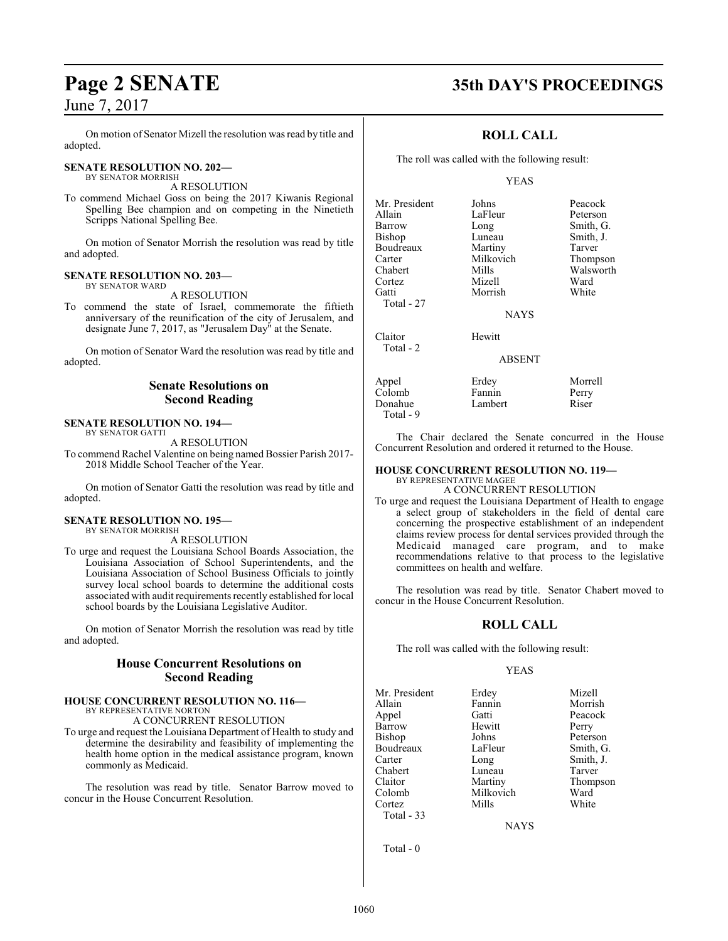On motion of Senator Mizell the resolution was read by title and adopted.

#### **SENATE RESOLUTION NO. 202—** BY SENATOR MORRISH

A RESOLUTION

To commend Michael Goss on being the 2017 Kiwanis Regional Spelling Bee champion and on competing in the Ninetieth Scripps National Spelling Bee.

On motion of Senator Morrish the resolution was read by title and adopted.

**SENATE RESOLUTION NO. 203—** BY SENATOR WARD

A RESOLUTION

To commend the state of Israel, commemorate the fiftieth anniversary of the reunification of the city of Jerusalem, and designate June 7, 2017, as "Jerusalem Day" at the Senate.

On motion of Senator Ward the resolution was read by title and adopted.

### **Senate Resolutions on Second Reading**

#### **SENATE RESOLUTION NO. 194—** BY SENATOR GATTI

A RESOLUTION

To commend Rachel Valentine on being named Bossier Parish 2017- 2018 Middle School Teacher of the Year.

On motion of Senator Gatti the resolution was read by title and adopted.

#### **SENATE RESOLUTION NO. 195—** BY SENATOR MORRISH

A RESOLUTION

To urge and request the Louisiana School Boards Association, the Louisiana Association of School Superintendents, and the Louisiana Association of School Business Officials to jointly survey local school boards to determine the additional costs associated with audit requirements recently established for local school boards by the Louisiana Legislative Auditor.

On motion of Senator Morrish the resolution was read by title and adopted.

## **House Concurrent Resolutions on Second Reading**

#### **HOUSE CONCURRENT RESOLUTION NO. 116—** BY REPRESENTATIVE NORTON

A CONCURRENT RESOLUTION

To urge and request the Louisiana Department of Health to study and determine the desirability and feasibility of implementing the health home option in the medical assistance program, known commonly as Medicaid.

The resolution was read by title. Senator Barrow moved to concur in the House Concurrent Resolution.

# **Page 2 SENATE 35th DAY'S PROCEEDINGS**

## **ROLL CALL**

The roll was called with the following result:

#### YEAS

Luneau Smith, J.<br>Martiny Tarver

Mills Walsworth<br>
Mizell Ward

Mr. President Johns Peacock<br>Allain LaFleur Peterson Allain LaFleur<br>Barrow Long Barrow Long Smith, G.<br>Bishop Luneau Smith, J. Boudreaux Martiny Tarver<br>Carter Milkovich Thompson Carter Milkovich<br>Chabert Mills Cortez Mizell Ward Total - 27 Claitor Hewitt Total - 2

Morrish

**NAYS** 

#### ABSENT

Appel Erdey Morrell Colomb Fannin Perry<br>Donahue Lambert Riser Donahue Total - 9

The Chair declared the Senate concurred in the House Concurrent Resolution and ordered it returned to the House.

#### **HOUSE CONCURRENT RESOLUTION NO. 119—** BY REPRESENTATIVE MAGEE

### A CONCURRENT RESOLUTION

To urge and request the Louisiana Department of Health to engage a select group of stakeholders in the field of dental care concerning the prospective establishment of an independent claims review process for dental services provided through the Medicaid managed care program, and to make recommendations relative to that process to the legislative committees on health and welfare.

The resolution was read by title. Senator Chabert moved to concur in the House Concurrent Resolution.

## **ROLL CALL**

The roll was called with the following result:

#### YEAS

Mr. President Erdey Mizell<br>Allain Fannin Morrish Appel Gatti Peacock Barrow Hewitt Perry<br>Bishop Johns Peters Boudreaux LaFle<br>Carter Long Chabert Luneau<br>Claitor Martiny Claitor Martiny Thompson Colomb Milkovich Ward Cortez Mills White Total - 33

Fannin<br>Gatti Johns Peterson<br>LaFleur Smith, G. Long Smith, J.<br>
Luneau Tarver

**NAYS** 

Total - 0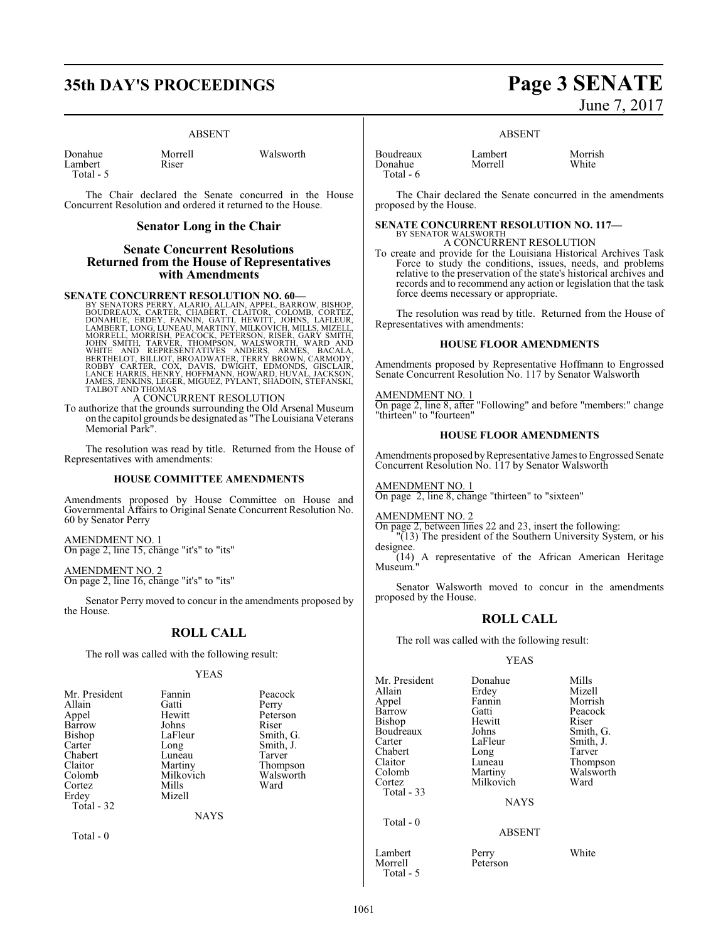# **35th DAY'S PROCEEDINGS Page 3 SENATE**

#### ABSENT

| Donahue   | Morrell | Walsworth |
|-----------|---------|-----------|
| Lambert   | Riser   |           |
| Total - 5 |         |           |

The Chair declared the Senate concurred in the House Concurrent Resolution and ordered it returned to the House.

#### **Senator Long in the Chair**

#### **Senate Concurrent Resolutions Returned from the House of Representatives with Amendments**

**SENATE CONCURRENT RESOLUTION NO. 60**<br>BY SENATORS PERRY, ALARIO, ALLAIN, APPEL, BARROW, BISHOP, BOUDREAUX, CARTER, CHARERT, CLAITOR, COLOMB, CORTEZ,<br>DONAHUE, ERDEY, FAMIN, GATTI, HEWITT, JOHNS, LAFLEUR,<br>LAMBERT, LONG, LUNE JAMES, JENKINS, LEGER, MIGUEZ, PYLANT, SHADOIN, STEFANSKI, TALBOT AND THOMAS

A CONCURRENT RESOLUTION

To authorize that the grounds surrounding the Old Arsenal Museum on the capitol grounds be designated as "The Louisiana Veterans Memorial Park".

The resolution was read by title. Returned from the House of Representatives with amendments:

#### **HOUSE COMMITTEE AMENDMENTS**

Amendments proposed by House Committee on House and Governmental Affairs to Original Senate Concurrent Resolution No. 60 by Senator Perry

AMEND<u>MENT NO. 1</u> On page 2, line 15, change "it's" to "its"

AMENDMENT NO. 2

On page 2, line 16, change "it's" to "its"

Senator Perry moved to concur in the amendments proposed by the House.

#### **ROLL CALL**

The roll was called with the following result:

#### YEAS

| Mr. President | Fannin      | Peacock   |
|---------------|-------------|-----------|
| Allain        | Gatti       | Perry     |
| Appel         | Hewitt      | Peterson  |
| Barrow        | Johns       | Riser     |
| Bishop        | LaFleur     | Smith, G. |
| Carter        | Long        | Smith, J. |
| Chabert       | Luneau      | Tarver    |
| Claitor       | Martiny     | Thompson  |
| Colomb        | Milkovich   | Walsworth |
| Cortez        | Mills       | Ward      |
| Erdey         | Mizell      |           |
| Total - 32    |             |           |
|               | <b>NAYS</b> |           |
|               |             |           |

Total - 0

# June 7, 2017

ABSENT

| Boudreaux | Lambert | Morrish |
|-----------|---------|---------|
| Donahue   | Morrell | White   |
| Total - 6 |         |         |

The Chair declared the Senate concurred in the amendments proposed by the House.

# **SENATE CONCURRENT RESOLUTION NO. 117—**

BY SENATOR WALSWORTH A CONCURRENT RESOLUTION

To create and provide for the Louisiana Historical Archives Task Force to study the conditions, issues, needs, and problems relative to the preservation of the state's historical archives and records and to recommend any action or legislation that the task force deems necessary or appropriate.

The resolution was read by title. Returned from the House of Representatives with amendments:

#### **HOUSE FLOOR AMENDMENTS**

Amendments proposed by Representative Hoffmann to Engrossed Senate Concurrent Resolution No. 117 by Senator Walsworth

#### AMENDMENT NO. 1

On page 2, line 8, after "Following" and before "members:" change "thirteen" to "fourteen"

#### **HOUSE FLOOR AMENDMENTS**

Amendments proposed by Representative James to Engrossed Senate Concurrent Resolution No. 117 by Senator Walsworth

AMENDMENT NO. 1 On page 2, line 8, change "thirteen" to "sixteen"

#### AMENDMENT NO. 2

On page 2, between lines 22 and 23, insert the following: "(13) The president of the Southern University System, or his

designee. (14) A representative of the African American Heritage Museum."

Senator Walsworth moved to concur in the amendments proposed by the House.

#### **ROLL CALL**

The roll was called with the following result:

#### YEAS

| Mr. President<br>Allain<br>Appel<br>Barrow<br>Bishop<br>Boudreaux<br>Carter<br>Chabert<br>Claitor<br>Colomb<br>Cortez | Donahue<br>Erdey<br>Fannin<br>Gatti<br>Hewitt<br>Johns<br>LaFleur<br>Long<br>Luneau<br>Martiny<br>Milkovich | Mills<br>Mizell<br>Morrish<br>Peacock<br>Riser<br>Smith, G.<br>Smith, J.<br>Tarver<br>Thompson<br>Walsworth<br>Ward |
|-----------------------------------------------------------------------------------------------------------------------|-------------------------------------------------------------------------------------------------------------|---------------------------------------------------------------------------------------------------------------------|
| Total $-33$                                                                                                           | <b>NAYS</b>                                                                                                 |                                                                                                                     |
| Total $-0$                                                                                                            | <b>ABSENT</b>                                                                                               |                                                                                                                     |
| Lambert<br>Morrell                                                                                                    | Perry<br>Peterson                                                                                           | White                                                                                                               |

Total - 5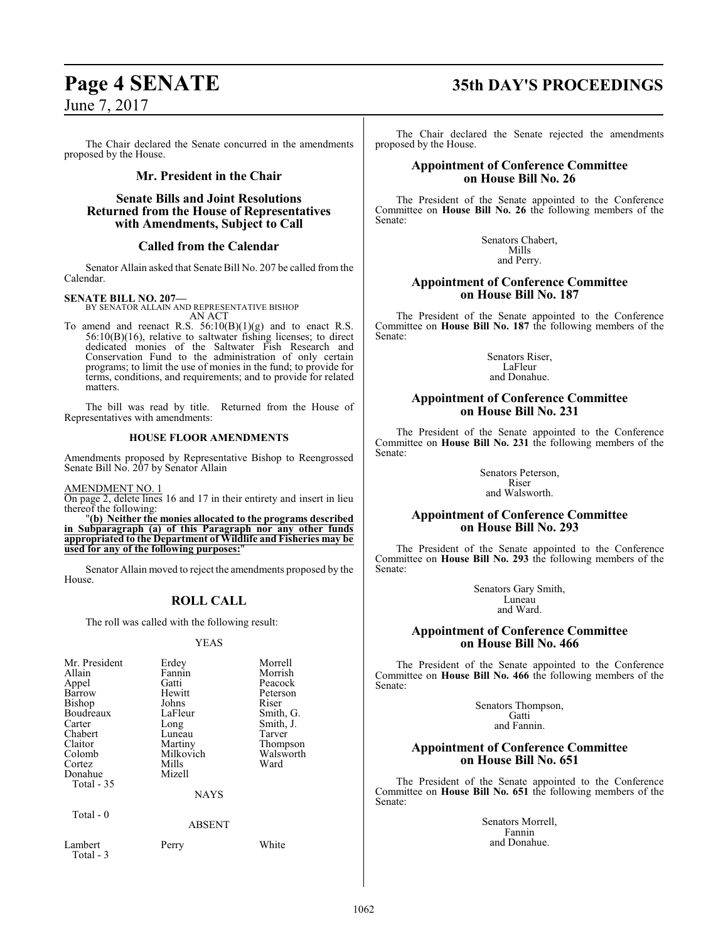The Chair declared the Senate concurred in the amendments proposed by the House.

### **Mr. President in the Chair**

#### **Senate Bills and Joint Resolutions Returned from the House of Representatives with Amendments, Subject to Call**

### **Called from the Calendar**

Senator Allain asked that Senate Bill No. 207 be called from the Calendar.

#### **SENATE BILL NO. 207—**

BY SENATOR ALLAIN AND REPRESENTATIVE BISHOP

AN ACT To amend and reenact R.S.  $56:10(B)(1)(g)$  and to enact R.S. 56:10(B)(16), relative to saltwater fishing licenses; to direct dedicated monies of the Saltwater Fish Research and Conservation Fund to the administration of only certain programs; to limit the use of monies in the fund; to provide for terms, conditions, and requirements; and to provide for related matters.

The bill was read by title. Returned from the House of Representatives with amendments:

#### **HOUSE FLOOR AMENDMENTS**

Amendments proposed by Representative Bishop to Reengrossed Senate Bill No. 207 by Senator Allain

AMENDMENT NO. 1

On page 2, delete lines 16 and 17 in their entirety and insert in lieu thereof the following:

"**(b) Neither the monies allocated to the programs described in Subparagraph (a) of this Paragraph nor any other funds appropriated to the Department of Wildlife and Fisheries may be used for any of the following purposes:**"

Senator Allain moved to reject the amendments proposed by the House.

## **ROLL CALL**

The roll was called with the following result:

#### YEAS

| Mr. President<br>Allain<br>Appel<br>Barrow<br><b>Bishop</b><br>Boudreaux<br>Carter<br>Chabert<br>Claitor<br>Colomb<br>Cortez<br>Donahue<br>Total $-35$ | Erdey<br>Fannin<br>Gatti<br>Hewitt<br>Johns<br>LaFleur<br>Long<br>Luneau<br>Martiny<br>Milkovich<br>Mills<br>Mizell<br><b>NAYS</b> | Morrell<br>Morrish<br>Peacock<br>Peterson<br>Riser<br>Smith, G.<br>Smith, J.<br>Tarver<br>Thompson<br>Walsworth<br>Ward |
|--------------------------------------------------------------------------------------------------------------------------------------------------------|------------------------------------------------------------------------------------------------------------------------------------|-------------------------------------------------------------------------------------------------------------------------|
| Total $-0$                                                                                                                                             | <b>ABSENT</b>                                                                                                                      |                                                                                                                         |
| Lambert                                                                                                                                                | Perry                                                                                                                              | White                                                                                                                   |

## Total - 3

**Page 4 SENATE 35th DAY'S PROCEEDINGS**

The Chair declared the Senate rejected the amendments proposed by the House.

#### **Appointment of Conference Committee on House Bill No. 26**

The President of the Senate appointed to the Conference Committee on **House Bill No. 26** the following members of the Senate:

> Senators Chabert, Mills and Perry.

#### **Appointment of Conference Committee on House Bill No. 187**

The President of the Senate appointed to the Conference Committee on **House Bill No. 187** the following members of the Senate:

> Senators Riser, LaFleur and Donahue.

### **Appointment of Conference Committee on House Bill No. 231**

The President of the Senate appointed to the Conference Committee on **House Bill No. 231** the following members of the Senate:

> Senators Peterson, Riser and Walsworth.

### **Appointment of Conference Committee on House Bill No. 293**

The President of the Senate appointed to the Conference Committee on **House Bill No. 293** the following members of the Senate:

> Senators Gary Smith, Luneau and Ward.

### **Appointment of Conference Committee on House Bill No. 466**

The President of the Senate appointed to the Conference Committee on **House Bill No. 466** the following members of the Senate:

> Senators Thompson, Gatti and Fannin.

#### **Appointment of Conference Committee on House Bill No. 651**

The President of the Senate appointed to the Conference Committee on **House Bill No. 651** the following members of the Senate:

> Senators Morrell, Fannin and Donahue.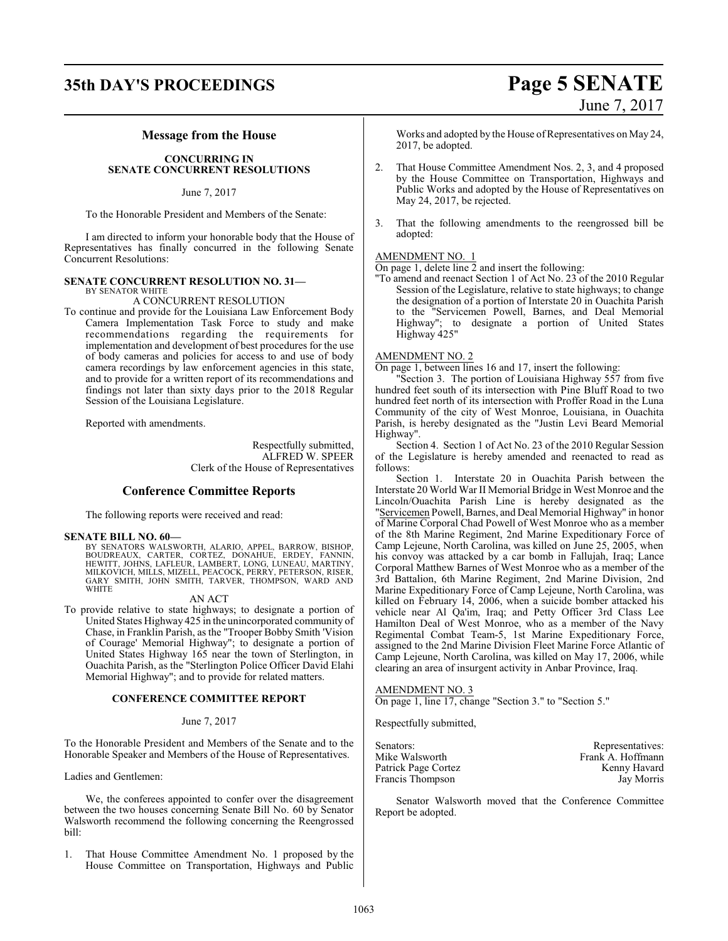# **35th DAY'S PROCEEDINGS Page 5 SENATE** June 7, 2017

#### **Message from the House**

#### **CONCURRING IN SENATE CONCURRENT RESOLUTIONS**

June 7, 2017

To the Honorable President and Members of the Senate:

I am directed to inform your honorable body that the House of Representatives has finally concurred in the following Senate Concurrent Resolutions:

#### **SENATE CONCURRENT RESOLUTION NO. 31—** BY SENATOR WHITE

#### A CONCURRENT RESOLUTION

To continue and provide for the Louisiana Law Enforcement Body Camera Implementation Task Force to study and make recommendations regarding the requirements for implementation and development of best procedures for the use of body cameras and policies for access to and use of body camera recordings by law enforcement agencies in this state, and to provide for a written report of its recommendations and findings not later than sixty days prior to the 2018 Regular Session of the Louisiana Legislature.

Reported with amendments.

Respectfully submitted, ALFRED W. SPEER Clerk of the House of Representatives

#### **Conference Committee Reports**

The following reports were received and read:

#### **SENATE BILL NO. 60—**

BY SENATORS WALSWORTH, ALARIO, APPEL, BARROW, BISHOP, BOUDREAUX, CARTER, CORTEZ, DONAHUE, ERDEY, FANNIN, HEWITT, JOHNS, LAFLEUR, LAMBERT, LONG, LUNEAU, MARTINY,<br>MILKOVICH, MILLS, MIZELL, PEACOCK, PERRY, PETERSON, RISER,<br>GARY SMITH, JOHN SMITH, TARVER, THOMPSON, WARD AND<br>WHITE

#### AN ACT

To provide relative to state highways; to designate a portion of United States Highway 425 in the unincorporated community of Chase, in Franklin Parish, as the "Trooper Bobby Smith 'Vision of Courage' Memorial Highway"; to designate a portion of United States Highway 165 near the town of Sterlington, in Ouachita Parish, as the "Sterlington Police Officer David Elahi Memorial Highway"; and to provide for related matters.

#### **CONFERENCE COMMITTEE REPORT**

#### June 7, 2017

To the Honorable President and Members of the Senate and to the Honorable Speaker and Members of the House of Representatives.

Ladies and Gentlemen:

We, the conferees appointed to confer over the disagreement between the two houses concerning Senate Bill No. 60 by Senator Walsworth recommend the following concerning the Reengrossed bill:

1. That House Committee Amendment No. 1 proposed by the House Committee on Transportation, Highways and Public

Works and adopted by the House of Representatives on May 24, 2017, be adopted.

- 2. That House Committee Amendment Nos. 2, 3, and 4 proposed by the House Committee on Transportation, Highways and Public Works and adopted by the House of Representatives on May 24, 2017, be rejected.
- 3. That the following amendments to the reengrossed bill be adopted:

#### AMENDMENT NO. 1

On page 1, delete line 2 and insert the following:

"To amend and reenact Section 1 of Act No. 23 of the 2010 Regular Session of the Legislature, relative to state highways; to change the designation of a portion of Interstate 20 in Ouachita Parish to the "Servicemen Powell, Barnes, and Deal Memorial Highway"; to designate a portion of United States Highway 425"

#### AMENDMENT NO. 2

On page 1, between lines 16 and 17, insert the following:

"Section 3. The portion of Louisiana Highway 557 from five hundred feet south of its intersection with Pine Bluff Road to two hundred feet north of its intersection with Proffer Road in the Luna Community of the city of West Monroe, Louisiana, in Ouachita Parish, is hereby designated as the "Justin Levi Beard Memorial Highway".

Section 4. Section 1 of Act No. 23 of the 2010 Regular Session of the Legislature is hereby amended and reenacted to read as follows:

Section 1. Interstate 20 in Ouachita Parish between the Interstate 20 World War II Memorial Bridge in West Monroe and the Lincoln/Ouachita Parish Line is hereby designated as the "Servicemen Powell, Barnes, and Deal Memorial Highway" in honor of Marine Corporal Chad Powell of West Monroe who as a member of the 8th Marine Regiment, 2nd Marine Expeditionary Force of Camp Lejeune, North Carolina, was killed on June 25, 2005, when his convoy was attacked by a car bomb in Fallujah, Iraq; Lance Corporal Matthew Barnes of West Monroe who as a member of the 3rd Battalion, 6th Marine Regiment, 2nd Marine Division, 2nd Marine Expeditionary Force of Camp Lejeune, North Carolina, was killed on February 14, 2006, when a suicide bomber attacked his vehicle near Al Qa'im, Iraq; and Petty Officer 3rd Class Lee Hamilton Deal of West Monroe, who as a member of the Navy Regimental Combat Team-5, 1st Marine Expeditionary Force, assigned to the 2nd Marine Division Fleet Marine Force Atlantic of Camp Lejeune, North Carolina, was killed on May 17, 2006, while clearing an area of insurgent activity in Anbar Province, Iraq.

#### AMENDMENT NO. 3

On page 1, line 17, change "Section 3." to "Section 5."

Respectfully submitted,

| Senators:           | Representatives:  |
|---------------------|-------------------|
| Mike Walsworth      | Frank A. Hoffmann |
| Patrick Page Cortez | Kenny Havard      |
| Francis Thompson    | Jay Morris        |

Senator Walsworth moved that the Conference Committee Report be adopted.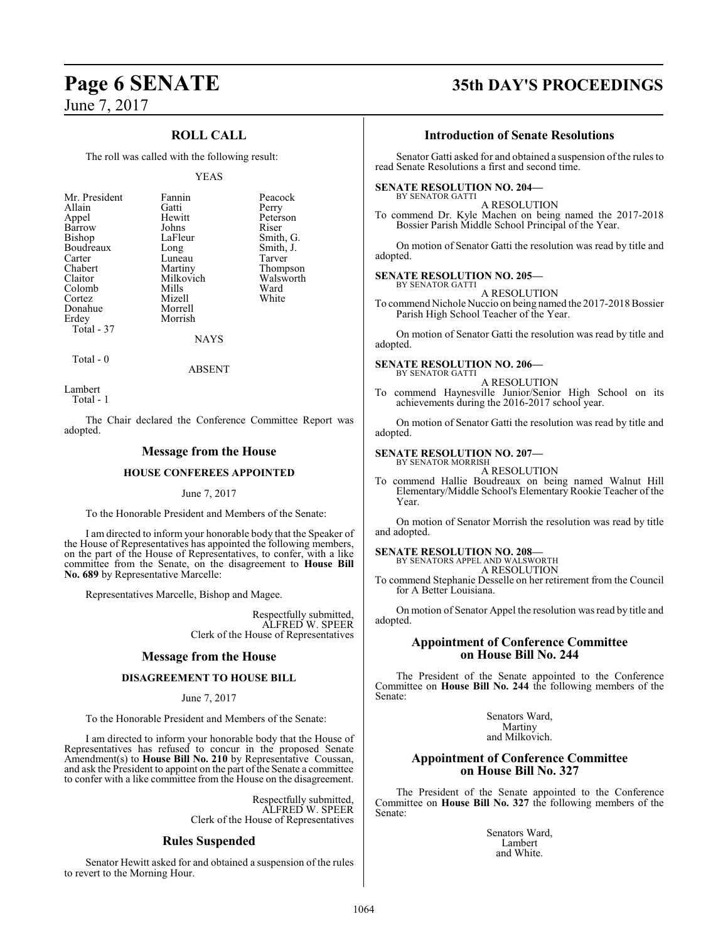## **ROLL CALL**

The roll was called with the following result:

#### YEAS

| Mr. President | Fannin    | Peacock   |
|---------------|-----------|-----------|
| Allain        | Gatti     | Perry     |
| Appel         | Hewitt    | Peterson  |
| Barrow        | Johns     | Riser     |
| <b>Bishop</b> | LaFleur   | Smith, G. |
| Boudreaux     | Long      | Smith, J. |
| Carter        | Luneau    | Tarver    |
| Chabert       | Martiny   | Thompson  |
| Claitor       | Milkovich | Walsworth |
| Colomb        | Mills     | Ward      |
| Cortez        | Mizell    | White     |
| Donahue       | Morrell   |           |
| Erdey         | Morrish   |           |
| Total - 37    |           |           |
|               | NAYS      |           |

Total - 0

ABSENT

Lambert Total - 1

The Chair declared the Conference Committee Report was adopted.

#### **Message from the House**

#### **HOUSE CONFEREES APPOINTED**

#### June 7, 2017

To the Honorable President and Members of the Senate:

I am directed to inform your honorable body that the Speaker of the House of Representatives has appointed the following members, on the part of the House of Representatives, to confer, with a like committee from the Senate, on the disagreement to **House Bill No. 689** by Representative Marcelle:

Representatives Marcelle, Bishop and Magee.

Respectfully submitted, ALFRED W. SPEER Clerk of the House of Representatives

#### **Message from the House**

#### **DISAGREEMENT TO HOUSE BILL**

#### June 7, 2017

To the Honorable President and Members of the Senate:

I am directed to inform your honorable body that the House of Representatives has refused to concur in the proposed Senate Amendment(s) to **House Bill No. 210** by Representative Coussan, and ask the President to appoint on the part of the Senate a committee to confer with a like committee from the House on the disagreement.

> Respectfully submitted, ALFRED W. SPEER Clerk of the House of Representatives

#### **Rules Suspended**

Senator Hewitt asked for and obtained a suspension of the rules to revert to the Morning Hour.

# **Page 6 SENATE 35th DAY'S PROCEEDINGS**

#### **Introduction of Senate Resolutions**

Senator Gatti asked for and obtained a suspension of the rules to read Senate Resolutions a first and second time.

#### **SENATE RESOLUTION NO. 204—** BY SENATOR GATTI

A RESOLUTION To commend Dr. Kyle Machen on being named the 2017-2018 Bossier Parish Middle School Principal of the Year.

On motion of Senator Gatti the resolution was read by title and adopted.

#### **SENATE RESOLUTION NO. 205—**

BY SENATOR GATTI A RESOLUTION

To commend Nichole Nuccio on being named the 2017-2018Bossier Parish High School Teacher of the Year.

On motion of Senator Gatti the resolution was read by title and adopted.

#### **SENATE RESOLUTION NO. 206—**

BY SENATOR GATTI A RESOLUTION

To commend Haynesville Junior/Senior High School on its achievements during the 2016-2017 school year.

On motion of Senator Gatti the resolution was read by title and adopted.

#### **SENATE RESOLUTION NO. 207—** BY SENATOR MORRISH

A RESOLUTION

To commend Hallie Boudreaux on being named Walnut Hill Elementary/Middle School's Elementary Rookie Teacher of the Year.

On motion of Senator Morrish the resolution was read by title and adopted.

#### **SENATE RESOLUTION NO. 208—**

BY SENATORS APPEL AND WALSWORTH A RESOLUTION

To commend Stephanie Desselle on her retirement from the Council for A Better Louisiana.

On motion of Senator Appel the resolution was read by title and adopted.

#### **Appointment of Conference Committee on House Bill No. 244**

The President of the Senate appointed to the Conference Committee on **House Bill No. 244** the following members of the Senate:

> Senators Ward, Martiny and Milkovich.

#### **Appointment of Conference Committee on House Bill No. 327**

The President of the Senate appointed to the Conference Committee on **House Bill No. 327** the following members of the Senate:

> Senators Ward, Lambert and White.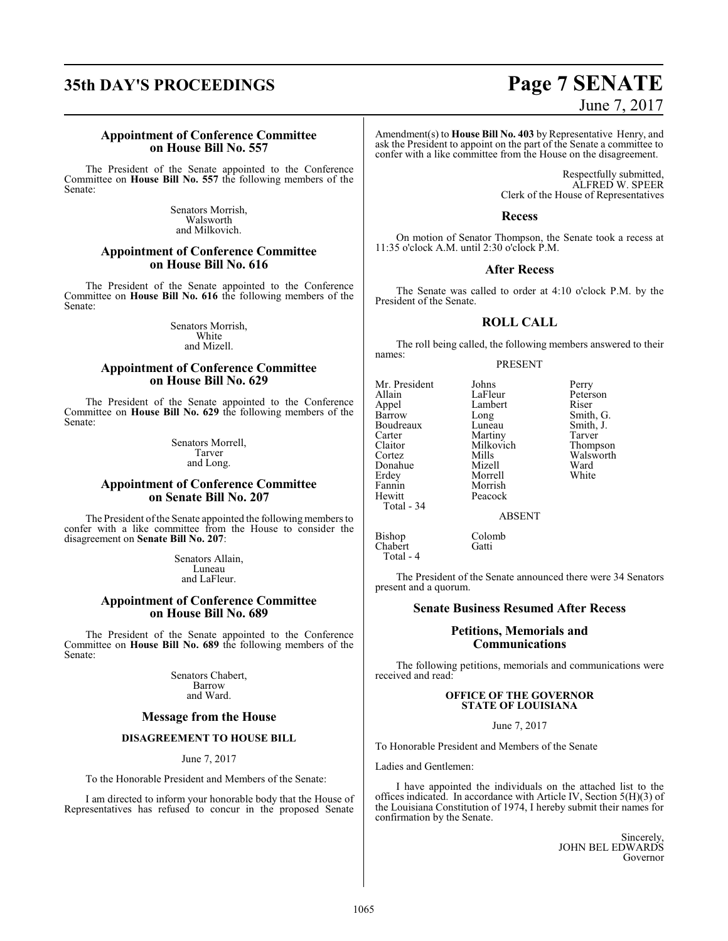# **35th DAY'S PROCEEDINGS Page 7 SENATE**

#### **Appointment of Conference Committee on House Bill No. 557**

The President of the Senate appointed to the Conference Committee on **House Bill No. 557** the following members of the Senate:

> Senators Morrish, Walsworth and Milkovich.

#### **Appointment of Conference Committee on House Bill No. 616**

The President of the Senate appointed to the Conference Committee on **House Bill No. 616** the following members of the Senate:

> Senators Morrish, White and Mizell.

#### **Appointment of Conference Committee on House Bill No. 629**

The President of the Senate appointed to the Conference Committee on **House Bill No. 629** the following members of the Senate:

> Senators Morrell, Tarver and Long.

### **Appointment of Conference Committee on Senate Bill No. 207**

The President of the Senate appointed the following members to confer with a like committee from the House to consider the disagreement on **Senate Bill No. 207**:

> Senators Allain, Luneau and LaFleur.

#### **Appointment of Conference Committee on House Bill No. 689**

The President of the Senate appointed to the Conference Committee on **House Bill No. 689** the following members of the Senate:

> Senators Chabert, Barrow and Ward.

#### **Message from the House**

### **DISAGREEMENT TO HOUSE BILL**

June 7, 2017

To the Honorable President and Members of the Senate:

I am directed to inform your honorable body that the House of Representatives has refused to concur in the proposed Senate

# June 7, 2017

Amendment(s) to **House Bill No. 403** by Representative Henry, and ask the President to appoint on the part of the Senate a committee to confer with a like committee from the House on the disagreement.

> Respectfully submitted, ALFRED W. SPEER Clerk of the House of Representatives

#### **Recess**

On motion of Senator Thompson, the Senate took a recess at 11:35 o'clock A.M. until 2:30 o'clock P.M.

#### **After Recess**

The Senate was called to order at 4:10 o'clock P.M. by the President of the Senate.

#### **ROLL CALL**

The roll being called, the following members answered to their names:

#### PRESENT

Mr. President Johns Perry<br>Allain LaFleur Peter: Allain LaFleur Peterson<br>
Appel Lambert Riser Appel Lambert<br>Barrow Long Barrow Long Smith, G.<br>Boudreaux Luneau Smith, J. Boudreaux Luneau Smith, J.<br>
Carter Martiny Tarver Carter Martiny Tarver<br>
Claitor Milkovich Thompson Claitor Milkovich<br>Cortez Mills Donahue Mizell Ward<br>Erdey Morrell White Erdey Morrell<br>Fannin Morrish Hewitt Total - 34

Mills Walsworth<br>
Mizell Ward Morrish<br>Peacock

ABSENT

Bishop Colomb<br>Chabert Gatti  $Chabert$ Total - 4

The President of the Senate announced there were 34 Senators present and a quorum.

#### **Senate Business Resumed After Recess**

#### **Petitions, Memorials and Communications**

The following petitions, memorials and communications were received and read:

#### **OFFICE OF THE GOVERNOR STATE OF LOUISIANA**

June 7, 2017

To Honorable President and Members of the Senate

Ladies and Gentlemen:

I have appointed the individuals on the attached list to the offices indicated. In accordance with Article IV, Section 5(H)(3) of the Louisiana Constitution of 1974, I hereby submit their names for confirmation by the Senate.

> Sincerely, JOHN BEL EDWARDS Governor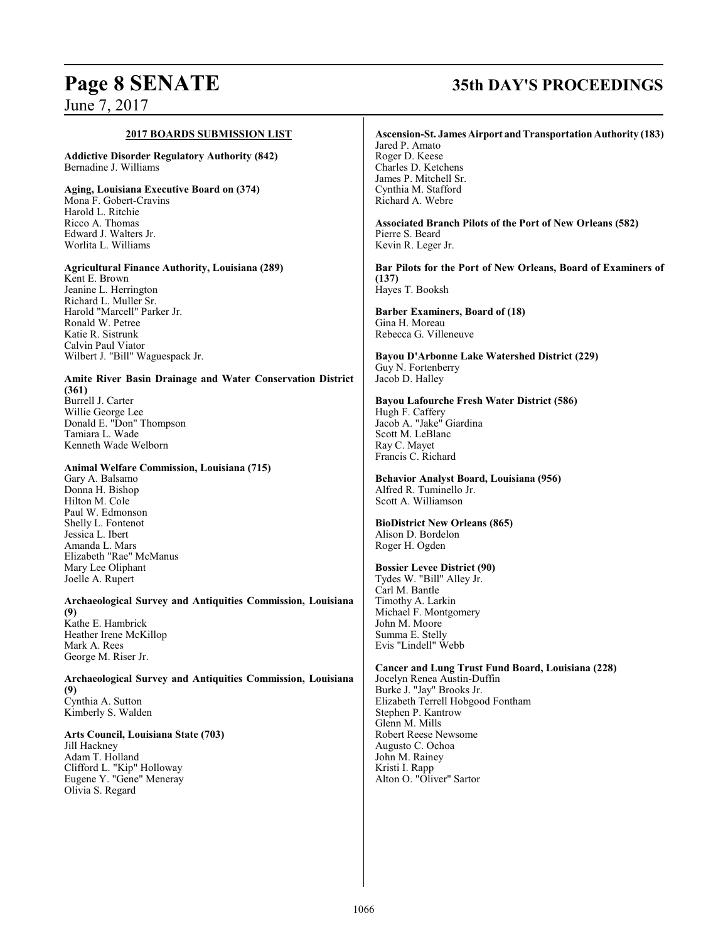# **Page 8 SENATE 35th DAY'S PROCEEDINGS**

#### **2017 BOARDS SUBMISSION LIST**

**Addictive Disorder Regulatory Authority (842)** Bernadine J. Williams

**Aging, Louisiana Executive Board on (374)** Mona F. Gobert-Cravins Harold L. Ritchie Ricco A. Thomas Edward J. Walters Jr. Worlita L. Williams

### **Agricultural Finance Authority, Louisiana (289)**

Kent E. Brown Jeanine L. Herrington Richard L. Muller Sr. Harold "Marcell" Parker Jr. Ronald W. Petree Katie R. Sistrunk Calvin Paul Viator Wilbert J. "Bill" Waguespack Jr.

#### **Amite River Basin Drainage and Water Conservation District (361)** Burrell J. Carter Willie George Lee

Donald E. "Don" Thompson Tamiara L. Wade Kenneth Wade Welborn

#### **Animal Welfare Commission, Louisiana (715)**

Gary A. Balsamo Donna H. Bishop Hilton M. Cole Paul W. Edmonson Shelly L. Fontenot Jessica L. Ibert Amanda L. Mars Elizabeth "Rae" McManus Mary Lee Oliphant Joelle A. Rupert

**Archaeological Survey and Antiquities Commission, Louisiana (9)** Kathe E. Hambrick Heather Irene McKillop Mark A. Rees George M. Riser Jr.

**Archaeological Survey and Antiquities Commission, Louisiana (9)** Cynthia A. Sutton Kimberly S. Walden

#### **Arts Council, Louisiana State (703)**

Jill Hackney Adam T. Holland Clifford L. "Kip" Holloway Eugene Y. "Gene" Meneray Olivia S. Regard

#### **Ascension-St. James Airport andTransportation Authority (183)**

Jared P. Amato Roger D. Keese Charles D. Ketchens James P. Mitchell Sr. Cynthia M. Stafford Richard A. Webre

**Associated Branch Pilots of the Port of New Orleans (582)** Pierre S. Beard Kevin R. Leger Jr.

**Bar Pilots for the Port of New Orleans, Board of Examiners of (137)** Hayes T. Booksh

**Barber Examiners, Board of (18)** Gina H. Moreau Rebecca G. Villeneuve

**Bayou D'Arbonne Lake Watershed District (229)** Guy N. Fortenberry Jacob D. Halley

**Bayou Lafourche Fresh Water District (586)** Hugh F. Caffery Jacob A. "Jake" Giardina Scott M. LeBlanc Ray C. Mayet Francis C. Richard

**Behavior Analyst Board, Louisiana (956)** Alfred R. Tuminello Jr. Scott A. Williamson

## **BioDistrict New Orleans (865)**

Alison D. Bordelon Roger H. Ogden

#### **Bossier Levee District (90)**

Tydes W. "Bill" Alley Jr. Carl M. Bantle Timothy A. Larkin Michael F. Montgomery John M. Moore Summa E. Stelly Evis "Lindell" Webb

**Cancer and Lung Trust Fund Board, Louisiana (228)** Jocelyn Renea Austin-Duffin Burke J. "Jay" Brooks Jr. Elizabeth Terrell Hobgood Fontham Stephen P. Kantrow Glenn M. Mills Robert Reese Newsome Augusto C. Ochoa John M. Rainey

Kristi I. Rapp Alton O. "Oliver" Sartor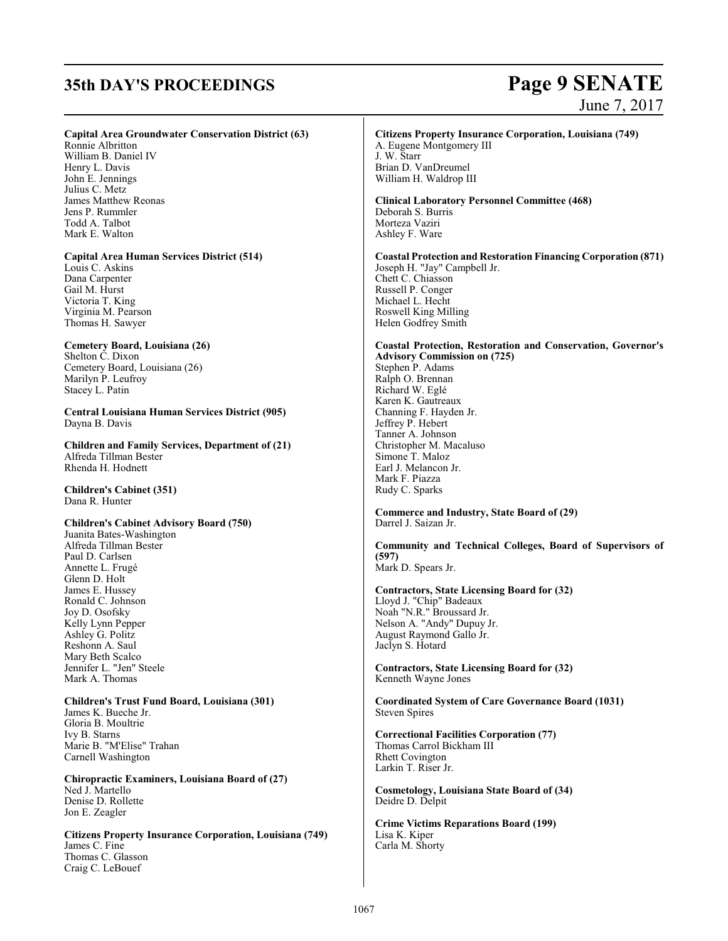# **35th DAY'S PROCEEDINGS Page 9 SENATE**

# June 7, 2017

#### **Capital Area Groundwater Conservation District (63)**

Ronnie Albritton William B. Daniel IV Henry L. Davis John E. Jennings Julius C. Metz James Matthew Reonas Jens P. Rummler Todd A. Talbot Mark E. Walton

**Capital Area Human Services District (514)** Louis C. Askins Dana Carpenter Gail M. Hurst Victoria T. King

Virginia M. Pearson Thomas H. Sawyer **Cemetery Board, Louisiana (26)**

Shelton C. Dixon Cemetery Board, Louisiana (26) Marilyn P. Leufroy Stacey L. Patin

**Central Louisiana Human Services District (905)**  Dayna B. Davis

**Children and Family Services, Department of (21)** Alfreda Tillman Bester Rhenda H. Hodnett

**Children's Cabinet (351)** Dana R. Hunter

#### **Children's Cabinet Advisory Board (750)**

Juanita Bates-Washington Alfreda Tillman Bester Paul D. Carlsen Annette L. Frugé Glenn D. Holt James E. Hussey Ronald C. Johnson Joy D. Osofsky Kelly Lynn Pepper Ashley G. Politz Reshonn A. Saul Mary Beth Scalco Jennifer L. "Jen" Steele Mark A. Thomas

**Children's Trust Fund Board, Louisiana (301)** James K. Bueche Jr. Gloria B. Moultrie Ivy B. Starns Marie B. "M'Elise" Trahan Carnell Washington

**Chiropractic Examiners, Louisiana Board of (27)** Ned J. Martello Denise D. Rollette Jon E. Zeagler

**Citizens Property Insurance Corporation, Louisiana (749)** James C. Fine Thomas C. Glasson Craig C. LeBouef

#### **Citizens Property Insurance Corporation, Louisiana (749)**

A. Eugene Montgomery III J. W. Starr Brian D. VanDreumel William H. Waldrop III

**Clinical Laboratory Personnel Committee (468)** Deborah S. Burris Morteza Vaziri Ashley F. Ware

**Coastal Protection and Restoration Financing Corporation (871)** Joseph H. "Jay" Campbell Jr. Chett C. Chiasson Russell P. Conger Michael L. Hecht Roswell King Milling Helen Godfrey Smith

#### **Coastal Protection, Restoration and Conservation, Governor's Advisory Commission on (725)** Stephen P. Adams Ralph O. Brennan Richard W. Eglé Karen K. Gautreaux Channing F. Hayden Jr. Jeffrey P. Hebert Tanner A. Johnson Christopher M. Macaluso Simone T. Maloz Earl J. Melancon Jr. Mark F. Piazza Rudy C. Sparks

**Commerce and Industry, State Board of (29)** Darrel J. Saizan Jr.

**Community and Technical Colleges, Board of Supervisors of (597)** Mark D. Spears Jr.

**Contractors, State Licensing Board for (32)** Lloyd J. "Chip" Badeaux Noah "N.R." Broussard Jr. Nelson A. "Andy" Dupuy Jr. August Raymond Gallo Jr. Jaclyn S. Hotard

**Contractors, State Licensing Board for (32)** Kenneth Wayne Jones

**Coordinated System of Care Governance Board (1031)** Steven Spires

**Correctional Facilities Corporation (77)** Thomas Carrol Bickham III Rhett Covington Larkin T. Riser Jr.

**Cosmetology, Louisiana State Board of (34)** Deidre D. Delpit

**Crime Victims Reparations Board (199)** Lisa K. Kiper Carla M. Shorty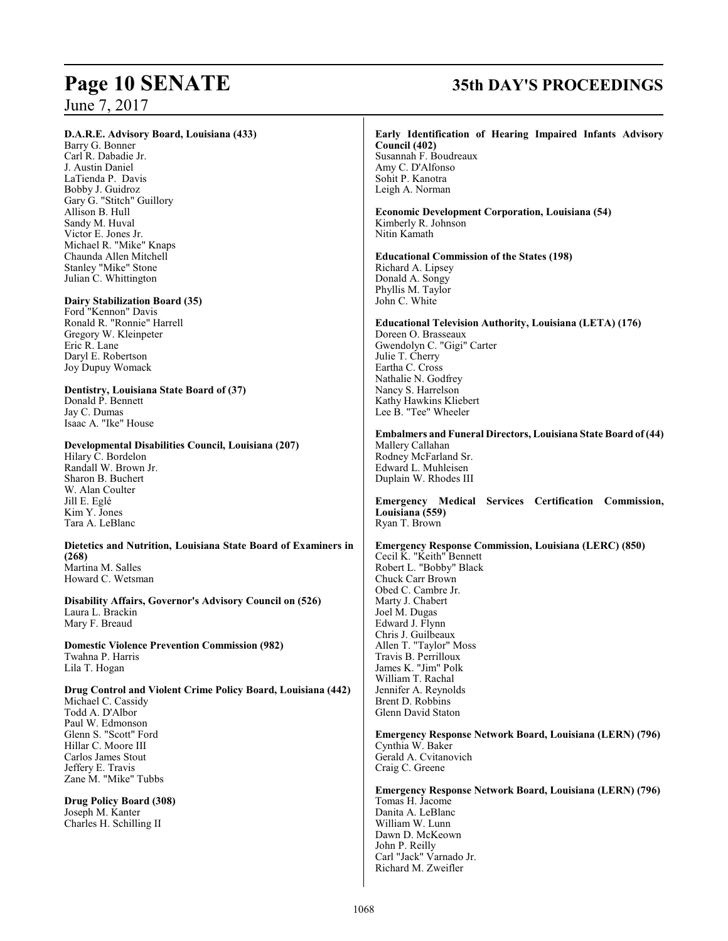#### **D.A.R.E. Advisory Board, Louisiana (433)**

Barry G. Bonner Carl R. Dabadie Jr. J. Austin Daniel LaTienda P. Davis Bobby J. Guidroz Gary G. "Stitch" Guillory Allison B. Hull Sandy M. Huval Victor E. Jones Jr. Michael R. "Mike" Knaps Chaunda Allen Mitchell Stanley "Mike" Stone Julian C. Whittington

#### **Dairy Stabilization Board (35)**

Ford "Kennon" Davis Ronald R. "Ronnie" Harrell Gregory W. Kleinpeter Eric R. Lane Daryl E. Robertson Joy Dupuy Womack

#### **Dentistry, Louisiana State Board of (37)** Donald P. Bennett Jay C. Dumas

Isaac A. "Ike" House

#### **Developmental Disabilities Council, Louisiana (207)**

Hilary C. Bordelon Randall W. Brown Jr. Sharon B. Buchert W. Alan Coulter Jill E. Eglé Kim Y. Jones Tara A. LeBlanc

#### **Dietetics and Nutrition, Louisiana State Board of Examiners in (268)** Martina M. Salles

Howard C. Wetsman

**Disability Affairs, Governor's Advisory Council on (526)** Laura L. Brackin Mary F. Breaud

**Domestic Violence Prevention Commission (982)** Twahna P. Harris Lila T. Hogan

#### **Drug Control and Violent Crime Policy Board, Louisiana (442)** Michael C. Cassidy

Todd A. D'Albor Paul W. Edmonson Glenn S. "Scott" Ford Hillar C. Moore III Carlos James Stout Jeffery E. Travis Zane M. "Mike" Tubbs

**Drug Policy Board (308)** Joseph M. Kanter Charles H. Schilling II

# **Page 10 SENATE 35th DAY'S PROCEEDINGS**

#### **Early Identification of Hearing Impaired Infants Advisory Council (402)** Susannah F. Boudreaux Amy C. D'Alfonso Sohit P. Kanotra Leigh A. Norman **Economic Development Corporation, Louisiana (54)** Kimberly R. Johnson Nitin Kamath **Educational Commission of the States (198)** Richard A. Lipsey Donald A. Songy Phyllis M. Taylor John C. White **Educational Television Authority, Louisiana (LETA) (176)** Doreen O. Brasseaux Gwendolyn C. "Gigi" Carter Julie T. Cherry Eartha C. Cross Nathalie N. Godfrey Nancy S. Harrelson Kathy Hawkins Kliebert Lee B. "Tee" Wheeler **Embalmers and Funeral Directors, Louisiana State Board of (44)** Mallery Callahan Rodney McFarland Sr. Edward L. Muhleisen Duplain W. Rhodes III **Emergency Medical Services Certification Commission, Louisiana (559)** Ryan T. Brown **Emergency Response Commission, Louisiana (LERC) (850)** Cecil K. "Keith" Bennett Robert L. "Bobby" Black Chuck Carr Brown Obed C. Cambre Jr. Marty J. Chabert Joel M. Dugas Edward J. Flynn Chris J. Guilbeaux Allen T. "Taylor" Moss Travis B. Perrilloux James K. "Jim" Polk William T. Rachal Jennifer A. Reynolds Brent D. Robbins Glenn David Staton **Emergency Response Network Board, Louisiana (LERN) (796)** Cynthia W. Baker Gerald A. Cvitanovich Craig C. Greene **Emergency Response Network Board, Louisiana (LERN) (796)** Tomas H. Jacome Danita A. LeBlanc

William W. Lunn Dawn D. McKeown John P. Reilly Carl "Jack" Varnado Jr. Richard M. Zweifler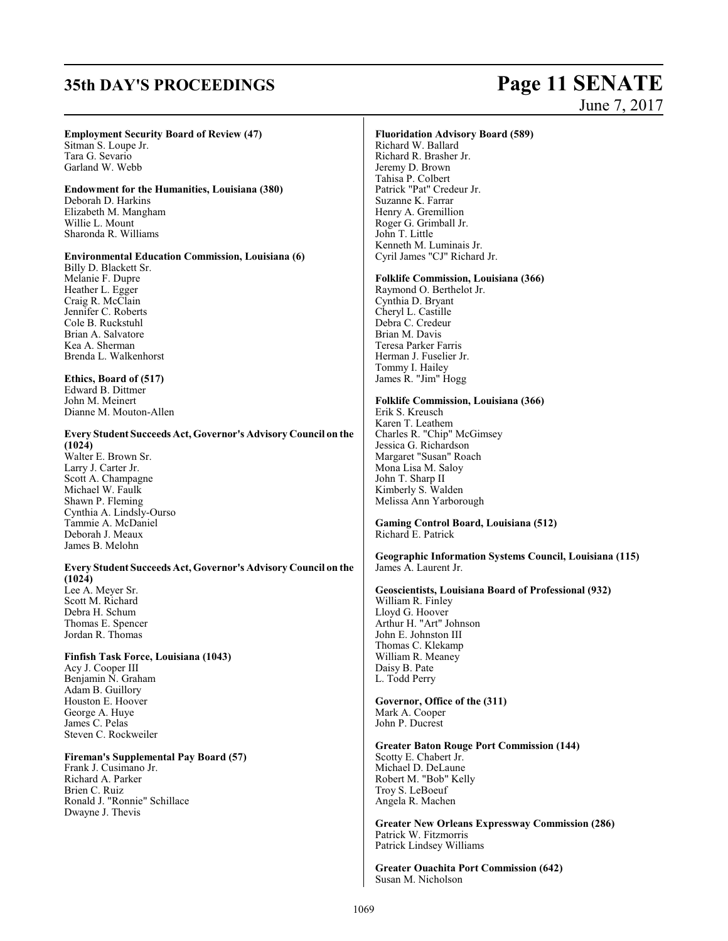# **35th DAY'S PROCEEDINGS Page 11 SENATE** June 7, 2017

### **Employment Security Board of Review (47)**

Sitman S. Loupe Jr. Tara G. Sevario Garland W. Webb

## **Endowment for the Humanities, Louisiana (380)**

Deborah D. Harkins Elizabeth M. Mangham Willie L. Mount Sharonda R. Williams

#### **Environmental Education Commission, Louisiana (6)**

Billy D. Blackett Sr. Melanie F. Dupre Heather L. Egger Craig R. McClain Jennifer C. Roberts Cole B. Ruckstuhl Brian A. Salvatore Kea A. Sherman Brenda L. Walkenhorst

#### **Ethics, Board of (517)** Edward B. Dittmer John M. Meinert Dianne M. Mouton-Allen

# **Every Student Succeeds Act, Governor's Advisory Council on the**

**(1024)** Walter E. Brown Sr. Larry J. Carter Jr. Scott A. Champagne Michael W. Faulk Shawn P. Fleming Cynthia A. Lindsly-Ourso Tammie A. McDaniel Deborah J. Meaux James B. Melohn

**Every Student Succeeds Act, Governor's Advisory Council on the (1024)** Lee A. Meyer Sr. Scott M. Richard Debra H. Schum Thomas E. Spencer Jordan R. Thomas

#### **Finfish Task Force, Louisiana (1043)**

Acy J. Cooper III Benjamin N. Graham Adam B. Guillory Houston E. Hoover George A. Huye James C. Pelas Steven C. Rockweiler

#### **Fireman's Supplemental Pay Board (57)**

Frank J. Cusimano Jr. Richard A. Parker Brien C. Ruiz Ronald J. "Ronnie" Schillace Dwayne J. Thevis

#### **Fluoridation Advisory Board (589)**

Richard W. Ballard Richard R. Brasher Jr. Jeremy D. Brown Tahisa P. Colbert Patrick "Pat" Credeur Jr. Suzanne K. Farrar Henry A. Gremillion Roger G. Grimball Jr. John T. Little Kenneth M. Luminais Jr. Cyril James "CJ" Richard Jr.

### **Folklife Commission, Louisiana (366)**

Raymond O. Berthelot Jr. Cynthia D. Bryant Cheryl L. Castille Debra C. Credeur Brian M. Davis Teresa Parker Farris Herman J. Fuselier Jr. Tommy I. Hailey James R. "Jim" Hogg

#### **Folklife Commission, Louisiana (366)**

Erik S. Kreusch Karen T. Leathem Charles R. "Chip" McGimsey Jessica G. Richardson Margaret "Susan" Roach Mona Lisa M. Saloy John T. Sharp II Kimberly S. Walden Melissa Ann Yarborough

**Gaming Control Board, Louisiana (512)** Richard E. Patrick

**Geographic Information Systems Council, Louisiana (115)** James A. Laurent Jr.

#### **Geoscientists, Louisiana Board of Professional (932)**

William R. Finley Lloyd G. Hoover Arthur H. "Art" Johnson John E. Johnston III Thomas C. Klekamp William R. Meaney Daisy B. Pate L. Todd Perry

#### **Governor, Office of the (311)** Mark A. Cooper John P. Ducrest

#### **Greater Baton Rouge Port Commission (144)** Scotty E. Chabert Jr. Michael D. DeLaune Robert M. "Bob" Kelly Troy S. LeBoeuf Angela R. Machen

**Greater New Orleans Expressway Commission (286)** Patrick W. Fitzmorris Patrick Lindsey Williams

**Greater Ouachita Port Commission (642)** Susan M. Nicholson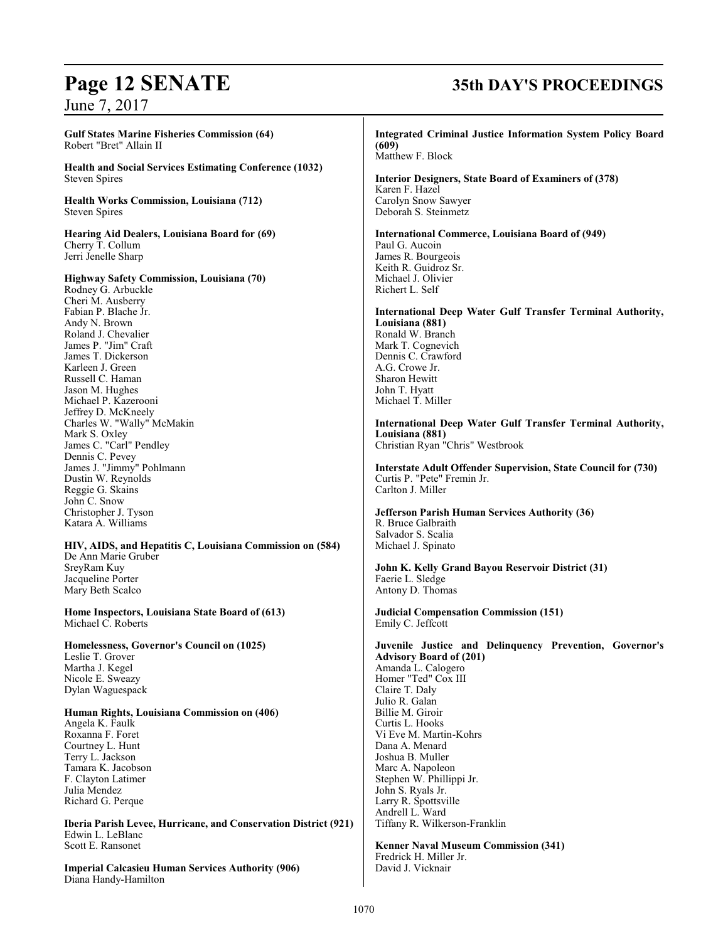#### **Gulf States Marine Fisheries Commission (64)** Robert "Bret" Allain II

**Health and Social Services Estimating Conference (1032)** Steven Spires

**Health Works Commission, Louisiana (712)** Steven Spires

**Hearing Aid Dealers, Louisiana Board for (69)** Cherry T. Collum Jerri Jenelle Sharp

**Highway Safety Commission, Louisiana (70)** Rodney G. Arbuckle

Cheri M. Ausberry Fabian P. Blache Jr. Andy N. Brown Roland J. Chevalier James P. "Jim" Craft James T. Dickerson Karleen J. Green Russell C. Haman Jason M. Hughes Michael P. Kazerooni Jeffrey D. McKneely Charles W. "Wally" McMakin Mark S. Oxley James C. "Carl" Pendley Dennis C. Pevey James J. "Jimmy" Pohlmann Dustin W. Reynolds Reggie G. Skains John C. Snow Christopher J. Tyson Katara A. Williams

## **HIV, AIDS, and Hepatitis C, Louisiana Commission on (584)**

De Ann Marie Gruber SreyRam Kuy Jacqueline Porter Mary Beth Scalco

**Home Inspectors, Louisiana State Board of (613)** Michael C. Roberts

**Homelessness, Governor's Council on (1025)** Leslie T. Grover Martha J. Kegel Nicole E. Sweazy Dylan Waguespack

**Human Rights, Louisiana Commission on (406)**

Angela K. Faulk Roxanna F. Foret Courtney L. Hunt Terry L. Jackson Tamara K. Jacobson F. Clayton Latimer Julia Mendez Richard G. Perque

**Iberia Parish Levee, Hurricane, and Conservation District (921)** Edwin L. LeBlanc Scott E. Ransonet

**Imperial Calcasieu Human Services Authority (906)** Diana Handy-Hamilton

# **Page 12 SENATE 35th DAY'S PROCEEDINGS**

**Integrated Criminal Justice Information System Policy Board (609)** Matthew F. Block **Interior Designers, State Board of Examiners of (378)** Karen F. Hazel Carolyn Snow Sawyer Deborah S. Steinmetz **International Commerce, Louisiana Board of (949)** Paul G. Aucoin James R. Bourgeois Keith R. Guidroz Sr. Michael J. Olivier Richert L. Self **International Deep Water Gulf Transfer Terminal Authority, Louisiana (881)** Ronald W. Branch Mark T. Cognevich Dennis C. Crawford A.G. Crowe Jr. Sharon Hewitt John T. Hyatt Michael T. Miller **International Deep Water Gulf Transfer Terminal Authority, Louisiana (881)** Christian Ryan "Chris" Westbrook **Interstate Adult Offender Supervision, State Council for (730)** Curtis P. "Pete" Fremin Jr. Carlton J. Miller **Jefferson Parish Human Services Authority (36)** R. Bruce Galbraith Salvador S. Scalia Michael J. Spinato **John K. Kelly Grand Bayou Reservoir District (31)** Faerie L. Sledge Antony D. Thomas **Judicial Compensation Commission (151)** Emily C. Jeffcott **Juvenile Justice and Delinquency Prevention, Governor's Advisory Board of (201)** Amanda L. Calogero Homer "Ted" Cox III Claire T. Daly Julio R. Galan Billie M. Giroir Curtis L. Hooks Vi Eve M. Martin-Kohrs Dana A. Menard Joshua B. Muller Marc A. Napoleon Stephen W. Phillippi Jr. John S. Ryals Jr. Larry R. Spottsville Andrell L. Ward Tiffany R. Wilkerson-Franklin

**Kenner Naval Museum Commission (341)** Fredrick H. Miller Jr. David J. Vicknair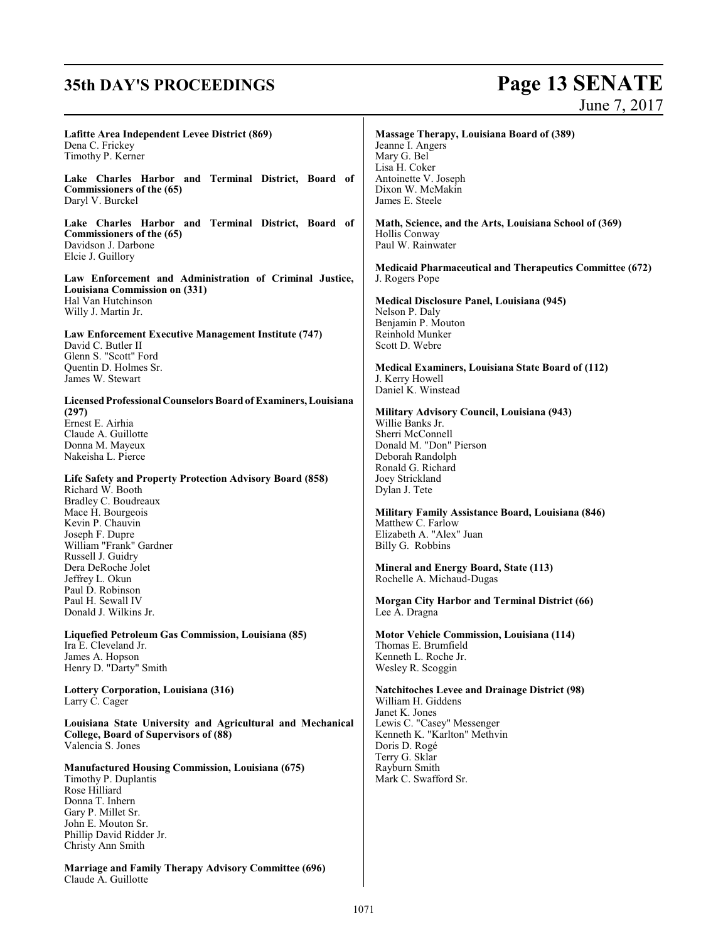# **35th DAY'S PROCEEDINGS Page 13 SENATE** June 7, 2017

| Lafitte Area Independent Levee District (869)<br>Dena C. Frickey<br>Timothy P. Kerner                                                                       | Massage Therapy, Louisiana Board of (389)<br>Jeanne I. Angers<br>Mary G. Bel<br>Lisa H. Coker                                     |
|-------------------------------------------------------------------------------------------------------------------------------------------------------------|-----------------------------------------------------------------------------------------------------------------------------------|
| Lake Charles Harbor and Terminal District, Board of<br>Commissioners of the (65)<br>Daryl V. Burckel                                                        | Antoinette V. Joseph<br>Dixon W. McMakin<br>James E. Steele                                                                       |
| Lake Charles Harbor and Terminal District, Board of<br>Commissioners of the (65)<br>Davidson J. Darbone<br>Elcie J. Guillory                                | Math, Science, and the Arts, Louisiana School of (369)<br>Hollis Conway<br>Paul W. Rainwater                                      |
| Law Enforcement and Administration of Criminal Justice,<br>Louisiana Commission on (331)<br>Hal Van Hutchinson                                              | <b>Medicaid Pharmaceutical and Therapeutics Committee (672)</b><br>J. Rogers Pope<br>Medical Disclosure Panel, Louisiana (945)    |
| Willy J. Martin Jr.                                                                                                                                         | Nelson P. Daly                                                                                                                    |
| Law Enforcement Executive Management Institute (747)<br>David C. Butler II<br>Glenn S. "Scott" Ford                                                         | Benjamin P. Mouton<br>Reinhold Munker<br>Scott D. Webre                                                                           |
| Quentin D. Holmes Sr.<br>James W. Stewart                                                                                                                   | <b>Medical Examiners, Louisiana State Board of (112)</b><br>J. Kerry Howell<br>Daniel K. Winstead                                 |
| Licensed Professional Counselors Board of Examiners, Louisiana<br>(297)<br>Ernest E. Airhia<br>Claude A. Guillotte<br>Donna M. Mayeux<br>Nakeisha L. Pierce | Military Advisory Council, Louisiana (943)<br>Willie Banks Jr.<br>Sherri McConnell<br>Donald M. "Don" Pierson<br>Deborah Randolph |
| Life Safety and Property Protection Advisory Board (858)<br>Richard W. Booth<br>Bradley C. Boudreaux                                                        | Ronald G. Richard<br>Joey Strickland<br>Dylan J. Tete                                                                             |
| Mace H. Bourgeois<br>Kevin P. Chauvin<br>Joseph F. Dupre<br>William "Frank" Gardner                                                                         | Military Family Assistance Board, Louisiana (846)<br>Matthew C. Farlow<br>Elizabeth A. "Alex" Juan<br>Billy G. Robbins            |
| Russell J. Guidry<br>Dera DeRoche Jolet<br>Jeffrey L. Okun<br>Paul D. Robinson                                                                              | <b>Mineral and Energy Board, State (113)</b><br>Rochelle A. Michaud-Dugas                                                         |
| Paul H. Sewall IV<br>Donald J. Wilkins Jr.                                                                                                                  | Morgan City Harbor and Terminal District (66)<br>Lee A. Dragna                                                                    |
| Liquefied Petroleum Gas Commission, Louisiana (85)<br>Ira E. Cleveland Jr.<br>James A. Hopson<br>Henry D. "Darty" Smith                                     | <b>Motor Vehicle Commission, Louisiana (114)</b><br>Thomas E. Brumfield<br>Kenneth L. Roche Jr.<br>Wesley R. Scoggin              |
| Lottery Corporation, Louisiana (316)<br>Larry C. Cager                                                                                                      | <b>Natchitoches Levee and Drainage District (98)</b><br>William H. Giddens                                                        |
| Louisiana State University and Agricultural and Mechanical<br>College, Board of Supervisors of (88)<br>Valencia S. Jones                                    | Janet K. Jones<br>Lewis C. "Casey" Messenger<br>Kenneth K. "Karlton" Methvin<br>Doris D. Rogé<br>Terry G. Sklar                   |
| <b>Manufactured Housing Commission, Louisiana (675)</b><br>Timothy P. Duplantis<br>Rose Hilliard<br>Donna T. Inhern                                         | Rayburn Smith<br>Mark C. Swafford Sr.                                                                                             |
| Gary P. Millet Sr.<br>John E. Mouton Sr.<br>Phillip David Ridder Jr.<br>Christy Ann Smith                                                                   |                                                                                                                                   |
| <b>Marriage and Family Therapy Advisory Committee (696)</b><br>Claude A. Guillotte                                                                          |                                                                                                                                   |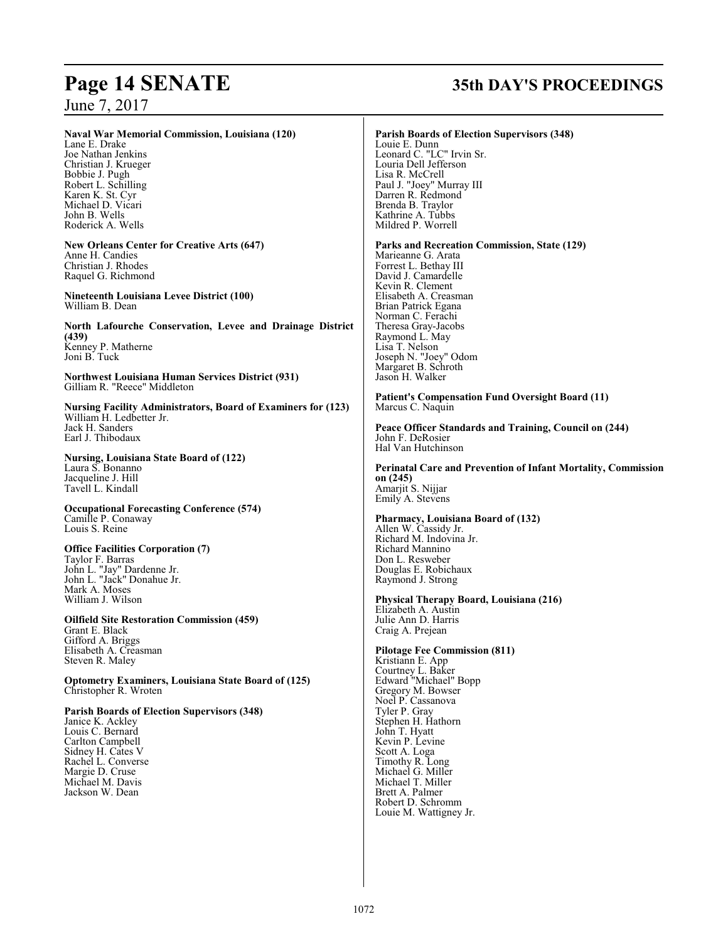#### **Naval War Memorial Commission, Louisiana (120)**

Lane E. Drake Joe Nathan Jenkins Christian J. Krueger Bobbie J. Pugh Robert L. Schilling Karen K. St. Cyr Michael D. Vicari John B. Wells Roderick A. Wells

**New Orleans Center for Creative Arts (647)** Anne H. Candies Christian J. Rhodes Raquel G. Richmond

**Nineteenth Louisiana Levee District (100)** William B. Dean

**North Lafourche Conservation, Levee and Drainage District (439)** Kenney P. Matherne Joni B. Tuck

**Northwest Louisiana Human Services District (931)** Gilliam R. "Reece" Middleton

**Nursing Facility Administrators, Board of Examiners for (123)**  William H. Ledbetter Jr. Jack H. Sanders Earl J. Thibodaux

**Nursing, Louisiana State Board of (122)** Laura S. Bonanno Jacqueline J. Hill Tavell L. Kindall

**Occupational Forecasting Conference (574)** Camille P. Conaway Louis S. Reine

#### **Office Facilities Corporation (7)** Taylor F. Barras

John L. "Jay" Dardenne Jr. John L. "Jack" Donahue Jr. Mark A. Moses William J. Wilson

**Oilfield Site Restoration Commission (459)** Grant E. Black Gifford A. Briggs Elisabeth A. Creasman Steven R. Maley

**Optometry Examiners, Louisiana State Board of (125)** Christopher R. Wroten

#### **Parish Boards of Election Supervisors (348)**

Janice K. Ackley Louis C. Bernard Carlton Campbell Sidney H. Cates V Rachel L. Converse Margie D. Cruse Michael M. Davis Jackson W. Dean

# **Page 14 SENATE 35th DAY'S PROCEEDINGS**

#### **Parish Boards of Election Supervisors (348)**

Louie E. Dunn Leonard C. "LC" Irvin Sr. Louria Dell Jefferson Lisa R. McCrell Paul J. "Joey" Murray III Darren R. Redmond Brenda B. Traylor Kathrine A. Tubbs Mildred P. Worrell

#### **Parks and Recreation Commission, State (129)**

Marieanne G. Arata Forrest L. Bethay III David J. Camardelle Kevin R. Clement Elisabeth A. Creasman Brian Patrick Egana Norman C. Ferachi Theresa Gray-Jacobs Raymond L. May Lisa T. Nelson Joseph N. "Joey" Odom Margaret B. Schroth Jason H. Walker

#### **Patient's Compensation Fund Oversight Board (11)** Marcus C. Naquin

**Peace Officer Standards and Training, Council on (244)** John F. DeRosier Hal Van Hutchinson

**Perinatal Care and Prevention of Infant Mortality, Commission on (245)** Amarjit S. Nijjar Emily A. Stevens

#### **Pharmacy, Louisiana Board of (132)** Allen W. Cassidy Jr. Richard M. Indovina Jr.

Richard Mannino Don L. Resweber Douglas E. Robichaux Raymond J. Strong

#### **Physical Therapy Board, Louisiana (216)** Elizabeth A. Austin

Julie Ann D. Harris Craig A. Prejean

#### **Pilotage Fee Commission (811)**

Kristiann E. App Courtney L. Baker Edward "Michael" Bopp Gregory M. Bowser Noel P. Cassanova Tyler P. Gray Stephen H. Hathorn John T. Hyatt Kevin P. Levine Scott A. Loga Timothy R. Long Michael G. Miller Michael T. Miller Brett A. Palmer Robert D. Schromm Louie M. Wattigney Jr.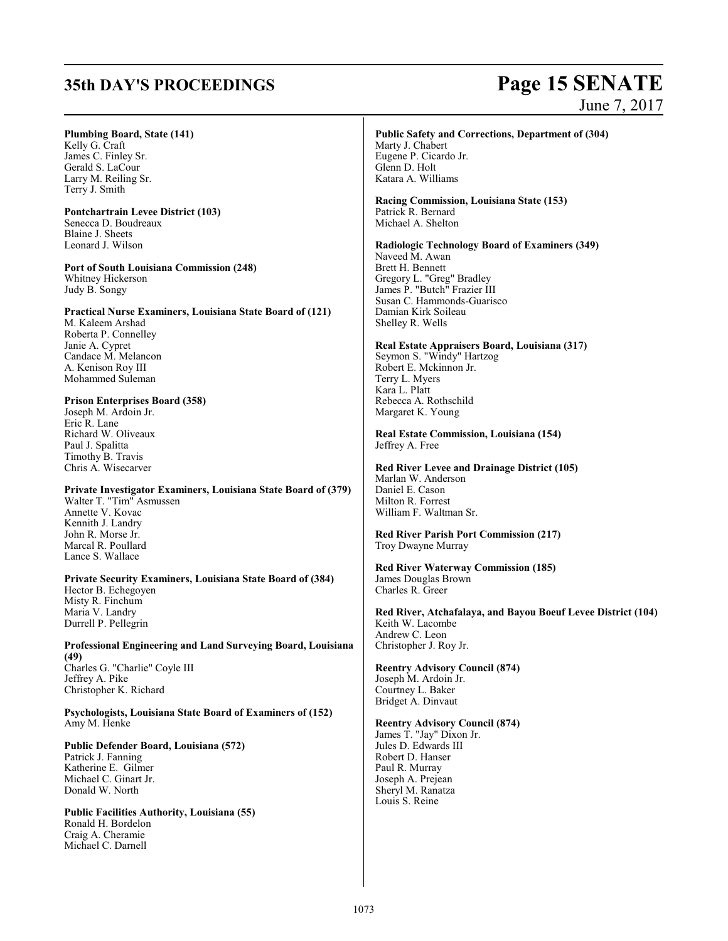Craig A. Cheramie Michael C. Darnell

# **35th DAY'S PROCEEDINGS Page 15 SENATE** June 7, 2017

| <b>Plumbing Board, State (141)</b>                                   | Public Safety and Corrections, Department of (304)             |
|----------------------------------------------------------------------|----------------------------------------------------------------|
| Kelly G. Craft                                                       | Marty J. Chabert                                               |
| James C. Finley Sr.                                                  | Eugene P. Cicardo Jr.                                          |
| Gerald S. LaCour                                                     | Glenn D. Holt                                                  |
| Larry M. Reiling Sr.                                                 | Katara A. Williams                                             |
| Terry J. Smith                                                       |                                                                |
| <b>Pontchartrain Levee District (103)</b>                            | Racing Commission, Louisiana State (153)<br>Patrick R. Bernard |
| Senecca D. Boudreaux                                                 | Michael A. Shelton                                             |
| Blaine J. Sheets                                                     |                                                                |
| Leonard J. Wilson                                                    | Radiologic Technology Board of Examiners (349)                 |
|                                                                      | Naveed M. Awan                                                 |
| Port of South Louisiana Commission (248)                             | Brett H. Bennett                                               |
| Whitney Hickerson                                                    |                                                                |
|                                                                      | Gregory L. "Greg" Bradley<br>James P. "Butch" Frazier III      |
| Judy B. Songy                                                        | Susan C. Hammonds-Guarisco                                     |
|                                                                      |                                                                |
| <b>Practical Nurse Examiners, Louisiana State Board of (121)</b>     | Damian Kirk Soileau                                            |
| M. Kaleem Arshad                                                     | Shelley R. Wells                                               |
| Roberta P. Connelley                                                 |                                                                |
| Janie A. Cypret                                                      | Real Estate Appraisers Board, Louisiana (317)                  |
| Candace M. Melancon                                                  | Seymon S. "Windy" Hartzog                                      |
| A. Kenison Roy III                                                   | Robert E. Mckinnon Jr.                                         |
| Mohammed Suleman                                                     | Terry L. Myers                                                 |
|                                                                      | Kara L. Platt                                                  |
| <b>Prison Enterprises Board (358)</b>                                | Rebecca A. Rothschild                                          |
| Joseph M. Ardoin Jr.                                                 | Margaret K. Young                                              |
| Eric R. Lane                                                         |                                                                |
| Richard W. Oliveaux                                                  | Real Estate Commission, Louisiana (154)                        |
| Paul J. Spalitta                                                     | Jeffrey A. Free                                                |
| Timothy B. Travis                                                    |                                                                |
| Chris A. Wisecarver                                                  | Red River Levee and Drainage District (105)                    |
|                                                                      | Marlan W. Anderson                                             |
| Private Investigator Examiners, Louisiana State Board of (379)       | Daniel E. Cason                                                |
| Walter T. "Tim" Asmussen                                             | Milton R. Forrest                                              |
| Annette V. Kovac                                                     | William F. Waltman Sr.                                         |
| Kennith J. Landry                                                    |                                                                |
| John R. Morse Jr.                                                    | <b>Red River Parish Port Commission (217)</b>                  |
| Marcal R. Poullard                                                   | Troy Dwayne Murray                                             |
| Lance S. Wallace                                                     |                                                                |
|                                                                      | <b>Red River Waterway Commission (185)</b>                     |
| <b>Private Security Examiners, Louisiana State Board of (384)</b>    | James Douglas Brown                                            |
| Hector B. Echegoyen                                                  | Charles R. Greer                                               |
| Misty R. Finchum                                                     |                                                                |
| Maria V. Landry                                                      | Red River, Atchafalaya, and Bayou Boeuf Levee District (104)   |
| Durrell P. Pellegrin                                                 | Keith W. Lacombe                                               |
|                                                                      | Andrew C. Leon                                                 |
| Professional Engineering and Land Surveying Board, Louisiana<br>(49) | Christopher J. Roy Jr.                                         |
| Charles G. "Charlie" Coyle III                                       | <b>Reentry Advisory Council (874)</b>                          |
| Jeffrey A. Pike                                                      | Joseph M. Ardoin Jr.                                           |
| Christopher K. Richard                                               | Courtney L. Baker                                              |
|                                                                      | Bridget A. Dinvaut                                             |
| Psychologists, Louisiana State Board of Examiners of (152)           |                                                                |
| Amy M. Henke                                                         | <b>Reentry Advisory Council (874)</b>                          |
|                                                                      | James T. "Jay" Dixon Jr.                                       |
| Public Defender Board, Louisiana (572)                               | Jules D. Edwards III                                           |
| Patrick J. Fanning                                                   | Robert D. Hanser                                               |
| Katherine E. Gilmer                                                  | Paul R. Murray                                                 |
| Michael C. Ginart Jr.                                                | Joseph A. Prejean                                              |
| Donald W. North                                                      | Sheryl M. Ranatza                                              |
|                                                                      | Louis S. Reine                                                 |
| <b>Public Facilities Authority, Louisiana (55)</b>                   |                                                                |
| Ronald H. Bordelon                                                   |                                                                |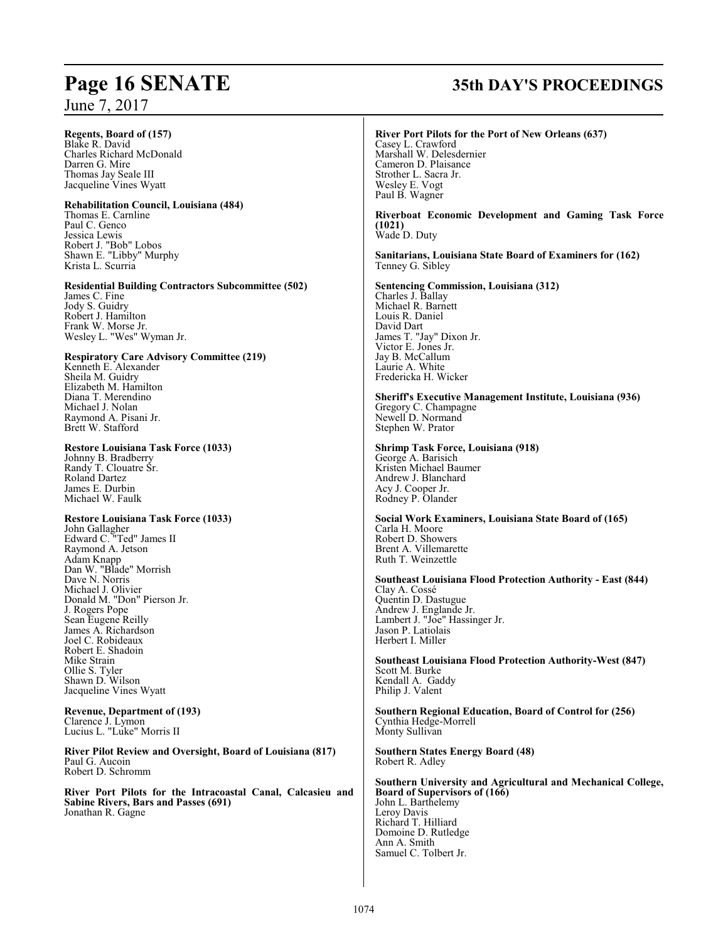**Regents, Board of (157)**

Blake R. David Charles Richard McDonald Darren G. Mire Thomas Jay Seale III Jacqueline Vines Wyatt

#### **Rehabilitation Council, Louisiana (484)** Thomas E. Carnline

Paul C. Genco Jessica Lewis Robert J. "Bob" Lobos Shawn E. "Libby" Murphy Krista L. Scurria

## **Residential Building Contractors Subcommittee (502)**

James C. Fine Jody S. Guidry Robert J. Hamilton Frank W. Morse Jr. Wesley L. "Wes" Wyman Jr.

#### **Respiratory Care Advisory Committee (219)**

Kenneth E. Alexander Sheila M. Guidry Elizabeth M. Hamilton Diana T. Merendino Michael J. Nolan Raymond A. Pisani Jr. Brett W. Stafford

#### **Restore Louisiana Task Force (1033)**

Johnny B. Bradberry Randy T. Clouatre Sr. Roland Dartez James E. Durbin Michael W. Faulk

#### **Restore Louisiana Task Force (1033)**

John Gallagher Edward C. "Ted" James II Raymond A. Jetson Adam Knapp Dan W. "Blade" Morrish Dave N. Norris Michael J. Olivier Donald M. "Don" Pierson Jr. J. Rogers Pope Sean Eugene Reilly James A. Richardson Joel C. Robideaux Robert E. Shadoin Mike Strain Ollie S. Tyler Shawn D. Wilson Jacqueline Vines Wyatt

#### **Revenue, Department of (193)** Clarence J. Lymon Lucius L. "Luke" Morris II

**River Pilot Review and Oversight, Board of Louisiana (817)** Paul G. Aucoin Robert D. Schromm

**River Port Pilots for the Intracoastal Canal, Calcasieu and Sabine Rivers, Bars and Passes (691)**  Jonathan R. Gagne

# **Page 16 SENATE 35th DAY'S PROCEEDINGS**

#### **River Port Pilots for the Port of New Orleans (637)** Casey L. Crawford Marshall W. Delesdernier Cameron D. Plaisance Strother L. Sacra Jr. Wesley E. Vogt

#### **Riverboat Economic Development and Gaming Task Force (1021)**  Wade D. Duty

Paul B. Wagner

Laurie A. White Fredericka H. Wicker

#### **Sanitarians, Louisiana State Board of Examiners for (162)** Tenney G. Sibley

**Sentencing Commission, Louisiana (312)** Charles J. Ballay Michael R. Barnett Louis R. Daniel David Dart James T. "Jay" Dixon Jr. Victor E. Jones Jr. Jay B. McCallum

#### **Sheriff's Executive Management Institute, Louisiana (936)** Gregory C. Champagne Newell D. Normand Stephen W. Prator

#### **Shrimp Task Force, Louisiana (918)**

George A. Barisich Kristen Michael Baumer Andrew J. Blanchard Acy J. Cooper Jr. Rodney P. Olander

**Social Work Examiners, Louisiana State Board of (165)** Carla H. Moore Robert D. Showers Brent A. Villemarette Ruth T. Weinzettle

**Southeast Louisiana Flood Protection Authority - East (844)** Clay A. Cossé Quentin D. Dastugue Andrew J. Englande Jr. Lambert J. "Joe" Hassinger Jr. Jason P. Latiolais Herbert I. Miller

**Southeast Louisiana Flood Protection Authority-West (847)** Scott M. Burke Kendall A. Gaddy Philip J. Valent

**Southern Regional Education, Board of Control for (256)** Cynthia Hedge-Morrell Monty Sullivan

**Southern States Energy Board (48)** Robert R. Adley

**Southern University and Agricultural and Mechanical College, Board of Supervisors of (166)** John L. Barthelemy Leroy Davis Richard T. Hilliard Domoine D. Rutledge Ann A. Smith Samuel C. Tolbert Jr.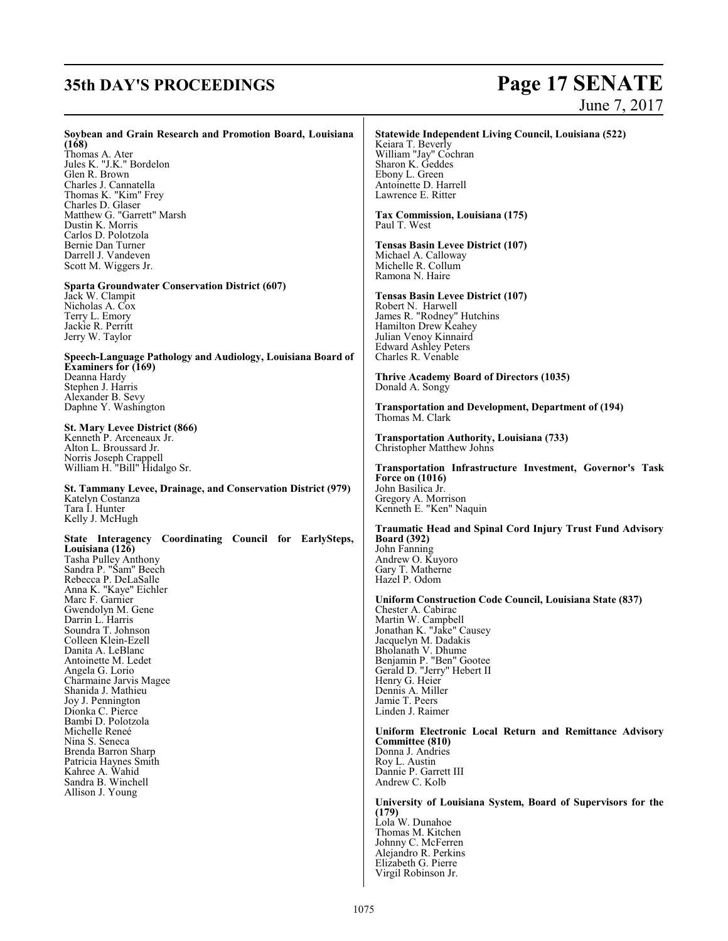# **35th DAY'S PROCEEDINGS Page 17 SENATE** June 7, 2017

| Soybean and Grain Research and Promotion Board, Louisiana<br>(168)<br>Thomas A. Ater<br>Jules K. "J.K." Bordelon<br>Glen R. Brown<br>Charles J. Cannatella<br>Thomas K. "Kim" Frey<br>Charles D. Glaser<br>Matthew G. "Garrett" Marsh<br>Dustin K. Morris<br>Carlos D. Polotzola<br>Bernie Dan Turner<br>Darrell J. Vandeven<br>Scott M. Wiggers Jr.<br><b>Sparta Groundwater Conservation District (607)</b><br>Jack W. Clampit<br>Nicholas A. Cox<br>Terry L. Emory<br>Jackie R. Perritt<br>Jerry W. Taylor<br>Speech-Language Pathology and Audiology, Louisiana Board of<br><b>Examiners for (169)</b><br>Deanna Hardy<br>Stephen J. Harris<br>Alexander B. Sevy<br>Daphne Y. Washington<br>St. Mary Levee District (866)<br>Kenneth P. Arceneaux Jr.<br>Alton L. Broussard Jr.<br>Norris Joseph Crappell | Statewide Independent Living Council, Louisiana (522)<br>Keiara T. Beverly<br>William "Jay" Cochran<br>Sharon K. Geddes<br>Ebony L. Green<br>Antoinette D. Harrell<br>Lawrence E. Ritter<br>Tax Commission, Louisiana (175)<br>Paul T. West<br>Tensas Basin Levee District (107)<br>Michael A. Calloway<br>Michelle R. Collum<br>Ramona N. Haire<br>Tensas Basin Levee District (107)<br>Robert N. Harwell<br>James R. "Rodney" Hutchins<br>Hamilton Drew Keahey<br>Julian Venoy Kinnaird<br><b>Edward Ashley Peters</b><br>Charles R. Venable<br><b>Thrive Academy Board of Directors (1035)</b><br>Donald A. Songy<br><b>Transportation and Development, Department of (194)</b><br>Thomas M. Clark<br><b>Transportation Authority, Louisiana (733)</b><br><b>Christopher Matthew Johns</b>                                                                        |
|---------------------------------------------------------------------------------------------------------------------------------------------------------------------------------------------------------------------------------------------------------------------------------------------------------------------------------------------------------------------------------------------------------------------------------------------------------------------------------------------------------------------------------------------------------------------------------------------------------------------------------------------------------------------------------------------------------------------------------------------------------------------------------------------------------------|----------------------------------------------------------------------------------------------------------------------------------------------------------------------------------------------------------------------------------------------------------------------------------------------------------------------------------------------------------------------------------------------------------------------------------------------------------------------------------------------------------------------------------------------------------------------------------------------------------------------------------------------------------------------------------------------------------------------------------------------------------------------------------------------------------------------------------------------------------------------|
| William H. "Bill" Hidalgo Sr.<br>St. Tammany Levee, Drainage, and Conservation District (979)<br>Katelyn Costanza<br>Tara I. Hunter<br>Kelly J. McHugh                                                                                                                                                                                                                                                                                                                                                                                                                                                                                                                                                                                                                                                        | Transportation Infrastructure Investment, Governor's Task<br><b>Force on (1016)</b><br>John Basilica Jr.<br>Gregory A. Morrison<br>Kenneth E. "Ken" Naquin                                                                                                                                                                                                                                                                                                                                                                                                                                                                                                                                                                                                                                                                                                           |
| State Interagency Coordinating Council for EarlySteps,<br>Louisiana (126)<br>Tasha Pulley Anthony<br>Sandra P. "Sam" Beech<br>Rebecca P. DeLaSalle<br>Anna K. "Kaye" Eichler<br>Marc F. Garnier<br>Gwendolyn M. Gene<br>Darrin L. Harris<br>Soundra T. Johnson<br>Colleen Klein-Ezell<br>Danita A. LeBlanc<br>Antoinette M. Ledet<br>Angela G. Lorio<br>Charmaine Jarvis Magee<br>Shanida J. Mathieu<br>Joy J. Pennington<br>Dionka C. Pierce<br>Bambi D. Polotzola<br>Michelle Reneé<br>Nina S. Seneca<br>Brenda Barron Sharp<br>Patricia Haynes Smith<br>Kahree A. Wahid<br>Sandra B. Winchell<br>Allison J. Young                                                                                                                                                                                          | <b>Traumatic Head and Spinal Cord Injury Trust Fund Advisory</b><br><b>Board</b> (392)<br>John Fanning<br>Andrew O. Kuyoro<br>Gary T. Matherne<br>Hazel P. Odom<br>Uniform Construction Code Council, Louisiana State (837)<br>Chester A. Cabirac<br>Martin W. Campbell<br>Jonathan K. "Jake" Causey<br>Jacquelyn M. Dadakis<br>Bholanath V. Dhume<br>Benjamin P. "Ben" Gootee<br>Gerald D. "Jerry" Hebert II<br>Henry G. Heier<br>Dennis A. Miller<br>Jamie T. Peers<br>Linden J. Raimer<br>Uniform Electronic Local Return and Remittance Advisory<br>Committee (810)<br>Donna J. Andries<br>Roy L. Austin<br>Dannie P. Garrett III<br>Andrew C. Kolb<br>University of Louisiana System, Board of Supervisors for the<br>(179)<br>Lola W. Dunahoe<br>Thomas M. Kitchen<br>Johnny C. McFerren<br>Alejandro R. Perkins<br>Elizabeth G. Pierre<br>Virgil Robinson Jr. |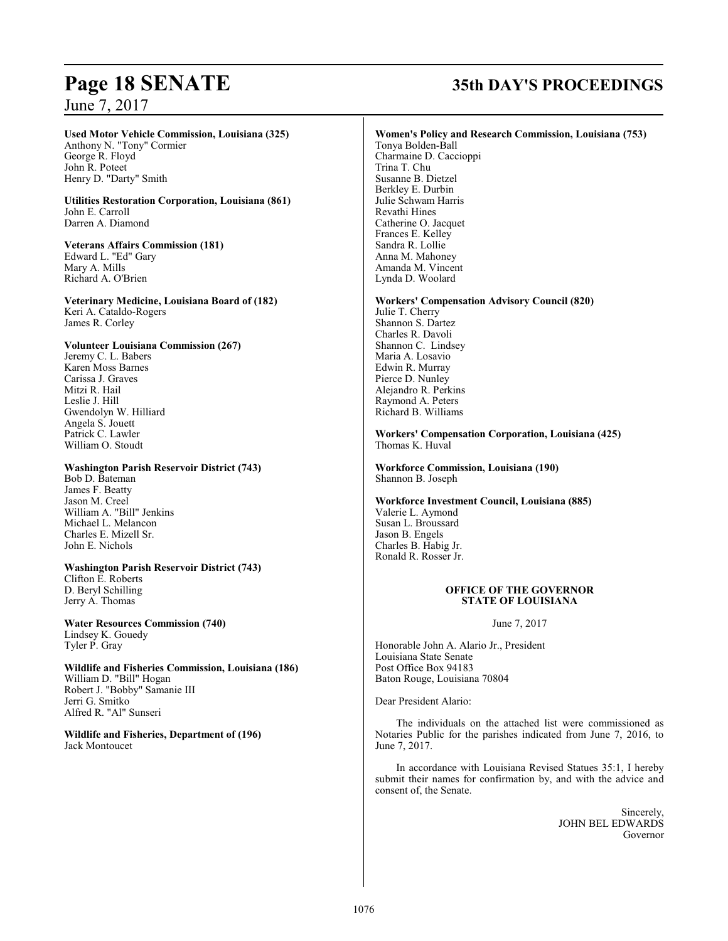#### **Used Motor Vehicle Commission, Louisiana (325)** Anthony N. "Tony" Cormier

George R. Floyd John R. Poteet Henry D. "Darty" Smith

#### **Utilities Restoration Corporation, Louisiana (861)** John E. Carroll Darren A. Diamond

**Veterans Affairs Commission (181)** Edward L. "Ed" Gary Mary A. Mills Richard A. O'Brien

**Veterinary Medicine, Louisiana Board of (182)** Keri A. Cataldo-Rogers James R. Corley

#### **Volunteer Louisiana Commission (267)**

Jeremy C. L. Babers Karen Moss Barnes Carissa J. Graves Mitzi R. Hail Leslie J. Hill Gwendolyn W. Hilliard Angela S. Jouett Patrick C. Lawler William O. Stoudt

#### **Washington Parish Reservoir District (743)**

Bob D. Bateman James F. Beatty Jason M. Creel William A. "Bill" Jenkins Michael L. Melancon Charles E. Mizell Sr. John E. Nichols

**Washington Parish Reservoir District (743)** Clifton E. Roberts D. Beryl Schilling Jerry A. Thomas

**Water Resources Commission (740)** Lindsey K. Gouedy Tyler P. Gray

**Wildlife and Fisheries Commission, Louisiana (186)** William D. "Bill" Hogan Robert J. "Bobby" Samanie III Jerri G. Smitko Alfred R. "Al" Sunseri

**Wildlife and Fisheries, Department of (196)** Jack Montoucet

# **Page 18 SENATE 35th DAY'S PROCEEDINGS**

#### **Women's Policy and Research Commission, Louisiana (753)**

Tonya Bolden-Ball Charmaine D. Caccioppi Trina T. Chu Susanne B. Dietzel Berkley E. Durbin Julie Schwam Harris Revathi Hines Catherine O. Jacquet Frances E. Kelley Sandra R. Lollie Anna M. Mahoney Amanda M. Vincent Lynda D. Woolard

#### **Workers' Compensation Advisory Council (820)**

Julie T. Cherry Shannon S. Dartez Charles R. Davoli Shannon C. Lindsey Maria A. Losavio Edwin R. Murray Pierce D. Nunley Alejandro R. Perkins Raymond A. Peters Richard B. Williams

**Workers' Compensation Corporation, Louisiana (425)** Thomas K. Huval

**Workforce Commission, Louisiana (190)** Shannon B. Joseph

**Workforce Investment Council, Louisiana (885)** Valerie L. Aymond Susan L. Broussard Jason B. Engels Charles B. Habig Jr. Ronald R. Rosser Jr.

#### **OFFICE OF THE GOVERNOR STATE OF LOUISIANA**

June 7, 2017

Honorable John A. Alario Jr., President Louisiana State Senate Post Office Box 94183 Baton Rouge, Louisiana 70804

Dear President Alario:

The individuals on the attached list were commissioned as Notaries Public for the parishes indicated from June 7, 2016, to June 7, 2017.

In accordance with Louisiana Revised Statues 35:1, I hereby submit their names for confirmation by, and with the advice and consent of, the Senate.

> Sincerely, JOHN BEL EDWARDS Governor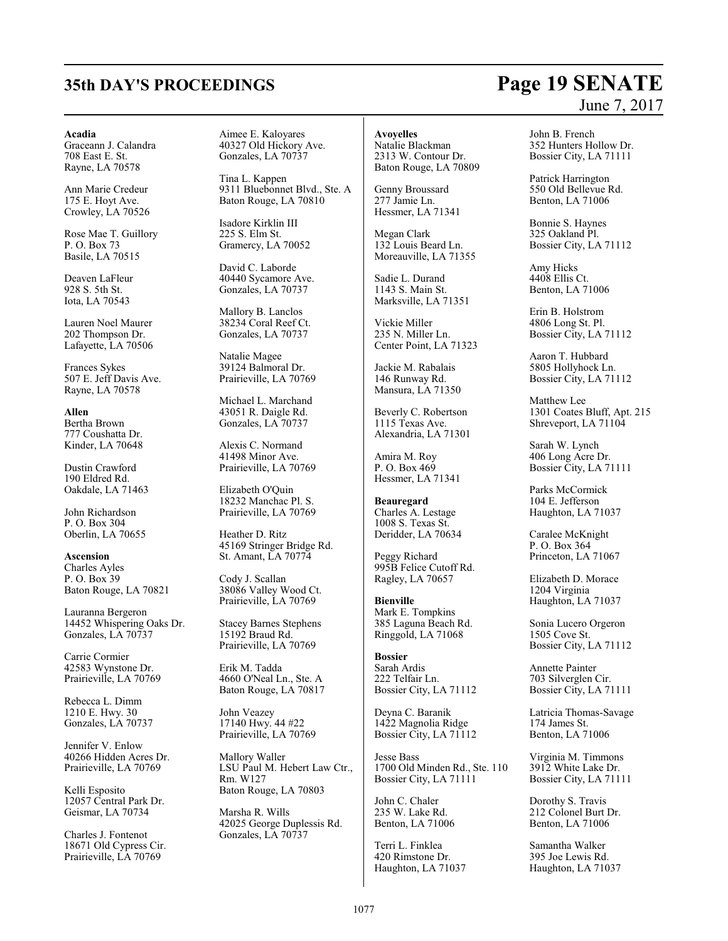#### **Acadia**

Graceann J. Calandra 708 East E. St. Rayne, LA 70578

Ann Marie Credeur 175 E. Hoyt Ave. Crowley, LA 70526

Rose Mae T. Guillory P. O. Box 73 Basile, LA 70515

Deaven LaFleur 928 S. 5th St. Iota, LA 70543

Lauren Noel Maurer 202 Thompson Dr. Lafayette, LA 70506

Frances Sykes 507 E. Jeff Davis Ave. Rayne, LA 70578

**Allen** Bertha Brown 777 Coushatta Dr. Kinder, LA 70648

Dustin Crawford 190 Eldred Rd. Oakdale, LA 71463

John Richardson P. O. Box 304 Oberlin, LA 70655

**Ascension** Charles Ayles P. O. Box 39 Baton Rouge, LA 70821

Lauranna Bergeron 14452 Whispering Oaks Dr. Gonzales, LA 70737

Carrie Cormier 42583 Wynstone Dr. Prairieville, LA 70769

Rebecca L. Dimm 1210 E. Hwy. 30 Gonzales, LA 70737

Jennifer V. Enlow 40266 Hidden Acres Dr. Prairieville, LA 70769

Kelli Esposito 12057 Central Park Dr. Geismar, LA 70734

Charles J. Fontenot 18671 Old Cypress Cir. Prairieville, LA 70769

Aimee E. Kaloyares 40327 Old Hickory Ave. Gonzales, LA 70737

Tina L. Kappen 9311 Bluebonnet Blvd., Ste. A Baton Rouge, LA 70810

Isadore Kirklin III 225 S. Elm St. Gramercy, LA 70052

David C. Laborde 40440 Sycamore Ave. Gonzales, LA 70737

Mallory B. Lanclos 38234 Coral Reef Ct. Gonzales, LA 70737

Natalie Magee 39124 Balmoral Dr. Prairieville, LA 70769

Michael L. Marchand 43051 R. Daigle Rd. Gonzales, LA 70737

Alexis C. Normand 41498 Minor Ave. Prairieville, LA 70769

Elizabeth O'Quin 18232 Manchac Pl. S. Prairieville, LA 70769

Heather D. Ritz 45169 Stringer Bridge Rd. St. Amant, LA 70774

Cody J. Scallan 38086 Valley Wood Ct. Prairieville, LA 70769

Stacey Barnes Stephens 15192 Braud Rd. Prairieville, LA 70769

Erik M. Tadda 4660 O'Neal Ln., Ste. A Baton Rouge, LA 70817

John Veazey 17140 Hwy. 44 #22 Prairieville, LA 70769

Mallory Waller LSU Paul M. Hebert Law Ctr., Rm. W127 Baton Rouge, LA 70803

Marsha R. Wills 42025 George Duplessis Rd. Gonzales, LA 70737

**Avoyelles**

Natalie Blackman 2313 W. Contour Dr. Baton Rouge, LA 70809

Genny Broussard 277 Jamie Ln. Hessmer, LA 71341

Megan Clark 132 Louis Beard Ln. Moreauville, LA 71355

Sadie L. Durand 1143 S. Main St. Marksville, LA 71351

Vickie Miller 235 N. Miller Ln. Center Point, LA 71323

Jackie M. Rabalais 146 Runway Rd. Mansura, LA 71350

Beverly C. Robertson 1115 Texas Ave. Alexandria, LA 71301

Amira M. Roy P. O. Box 469 Hessmer, LA 71341

**Beauregard** Charles A. Lestage 1008 S. Texas St. Deridder, LA 70634

Peggy Richard 995B Felice Cutoff Rd. Ragley, LA 70657

**Bienville** Mark E. Tompkins 385 Laguna Beach Rd. Ringgold, LA 71068

**Bossier** Sarah Ardis 222 Telfair Ln. Bossier City, LA 71112

Deyna C. Baranik 1422 Magnolia Ridge Bossier City, LA 71112

Jesse Bass 1700 Old Minden Rd., Ste. 110 Bossier City, LA 71111

John C. Chaler 235 W. Lake Rd. Benton, LA 71006

Terri L. Finklea 420 Rimstone Dr. Haughton, LA 71037 John B. French 352 Hunters Hollow Dr. Bossier City, LA 71111

Patrick Harrington 550 Old Bellevue Rd. Benton, LA 71006

Bonnie S. Haynes 325 Oakland Pl. Bossier City, LA 71112

Amy Hicks 4408 Ellis Ct. Benton, LA 71006

Erin B. Holstrom 4806 Long St. Pl. Bossier City, LA 71112

Aaron T. Hubbard 5805 Hollyhock Ln. Bossier City, LA 71112

Matthew Lee 1301 Coates Bluff, Apt. 215 Shreveport, LA 71104

Sarah W. Lynch 406 Long Acre Dr. Bossier City, LA 71111

Parks McCormick 104 E. Jefferson Haughton, LA 71037

Caralee McKnight P. O. Box 364 Princeton, LA 71067

Elizabeth D. Morace 1204 Virginia Haughton, LA 71037

Sonia Lucero Orgeron 1505 Cove St. Bossier City, LA 71112

Annette Painter 703 Silverglen Cir. Bossier City, LA 71111

Latricia Thomas-Savage 174 James St. Benton, LA 71006

Virginia M. Timmons 3912 White Lake Dr. Bossier City, LA 71111

Dorothy S. Travis 212 Colonel Burt Dr. Benton, LA 71006

Samantha Walker 395 Joe Lewis Rd. Haughton, LA 71037

# **35th DAY'S PROCEEDINGS Page 19 SENATE** June 7, 2017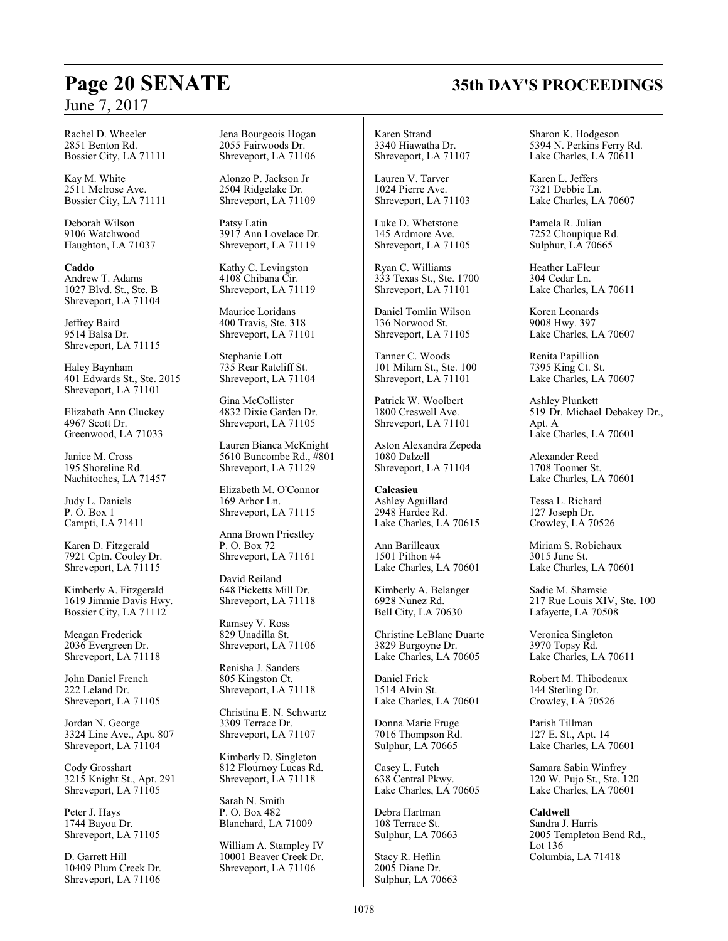Rachel D. Wheeler 2851 Benton Rd. Bossier City, LA 71111

Kay M. White 2511 Melrose Ave. Bossier City, LA 71111

Deborah Wilson 9106 Watchwood Haughton, LA 71037

**Caddo** Andrew T. Adams 1027 Blvd. St., Ste. B Shreveport, LA 71104

Jeffrey Baird 9514 Balsa Dr. Shreveport, LA 71115

Haley Baynham 401 Edwards St., Ste. 2015 Shreveport, LA 71101

Elizabeth Ann Cluckey 4967 Scott Dr. Greenwood, LA 71033

Janice M. Cross 195 Shoreline Rd. Nachitoches, LA 71457

Judy L. Daniels P. O. Box 1 Campti, LA 71411

Karen D. Fitzgerald 7921 Cptn. Cooley Dr. Shreveport, LA 71115

Kimberly A. Fitzgerald 1619 Jimmie Davis Hwy. Bossier City, LA 71112

Meagan Frederick 2036 Evergreen Dr. Shreveport, LA 71118

John Daniel French 222 Leland Dr. Shreveport, LA 71105

Jordan N. George 3324 Line Ave., Apt. 807 Shreveport, LA 71104

Cody Grosshart 3215 Knight St., Apt. 291 Shreveport, LA 71105

Peter J. Hays 1744 Bayou Dr. Shreveport, LA 71105

D. Garrett Hill 10409 Plum Creek Dr. Shreveport, LA 71106 Jena Bourgeois Hogan 2055 Fairwoods Dr. Shreveport, LA 71106

Alonzo P. Jackson Jr 2504 Ridgelake Dr. Shreveport, LA 71109

Patsy Latin 3917 Ann Lovelace Dr. Shreveport, LA 71119

Kathy C. Levingston 4108 Chibana Cir. Shreveport, LA 71119

Maurice Loridans 400 Travis, Ste. 318 Shreveport, LA 71101

Stephanie Lott 735 Rear Ratcliff St. Shreveport, LA 71104

Gina McCollister 4832 Dixie Garden Dr. Shreveport, LA 71105

Lauren Bianca McKnight 5610 Buncombe Rd., #801 Shreveport, LA 71129

Elizabeth M. O'Connor 169 Arbor Ln. Shreveport, LA 71115

Anna Brown Priestley P. O. Box 72 Shreveport, LA 71161

David Reiland 648 Picketts Mill Dr. Shreveport, LA 71118

Ramsey V. Ross 829 Unadilla St. Shreveport, LA 71106

Renisha J. Sanders 805 Kingston Ct. Shreveport, LA 71118

Christina E. N. Schwartz 3309 Terrace Dr. Shreveport, LA 71107

Kimberly D. Singleton 812 Flournoy Lucas Rd. Shreveport, LA 71118

Sarah N. Smith P. O. Box 482 Blanchard, LA 71009

William A. Stampley IV 10001 Beaver Creek Dr. Shreveport, LA 71106

Karen Strand 3340 Hiawatha Dr. Shreveport, LA 71107

Lauren V. Tarver 1024 Pierre Ave. Shreveport, LA 71103

Luke D. Whetstone 145 Ardmore Ave. Shreveport, LA 71105

Ryan C. Williams 333 Texas St., Ste. 1700 Shreveport, LA 71101

Daniel Tomlin Wilson 136 Norwood St. Shreveport, LA 71105

Tanner C. Woods 101 Milam St., Ste. 100 Shreveport, LA 71101

Patrick W. Woolbert 1800 Creswell Ave. Shreveport, LA 71101

Aston Alexandra Zepeda 1080 Dalzell Shreveport, LA 71104

**Calcasieu** Ashley Aguillard 2948 Hardee Rd. Lake Charles, LA 70615

Ann Barilleaux 1501 Pithon #4 Lake Charles, LA 70601

Kimberly A. Belanger 6928 Nunez Rd. Bell City, LA 70630

Christine LeBlanc Duarte 3829 Burgoyne Dr. Lake Charles, LA 70605

Daniel Frick 1514 Alvin St. Lake Charles, LA 70601

Donna Marie Fruge 7016 Thompson Rd. Sulphur, LA 70665

Casey L. Futch 638 Central Pkwy. Lake Charles, LA 70605

Debra Hartman 108 Terrace St. Sulphur, LA 70663

Stacy R. Heflin 2005 Diane Dr. Sulphur, LA 70663 Sharon K. Hodgeson 5394 N. Perkins Ferry Rd. Lake Charles, LA 70611

Karen L. Jeffers 7321 Debbie Ln. Lake Charles, LA 70607

Pamela R. Julian 7252 Choupique Rd. Sulphur, LA  $70665$ 

Heather LaFleur 304 Cedar Ln. Lake Charles, LA 70611

Koren Leonards 9008 Hwy. 397 Lake Charles, LA 70607

Renita Papillion 7395 King Ct. St. Lake Charles, LA 70607

Ashley Plunkett 519 Dr. Michael Debakey Dr., Apt. A Lake Charles, LA 70601

Alexander Reed 1708 Toomer St. Lake Charles, LA 70601

Tessa L. Richard 127 Joseph Dr. Crowley, LA 70526

Miriam S. Robichaux 3015 June St. Lake Charles, LA 70601

Sadie M. Shamsie 217 Rue Louis XIV, Ste. 100 Lafayette, LA 70508

Veronica Singleton 3970 Topsy Rd. Lake Charles, LA 70611

Robert M. Thibodeaux 144 Sterling Dr. Crowley, LA 70526

Parish Tillman 127 E. St., Apt. 14 Lake Charles, LA 70601

Samara Sabin Winfrey 120 W. Pujo St., Ste. 120 Lake Charles, LA 70601

**Caldwell** Sandra J. Harris 2005 Templeton Bend Rd., Lot 136 Columbia, LA 71418

# **Page 20 SENATE 35th DAY'S PROCEEDINGS**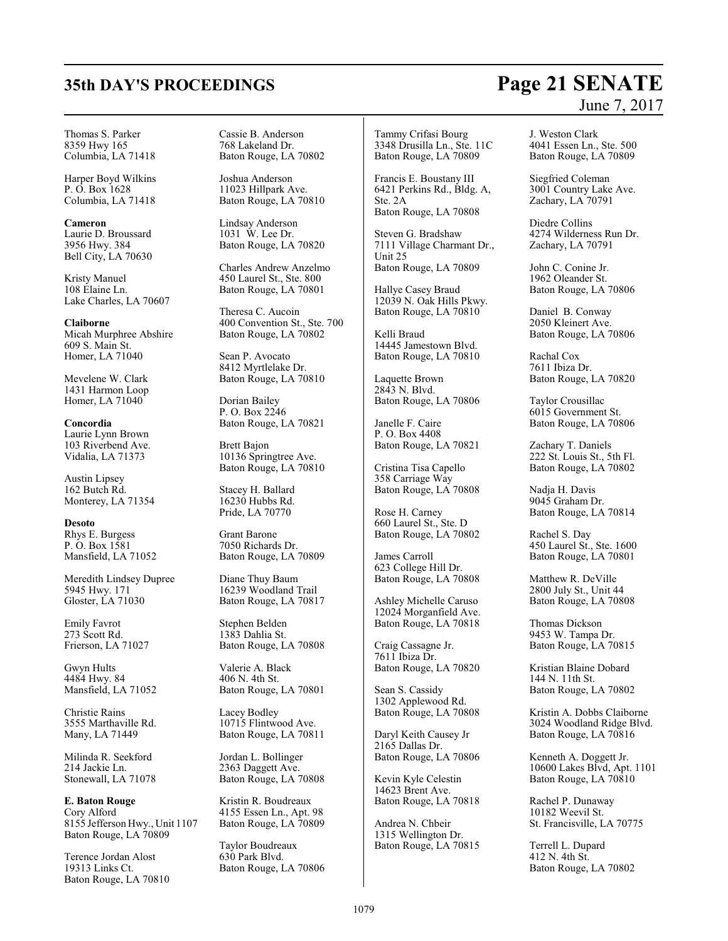# **35th DAY'S PROCEEDINGS Page 21 SENATE**

#### Thomas S. Parker 8359 Hwy 165 Columbia, LA 71418

Harper Boyd Wilkins P. O. Box 1628 Columbia, LA 71418

**Cameron** Laurie D. Broussard 3956 Hwy. 384 Bell City, LA 70630

Kristy Manuel 108 Elaine Ln. Lake Charles, LA 70607

**Claiborne** Micah Murphree Abshire 609 S. Main St. Homer, LA 71040

Mevelene W. Clark 1431 Harmon Loop Homer, LA 71040

**Concordia** Laurie Lynn Brown 103 Riverbend Ave. Vidalia, LA 71373

Austin Lipsey 162 Butch Rd. Monterey, LA 71354

**Desoto** Rhys E. Burgess P. O. Box 1581 Mansfield, LA 71052

Meredith Lindsey Dupree 5945 Hwy. 171 Gloster, LA 71030

Emily Favrot 273 Scott Rd. Frierson, LA 71027

Gwyn Hults 4484 Hwy. 84 Mansfield, LA 71052

Christie Rains 3555 Marthaville Rd. Many, LA 71449

Milinda R. Seekford 214 Jackie Ln. Stonewall, LA 71078

**E. Baton Rouge** Cory Alford 8155 Jefferson Hwy., Unit 1107 Baton Rouge, LA 70809

Terence Jordan Alost 19313 Links Ct. Baton Rouge, LA 70810 Cassie B. Anderson 768 Lakeland Dr. Baton Rouge, LA 70802

Joshua Anderson 11023 Hillpark Ave. Baton Rouge, LA 70810

Lindsay Anderson 1031 W. Lee Dr. Baton Rouge, LA 70820

Charles Andrew Anzelmo 450 Laurel St., Ste. 800 Baton Rouge, LA 70801

Theresa C. Aucoin 400 Convention St., Ste. 700 Baton Rouge, LA 70802

Sean P. Avocato 8412 Myrtlelake Dr. Baton Rouge, LA 70810

Dorian Bailey P. O. Box 2246 Baton Rouge, LA 70821

Brett Bajon 10136 Springtree Ave. Baton Rouge, LA 70810

Stacey H. Ballard 16230 Hubbs Rd. Pride, LA 70770

Grant Barone 7050 Richards Dr. Baton Rouge, LA 70809

Diane Thuy Baum 16239 Woodland Trail Baton Rouge, LA 70817

Stephen Belden 1383 Dahlia St. Baton Rouge, LA 70808

Valerie A. Black 406 N. 4th St. Baton Rouge, LA 70801

Lacey Bodley 10715 Flintwood Ave. Baton Rouge, LA 70811

Jordan L. Bollinger 2363 Daggett Ave. Baton Rouge, LA 70808

Kristin R. Boudreaux 4155 Essen Ln., Apt. 98 Baton Rouge, LA 70809

Taylor Boudreaux 630 Park Blvd. Baton Rouge, LA 70806

Tammy Crifasi Bourg 3348 Drusilla Ln., Ste. 11C Baton Rouge, LA 70809

Francis E. Boustany III 6421 Perkins Rd., Bldg. A, Ste. 2A Baton Rouge, LA 70808

Steven G. Bradshaw 7111 Village Charmant Dr., Unit 25 Baton Rouge, LA 70809

Hallye Casey Braud 12039 N. Oak Hills Pkwy. Baton Rouge, LA 70810

Kelli Braud 14445 Jamestown Blvd. Baton Rouge, LA 70810

Laquette Brown 2843 N. Blvd. Baton Rouge, LA 70806

Janelle F. Caire P. O. Box 4408 Baton Rouge, LA 70821

Cristina Tisa Capello 358 Carriage Way Baton Rouge, LA 70808

Rose H. Carney 660 Laurel St., Ste. D Baton Rouge, LA 70802

James Carroll 623 College Hill Dr. Baton Rouge, LA 70808

Ashley Michelle Caruso 12024 Morganfield Ave. Baton Rouge, LA 70818

Craig Cassagne Jr. 7611 Ibiza Dr. Baton Rouge, LA 70820

Sean S. Cassidy 1302 Applewood Rd. Baton Rouge, LA 70808

Daryl Keith Causey Jr 2165 Dallas Dr. Baton Rouge, LA 70806

Kevin Kyle Celestin 14623 Brent Ave. Baton Rouge, LA 70818

Andrea N. Chbeir 1315 Wellington Dr. Baton Rouge, LA 70815

# June 7, 2017

J. Weston Clark 4041 Essen Ln., Ste. 500 Baton Rouge, LA 70809

Siegfried Coleman 3001 Country Lake Ave. Zachary, LA 70791

Diedre Collins 4274 Wilderness Run Dr. Zachary, LA 70791

John C. Conine Jr. 1962 Oleander St. Baton Rouge, LA 70806

Daniel B. Conway 2050 Kleinert Ave. Baton Rouge, LA 70806

Rachal Cox 7611 Ibiza Dr. Baton Rouge, LA 70820

Taylor Crousillac 6015 Government St. Baton Rouge, LA 70806

Zachary T. Daniels 222 St. Louis St., 5th Fl. Baton Rouge, LA 70802

Nadja H. Davis 9045 Graham Dr. Baton Rouge, LA 70814

Rachel S. Day 450 Laurel St., Ste. 1600 Baton Rouge, LA 70801

Matthew R. DeVille 2800 July St., Unit 44 Baton Rouge, LA 70808

Thomas Dickson 9453 W. Tampa Dr. Baton Rouge, LA 70815

Kristian Blaine Dobard 144 N. 11th St. Baton Rouge, LA 70802

Kristin A. Dobbs Claiborne 3024 Woodland Ridge Blvd. Baton Rouge, LA 70816

Kenneth A. Doggett Jr. 10600 Lakes Blvd, Apt. 1101 Baton Rouge, LA 70810

Rachel P. Dunaway 10182 Weevil St. St. Francisville, LA 70775

Terrell L. Dupard 412 N. 4th St. Baton Rouge, LA 70802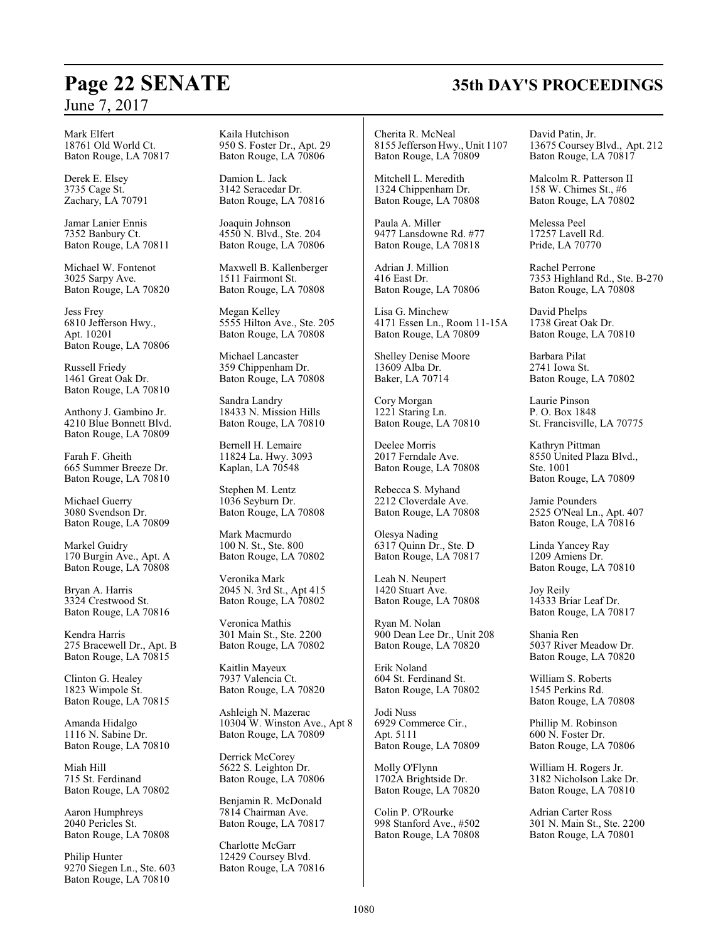Mark Elfert 18761 Old World Ct. Baton Rouge, LA 70817

Derek E. Elsey 3735 Cage St. Zachary, LA 70791

Jamar Lanier Ennis 7352 Banbury Ct. Baton Rouge, LA 70811

Michael W. Fontenot 3025 Sarpy Ave. Baton Rouge, LA 70820

Jess Frey 6810 Jefferson Hwy., Apt. 10201 Baton Rouge, LA 70806

Russell Friedy 1461 Great Oak Dr. Baton Rouge, LA 70810

Anthony J. Gambino Jr. 4210 Blue Bonnett Blvd. Baton Rouge, LA 70809

Farah F. Gheith 665 Summer Breeze Dr. Baton Rouge, LA 70810

Michael Guerry 3080 Svendson Dr. Baton Rouge, LA 70809

Markel Guidry 170 Burgin Ave., Apt. A Baton Rouge, LA 70808

Bryan A. Harris 3324 Crestwood St. Baton Rouge, LA 70816

Kendra Harris 275 Bracewell Dr., Apt. B Baton Rouge, LA 70815

Clinton G. Healey 1823 Wimpole St. Baton Rouge, LA 70815

Amanda Hidalgo 1116 N. Sabine Dr. Baton Rouge, LA 70810

Miah Hill 715 St. Ferdinand Baton Rouge, LA 70802

Aaron Humphreys 2040 Pericles St. Baton Rouge, LA 70808

Philip Hunter 9270 Siegen Ln., Ste. 603 Baton Rouge, LA 70810

Kaila Hutchison 950 S. Foster Dr., Apt. 29 Baton Rouge, LA 70806

Damion L. Jack 3142 Seracedar Dr. Baton Rouge, LA 70816

Joaquin Johnson 4550 N. Blvd., Ste. 204 Baton Rouge, LA 70806

Maxwell B. Kallenberger 1511 Fairmont St. Baton Rouge, LA 70808

Megan Kelley 5555 Hilton Ave., Ste. 205 Baton Rouge, LA 70808

Michael Lancaster 359 Chippenham Dr. Baton Rouge, LA 70808

Sandra Landry 18433 N. Mission Hills Baton Rouge, LA 70810

Bernell H. Lemaire 11824 La. Hwy. 3093 Kaplan, LA 70548

Stephen M. Lentz 1036 Seyburn Dr. Baton Rouge, LA 70808

Mark Macmurdo 100 N. St., Ste. 800 Baton Rouge, LA 70802

Veronika Mark 2045 N. 3rd St., Apt 415 Baton Rouge, LA 70802

Veronica Mathis 301 Main St., Ste. 2200 Baton Rouge, LA 70802

Kaitlin Mayeux 7937 Valencia Ct. Baton Rouge, LA 70820

Ashleigh N. Mazerac 10304 W. Winston Ave., Apt 8 Baton Rouge, LA 70809

Derrick McCorey 5622 S. Leighton Dr. Baton Rouge, LA 70806

Benjamin R. McDonald 7814 Chairman Ave. Baton Rouge, LA 70817

Charlotte McGarr 12429 Coursey Blvd. Baton Rouge, LA 70816

Cherita R. McNeal 8155 Jefferson Hwy., Unit 1107 Baton Rouge, LA 70809

Mitchell L. Meredith 1324 Chippenham Dr. Baton Rouge, LA 70808

Paula A. Miller 9477 Lansdowne Rd. #77 Baton Rouge, LA 70818

Adrian J. Million 416 East Dr. Baton Rouge, LA 70806

Lisa G. Minchew 4171 Essen Ln., Room 11-15A Baton Rouge, LA 70809

Shelley Denise Moore 13609 Alba Dr. Baker, LA 70714

Cory Morgan 1221 Staring Ln. Baton Rouge, LA 70810

Deelee Morris 2017 Ferndale Ave. Baton Rouge, LA 70808

Rebecca S. Myhand 2212 Cloverdale Ave. Baton Rouge, LA 70808

Olesya Nading 6317 Quinn Dr., Ste. D Baton Rouge, LA 70817

Leah N. Neupert 1420 Stuart Ave. Baton Rouge, LA 70808

Ryan M. Nolan 900 Dean Lee Dr., Unit 208 Baton Rouge, LA 70820

Erik Noland 604 St. Ferdinand St. Baton Rouge, LA 70802

Jodi Nuss 6929 Commerce Cir., Apt. 5111 Baton Rouge, LA 70809

Molly O'Flynn 1702A Brightside Dr. Baton Rouge, LA 70820

Colin P. O'Rourke 998 Stanford Ave., #502 Baton Rouge, LA 70808 David Patin, Jr. 13675 CourseyBlvd., Apt. 212 Baton Rouge, LA 70817

Malcolm R. Patterson II 158 W. Chimes St., #6 Baton Rouge, LA 70802

Melessa Peel 17257 Lavell Rd. Pride, LA 70770

Rachel Perrone 7353 Highland Rd., Ste. B-270 Baton Rouge, LA 70808

David Phelps 1738 Great Oak Dr. Baton Rouge, LA 70810

Barbara Pilat 2741 Iowa St. Baton Rouge, LA 70802

Laurie Pinson P. O. Box 1848 St. Francisville, LA 70775

Kathryn Pittman 8550 United Plaza Blvd., Ste. 1001 Baton Rouge, LA 70809

Jamie Pounders 2525 O'Neal Ln., Apt. 407 Baton Rouge, LA 70816

Linda Yancey Ray 1209 Amiens Dr. Baton Rouge, LA 70810

Joy Reily 14333 Briar Leaf Dr. Baton Rouge, LA 70817

Shania Ren 5037 River Meadow Dr. Baton Rouge, LA 70820

William S. Roberts 1545 Perkins Rd. Baton Rouge, LA 70808

Phillip M. Robinson 600 N. Foster Dr. Baton Rouge, LA 70806

William H. Rogers Jr. 3182 Nicholson Lake Dr. Baton Rouge, LA 70810

Adrian Carter Ross 301 N. Main St., Ste. 2200 Baton Rouge, LA 70801

# **Page 22 SENATE 35th DAY'S PROCEEDINGS**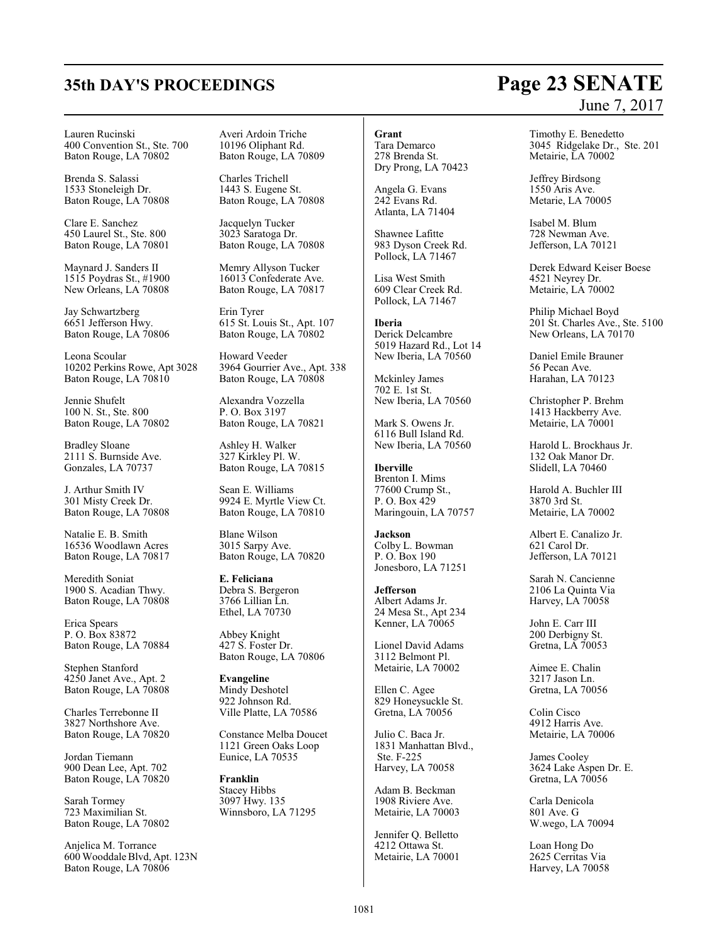# **35th DAY'S PROCEEDINGS Page 23 SENATE**

#### Lauren Rucinski 400 Convention St., Ste. 700 Baton Rouge, LA 70802

Brenda S. Salassi 1533 Stoneleigh Dr. Baton Rouge, LA 70808

Clare E. Sanchez 450 Laurel St., Ste. 800 Baton Rouge, LA 70801

Maynard J. Sanders II 1515 Poydras St., #1900 New Orleans, LA 70808

Jay Schwartzberg 6651 Jefferson Hwy. Baton Rouge, LA 70806

Leona Scoular 10202 Perkins Rowe, Apt 3028 Baton Rouge, LA 70810

Jennie Shufelt 100 N. St., Ste. 800 Baton Rouge, LA 70802

Bradley Sloane 2111 S. Burnside Ave. Gonzales, LA 70737

J. Arthur Smith IV 301 Misty Creek Dr. Baton Rouge, LA 70808

Natalie E. B. Smith 16536 Woodlawn Acres Baton Rouge, LA 70817

Meredith Soniat 1900 S. Acadian Thwy. Baton Rouge, LA 70808

Erica Spears P. O. Box 83872 Baton Rouge, LA 70884

Stephen Stanford 4250 Janet Ave., Apt. 2 Baton Rouge, LA 70808

Charles Terrebonne II 3827 Northshore Ave. Baton Rouge, LA 70820

Jordan Tiemann 900 Dean Lee, Apt. 702 Baton Rouge, LA 70820

Sarah Tormey 723 Maximilian St. Baton Rouge, LA 70802

Anjelica M. Torrance 600 Wooddale Blvd, Apt. 123N Baton Rouge, LA 70806

Averi Ardoin Triche 10196 Oliphant Rd. Baton Rouge, LA 70809

Charles Trichell 1443 S. Eugene St. Baton Rouge, LA 70808

Jacquelyn Tucker 3023 Saratoga Dr. Baton Rouge, LA 70808

Memry Allyson Tucker 16013 Confederate Ave. Baton Rouge, LA 70817

Erin Tyrer 615 St. Louis St., Apt. 107 Baton Rouge, LA 70802

Howard Veeder 3964 Gourrier Ave., Apt. 338 Baton Rouge, LA 70808

Alexandra Vozzella P. O. Box 3197 Baton Rouge, LA 70821

Ashley H. Walker 327 Kirkley Pl. W. Baton Rouge, LA 70815

Sean E. Williams 9924 E. Myrtle View Ct. Baton Rouge, LA 70810

Blane Wilson 3015 Sarpy Ave. Baton Rouge, LA 70820

**E. Feliciana** Debra S. Bergeron 3766 Lillian Ln. Ethel, LA 70730

Abbey Knight 427 S. Foster Dr. Baton Rouge, LA 70806

**Evangeline** Mindy Deshotel 922 Johnson Rd. Ville Platte, LA 70586

Constance Melba Doucet 1121 Green Oaks Loop Eunice, LA 70535

**Franklin** Stacey Hibbs 3097 Hwy. 135 Winnsboro, LA 71295

## **Grant**

Tara Demarco 278 Brenda St. Dry Prong, LA 70423

Angela G. Evans 242 Evans Rd. Atlanta, LA 71404

Shawnee Lafitte 983 Dyson Creek Rd. Pollock, LA 71467

Lisa West Smith 609 Clear Creek Rd. Pollock, LA 71467

**Iberia** Derick Delcambre 5019 Hazard Rd., Lot 14 New Iberia, LA 70560

Mckinley James 702 E. 1st St. New Iberia, LA 70560

Mark S. Owens Jr. 6116 Bull Island Rd. New Iberia, LA 70560

**Iberville** Brenton I. Mims 77600 Crump St., P. O. Box 429 Maringouin, LA 70757

**Jackson** Colby L. Bowman P. O. Box 190 Jonesboro, LA 71251

**Jefferson** Albert Adams Jr. 24 Mesa St., Apt 234 Kenner, LA 70065

Lionel David Adams 3112 Belmont Pl. Metairie, LA 70002

Ellen C. Agee 829 Honeysuckle St. Gretna, LA 70056

Julio C. Baca Jr. 1831 Manhattan Blvd., Ste. F-225 Harvey, LA 70058

Adam B. Beckman 1908 Riviere Ave. Metairie, LA 70003

Jennifer Q. Belletto 4212 Ottawa St. Metairie, LA 70001

# June 7, 2017

Timothy E. Benedetto 3045 Ridgelake Dr., Ste. 201 Metairie, LA 70002

Jeffrey Birdsong 1550 Aris Ave. Metarie, LA 70005

Isabel M. Blum 728 Newman Ave. Jefferson, LA 70121

Derek Edward Keiser Boese 4521 Neyrey Dr. Metairie, LA 70002

Philip Michael Boyd 201 St. Charles Ave., Ste. 5100 New Orleans, LA 70170

Daniel Emile Brauner 56 Pecan Ave. Harahan, LA 70123

Christopher P. Brehm 1413 Hackberry Ave. Metairie, LA 70001

Harold L. Brockhaus Jr. 132 Oak Manor Dr. Slidell, LA 70460

Harold A. Buchler III 3870 3rd St. Metairie, LA 70002

Albert E. Canalizo Jr. 621 Carol Dr. Jefferson, LA 70121

Sarah N. Cancienne 2106 La Quinta Via Harvey, LA 70058

John E. Carr III 200 Derbigny St. Gretna, LA 70053

Aimee E. Chalin 3217 Jason Ln. Gretna, LA 70056

Colin Cisco 4912 Harris Ave. Metairie, LA 70006

James Cooley 3624 Lake Aspen Dr. E. Gretna, LA 70056

Carla Denicola 801 Ave. G W.wego, LA 70094

Loan Hong Do 2625 Cerritas Via Harvey, LA 70058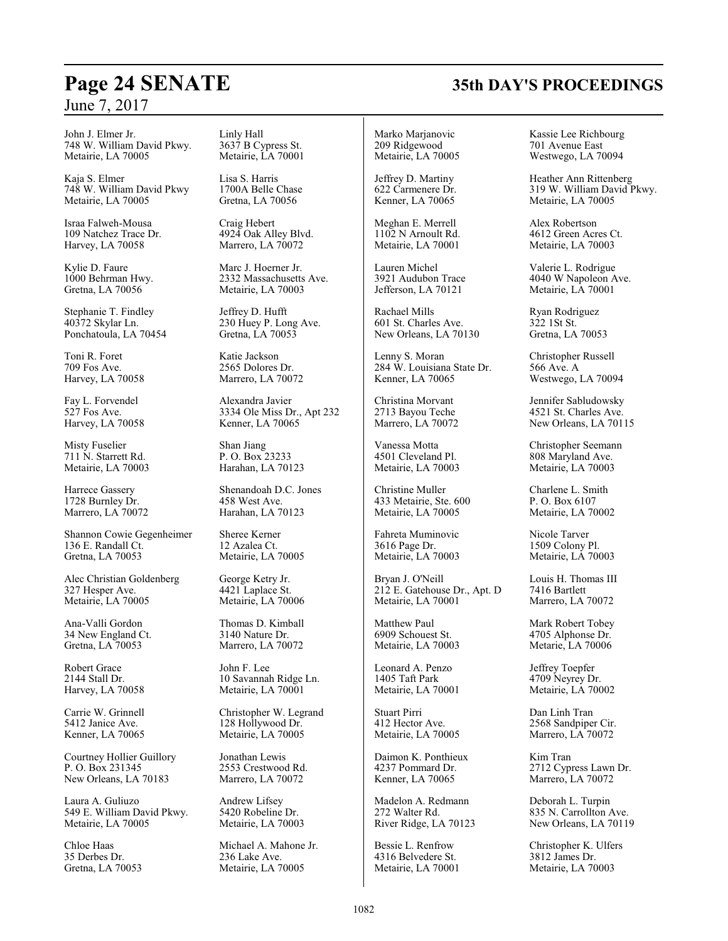John J. Elmer Jr. 748 W. William David Pkwy. Metairie, LA 70005

Kaja S. Elmer 748 W. William David Pkwy Metairie, LA 70005

Israa Falweh-Mousa 109 Natchez Trace Dr. Harvey, LA 70058

Kylie D. Faure 1000 Behrman Hwy. Gretna, LA 70056

Stephanie T. Findley 40372 Skylar Ln. Ponchatoula, LA 70454

Toni R. Foret 709 Fos Ave. Harvey, LA 70058

Fay L. Forvendel 527 Fos Ave. Harvey, LA 70058

Misty Fuselier 711 N. Starrett Rd. Metairie, LA 70003

Harrece Gassery 1728 Burnley Dr. Marrero, LA 70072

Shannon Cowie Gegenheimer 136 E. Randall Ct. Gretna, LA 70053

Alec Christian Goldenberg 327 Hesper Ave. Metairie, LA 70005

Ana-Valli Gordon 34 New England Ct. Gretna, LA 70053

Robert Grace 2144 Stall Dr. Harvey, LA 70058

Carrie W. Grinnell 5412 Janice Ave. Kenner, LA 70065

Courtney Hollier Guillory P. O. Box 231345 New Orleans, LA 70183

Laura A. Guliuzo 549 E. William David Pkwy. Metairie, LA 70005

Chloe Haas 35 Derbes Dr. Gretna, LA 70053 Linly Hall 3637 B Cypress St. Metairie, LA 70001

Lisa S. Harris 1700A Belle Chase Gretna, LA 70056

Craig Hebert 4924 Oak Alley Blvd. Marrero, LA 70072

Marc J. Hoerner Jr. 2332 Massachusetts Ave. Metairie, LA 70003

Jeffrey D. Hufft 230 Huey P. Long Ave. Gretna, LA 70053

Katie Jackson 2565 Dolores Dr. Marrero, LA 70072

Alexandra Javier 3334 Ole Miss Dr., Apt 232 Kenner, LA 70065

Shan Jiang P. O. Box 23233 Harahan, LA 70123

Shenandoah D.C. Jones 458 West Ave. Harahan, LA 70123

Sheree Kerner 12 Azalea Ct. Metairie, LA 70005

George Ketry Jr. 4421 Laplace St. Metairie, LA 70006

Thomas D. Kimball 3140 Nature Dr. Marrero, LA 70072

John F. Lee 10 Savannah Ridge Ln. Metairie, LA 70001

Christopher W. Legrand 128 Hollywood Dr. Metairie, LA 70005

Jonathan Lewis 2553 Crestwood Rd. Marrero, LA 70072

Andrew Lifsey 5420 Robeline Dr. Metairie, LA 70003

Michael A. Mahone Jr. 236 Lake Ave. Metairie, LA 70005

Marko Marjanovic 209 Ridgewood Metairie, LA 70005

Jeffrey D. Martiny 622 Carmenere Dr. Kenner, LA 70065

Meghan E. Merrell 1102 N Arnoult Rd. Metairie, LA 70001

Lauren Michel 3921 Audubon Trace Jefferson, LA 70121

Rachael Mills 601 St. Charles Ave. New Orleans, LA 70130

Lenny S. Moran 284 W. Louisiana State Dr. Kenner, LA 70065

Christina Morvant 2713 Bayou Teche Marrero, LA 70072

Vanessa Motta 4501 Cleveland Pl. Metairie, LA 70003

Christine Muller 433 Metairie, Ste. 600 Metairie, LA 70005

Fahreta Muminovic 3616 Page Dr. Metairie, LA 70003

Bryan J. O'Neill 212 E. Gatehouse Dr., Apt. D Metairie, LA 70001

Matthew Paul 6909 Schouest St. Metairie, LA 70003

Leonard A. Penzo 1405 Taft Park Metairie, LA 70001

Stuart Pirri 412 Hector Ave. Metairie, LA 70005

Daimon K. Ponthieux 4237 Pommard Dr. Kenner, LA 70065

Madelon A. Redmann 272 Walter Rd. River Ridge, LA 70123

Bessie L. Renfrow 4316 Belvedere St. Metairie, LA 70001 Kassie Lee Richbourg 701 Avenue East Westwego, LA 70094

Heather Ann Rittenberg 319 W. William David Pkwy. Metairie, LA 70005

Alex Robertson 4612 Green Acres Ct. Metairie, LA 70003

Valerie L. Rodrigue 4040 W Napoleon Ave. Metairie, LA 70001

Ryan Rodriguez 322 1St St. Gretna, LA 70053

Christopher Russell 566 Ave. A Westwego, LA 70094

Jennifer Sabludowsky 4521 St. Charles Ave. New Orleans, LA 70115

Christopher Seemann 808 Maryland Ave. Metairie, LA 70003

Charlene L. Smith P. O. Box 6107 Metairie, LA 70002

Nicole Tarver 1509 Colony Pl. Metairie, LA 70003

Louis H. Thomas III 7416 Bartlett Marrero, LA 70072

Mark Robert Tobey 4705 Alphonse Dr. Metarie, LA 70006

Jeffrey Toepfer 4709 Neyrey Dr. Metairie, LA 70002

Dan Linh Tran 2568 Sandpiper Cir. Marrero, LA 70072

Kim Tran 2712 Cypress Lawn Dr. Marrero, LA 70072

Deborah L. Turpin 835 N. Carrollton Ave. New Orleans, LA 70119

Christopher K. Ulfers 3812 James Dr. Metairie, LA 70003

# **Page 24 SENATE 35th DAY'S PROCEEDINGS**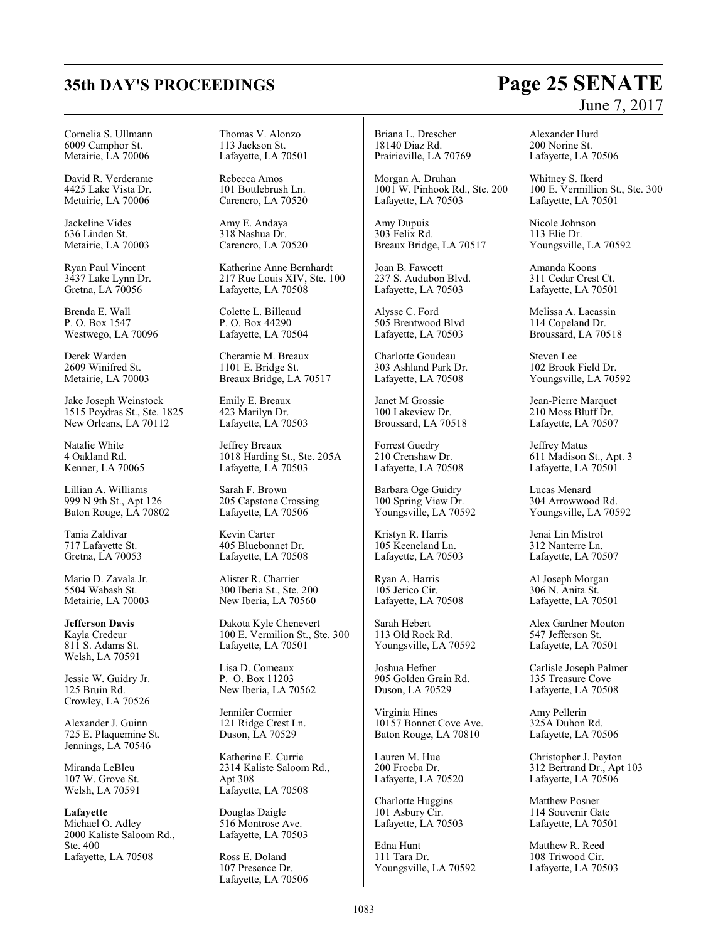#### Cornelia S. Ullmann 6009 Camphor St. Metairie, LA 70006

David R. Verderame 4425 Lake Vista Dr. Metairie, LA 70006

Jackeline Vides 636 Linden St. Metairie, LA 70003

Ryan Paul Vincent 3437 Lake Lynn Dr. Gretna, LA 70056

Brenda E. Wall P. O. Box 1547 Westwego, LA 70096

Derek Warden 2609 Winifred St. Metairie, LA 70003

Jake Joseph Weinstock 1515 Poydras St., Ste. 1825 New Orleans, LA 70112

Natalie White 4 Oakland Rd. Kenner, LA 70065

Lillian A. Williams 999 N 9th St., Apt 126 Baton Rouge, LA 70802

Tania Zaldivar 717 Lafayette St. Gretna, LA 70053

Mario D. Zavala Jr. 5504 Wabash St. Metairie, LA 70003

**Jefferson Davis** Kayla Credeur 811 S. Adams St. Welsh, LA 70591

Jessie W. Guidry Jr. 125 Bruin Rd. Crowley, LA 70526

Alexander J. Guinn 725 E. Plaquemine St. Jennings, LA 70546

Miranda LeBleu 107 W. Grove St. Welsh, LA 70591

**Lafayette** Michael O. Adley 2000 Kaliste Saloom Rd., Ste. 400 Lafayette, LA 70508

Thomas V. Alonzo 113 Jackson St. Lafayette, LA 70501

Rebecca Amos 101 Bottlebrush Ln. Carencro, LA 70520

Amy E. Andaya 318 Nashua Dr. Carencro, LA 70520

Katherine Anne Bernhardt 217 Rue Louis XIV, Ste. 100 Lafayette, LA 70508

Colette L. Billeaud P. O. Box 44290 Lafayette, LA 70504

Cheramie M. Breaux 1101 E. Bridge St. Breaux Bridge, LA 70517

Emily E. Breaux 423 Marilyn Dr. Lafayette, LA 70503

Jeffrey Breaux 1018 Harding St., Ste. 205A Lafayette, LA 70503

Sarah F. Brown 205 Capstone Crossing Lafayette, LA 70506

Kevin Carter 405 Bluebonnet Dr. Lafayette, LA 70508

Alister R. Charrier 300 Iberia St., Ste. 200 New Iberia, LA 70560

Dakota Kyle Chenevert 100 E. Vermilion St., Ste. 300 Lafayette, LA 70501

Lisa D. Comeaux P. O. Box 11203 New Iberia, LA 70562

Jennifer Cormier 121 Ridge Crest Ln. Duson, LA 70529

Katherine E. Currie 2314 Kaliste Saloom Rd., Apt 308 Lafayette, LA 70508

Douglas Daigle 516 Montrose Ave. Lafayette, LA 70503

Ross E. Doland 107 Presence Dr. Lafayette, LA 70506

Briana L. Drescher 18140 Diaz Rd. Prairieville, LA 70769

Morgan A. Druhan 1001 W. Pinhook Rd., Ste. 200 Lafayette, LA 70503

Amy Dupuis 303 Felix Rd. Breaux Bridge, LA 70517

Joan B. Fawcett 237 S. Audubon Blvd. Lafayette, LA 70503

Alysse C. Ford 505 Brentwood Blvd Lafayette, LA 70503

Charlotte Goudeau 303 Ashland Park Dr. Lafayette, LA 70508

Janet M Grossie 100 Lakeview Dr. Broussard, LA 70518

Forrest Guedry 210 Crenshaw Dr. Lafayette, LA 70508

Barbara Oge Guidry 100 Spring View Dr. Youngsville, LA 70592

Kristyn R. Harris 105 Keeneland Ln. Lafayette, LA 70503

Ryan A. Harris 105 Jerico Cir. Lafayette, LA 70508

Sarah Hebert 113 Old Rock Rd. Youngsville, LA 70592

Joshua Hefner 905 Golden Grain Rd. Duson, LA 70529

Virginia Hines 10157 Bonnet Cove Ave. Baton Rouge, LA 70810

Lauren M. Hue 200 Froeba Dr. Lafayette, LA 70520

Charlotte Huggins 101 Asbury Cir. Lafayette, LA 70503

Edna Hunt 111 Tara Dr. Youngsville, LA 70592 Alexander Hurd 200 Norine St. Lafayette, LA 70506

Whitney S. Ikerd 100 E. Vermillion St., Ste. 300 Lafayette, LA 70501

Nicole Johnson 113 Elie Dr. Youngsville, LA 70592

Amanda Koons 311 Cedar Crest Ct. Lafayette, LA 70501

Melissa A. Lacassin 114 Copeland Dr. Broussard, LA 70518

Steven Lee 102 Brook Field Dr. Youngsville, LA 70592

Jean-Pierre Marquet 210 Moss Bluff Dr. Lafayette, LA 70507

Jeffrey Matus 611 Madison St., Apt. 3 Lafayette, LA 70501

Lucas Menard 304 Arrowwood Rd. Youngsville, LA 70592

Jenai Lin Mistrot 312 Nanterre Ln. Lafayette, LA 70507

Al Joseph Morgan 306 N. Anita St. Lafayette, LA 70501

Alex Gardner Mouton 547 Jefferson St. Lafayette, LA 70501

Carlisle Joseph Palmer 135 Treasure Cove Lafayette, LA 70508

Amy Pellerin 325A Duhon Rd. Lafayette, LA 70506

Christopher J. Peyton 312 Bertrand Dr., Apt 103 Lafayette, LA 70506

Matthew Posner 114 Souvenir Gate Lafayette, LA 70501

Matthew R. Reed 108 Triwood Cir. Lafayette, LA 70503

# **35th DAY'S PROCEEDINGS Page 25 SENATE** June 7, 2017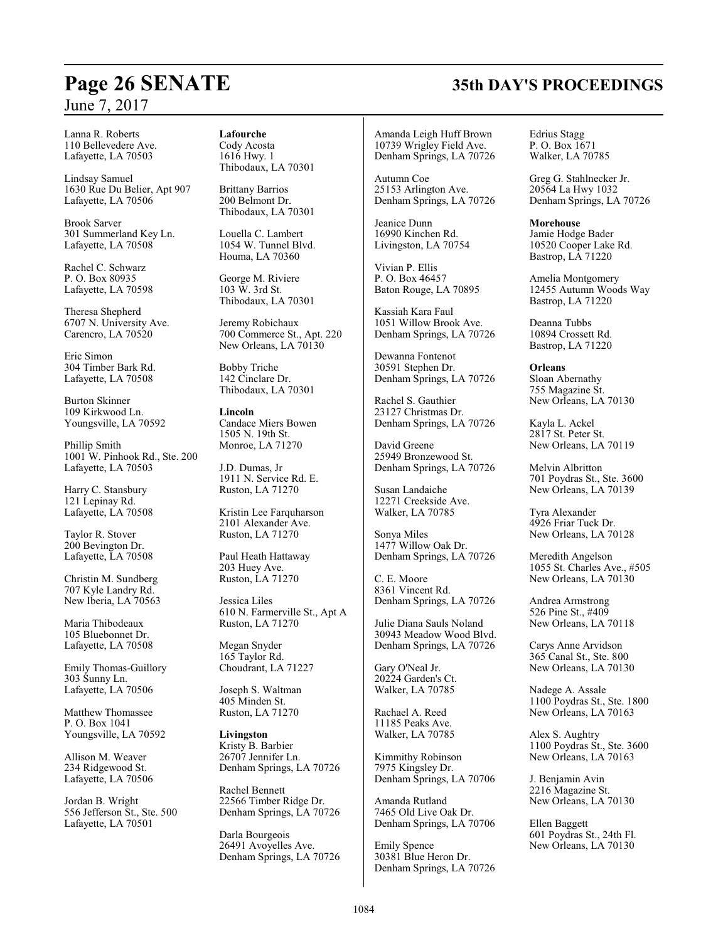#### Lanna R. Roberts 110 Bellevedere Ave. Lafayette, LA 70503

Lindsay Samuel 1630 Rue Du Belier, Apt 907 Lafayette, LA 70506

Brook Sarver 301 Summerland Key Ln. Lafayette, LA 70508

Rachel C. Schwarz P. O. Box 80935 Lafayette, LA 70598

Theresa Shepherd 6707 N. University Ave. Carencro, LA 70520

Eric Simon 304 Timber Bark Rd. Lafayette, LA 70508

Burton Skinner 109 Kirkwood Ln. Youngsville, LA 70592

Phillip Smith 1001 W. Pinhook Rd., Ste. 200 Lafayette, LA 70503

Harry C. Stansbury 121 Lepinay Rd. Lafayette, LA 70508

Taylor R. Stover 200 Bevington Dr. Lafayette, LA 70508

Christin M. Sundberg 707 Kyle Landry Rd. New Iberia, LA 70563

Maria Thibodeaux 105 Bluebonnet Dr. Lafayette, LA 70508

Emily Thomas-Guillory 303 Sunny Ln. Lafayette, LA 70506

Matthew Thomassee P. O. Box 1041 Youngsville, LA 70592

Allison M. Weaver 234 Ridgewood St. Lafayette, LA 70506

Jordan B. Wright 556 Jefferson St., Ste. 500 Lafayette, LA 70501

**Lafourche** Cody Acosta 1616 Hwy. 1 Thibodaux, LA 70301

Brittany Barrios 200 Belmont Dr. Thibodaux, LA 70301

Louella C. Lambert 1054 W. Tunnel Blvd. Houma, LA 70360

George M. Riviere 103 W. 3rd St. Thibodaux, LA 70301

Jeremy Robichaux 700 Commerce St., Apt. 220 New Orleans, LA 70130

Bobby Triche 142 Cinclare Dr. Thibodaux, LA 70301

**Lincoln** Candace Miers Bowen 1505 N. 19th St. Monroe, LA 71270

J.D. Dumas, Jr 1911 N. Service Rd. E. Ruston, LA 71270

Kristin Lee Farquharson 2101 Alexander Ave. Ruston, LA 71270

Paul Heath Hattaway 203 Huey Ave. Ruston, LA 71270

Jessica Liles 610 N. Farmerville St., Apt A Ruston, LA 71270

Megan Snyder 165 Taylor Rd. Choudrant, LA 71227

Joseph S. Waltman 405 Minden St. Ruston, LA 71270

**Livingston** Kristy B. Barbier 26707 Jennifer Ln. Denham Springs, LA 70726

Rachel Bennett 22566 Timber Ridge Dr. Denham Springs, LA 70726

Darla Bourgeois 26491 Avoyelles Ave. Denham Springs, LA 70726

Amanda Leigh Huff Brown 10739 Wrigley Field Ave. Denham Springs, LA 70726

Autumn Coe 25153 Arlington Ave. Denham Springs, LA 70726

Jeanice Dunn 16990 Kinchen Rd. Livingston, LA 70754

Vivian P. Ellis P. O. Box 46457 Baton Rouge, LA 70895

Kassiah Kara Faul 1051 Willow Brook Ave. Denham Springs, LA 70726

Dewanna Fontenot 30591 Stephen Dr. Denham Springs, LA 70726

Rachel S. Gauthier 23127 Christmas Dr. Denham Springs, LA 70726

David Greene 25949 Bronzewood St. Denham Springs, LA 70726

Susan Landaiche 12271 Creekside Ave. Walker, LA 70785

Sonya Miles 1477 Willow Oak Dr. Denham Springs, LA 70726

C. E. Moore 8361 Vincent Rd. Denham Springs, LA 70726

Julie Diana Sauls Noland 30943 Meadow Wood Blvd. Denham Springs, LA 70726

Gary O'Neal Jr. 20224 Garden's Ct. Walker, LA 70785

Rachael A. Reed 11185 Peaks Ave. Walker, LA 70785

Kimmithy Robinson 7975 Kingsley Dr. Denham Springs, LA 70706

Amanda Rutland 7465 Old Live Oak Dr. Denham Springs, LA 70706

Emily Spence 30381 Blue Heron Dr. Denham Springs, LA 70726 Edrius Stagg P. O. Box 1671 Walker, LA 70785

Greg G. Stahlnecker Jr. 20564 La Hwy 1032 Denham Springs, LA 70726

**Morehouse**

Jamie Hodge Bader 10520 Cooper Lake Rd. Bastrop, LA 71220

Amelia Montgomery 12455 Autumn Woods Way Bastrop, LA 71220

Deanna Tubbs 10894 Crossett Rd. Bastrop, LA 71220

**Orleans** Sloan Abernathy 755 Magazine St. New Orleans, LA 70130

Kayla L. Ackel 2817 St. Peter St. New Orleans, LA 70119

Melvin Albritton 701 Poydras St., Ste. 3600 New Orleans, LA 70139

Tyra Alexander 4926 Friar Tuck Dr. New Orleans, LA 70128

Meredith Angelson 1055 St. Charles Ave., #505 New Orleans, LA 70130

Andrea Armstrong 526 Pine St., #409 New Orleans, LA 70118

Carys Anne Arvidson 365 Canal St., Ste. 800 New Orleans, LA 70130

Nadege A. Assale 1100 Poydras St., Ste. 1800 New Orleans, LA 70163

Alex S. Aughtry 1100 Poydras St., Ste. 3600 New Orleans, LA 70163

J. Benjamin Avin 2216 Magazine St. New Orleans, LA 70130

Ellen Baggett 601 Poydras St., 24th Fl. New Orleans, LA 70130

# **Page 26 SENATE 35th DAY'S PROCEEDINGS**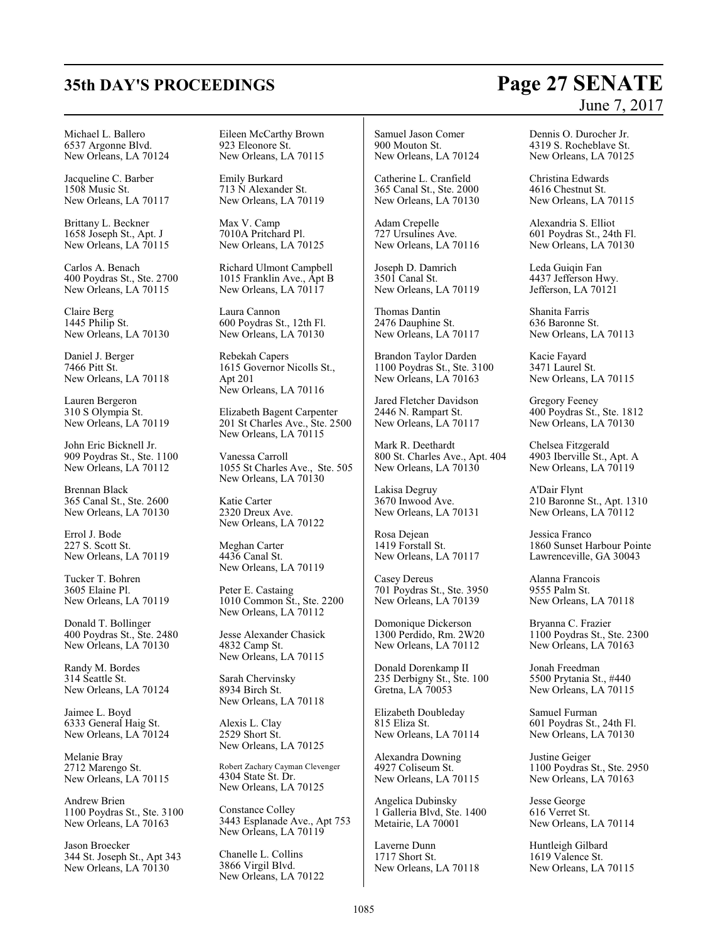# **35th DAY'S PROCEEDINGS Page 27 SENATE**

Michael L. Ballero 6537 Argonne Blvd. New Orleans, LA 70124

Jacqueline C. Barber 1508 Music St. New Orleans, LA 70117

Brittany L. Beckner 1658 Joseph St., Apt. J New Orleans, LA 70115

Carlos A. Benach 400 Poydras St., Ste. 2700 New Orleans, LA 70115

Claire Berg 1445 Philip St. New Orleans, LA 70130

Daniel J. Berger 7466 Pitt St. New Orleans, LA 70118

Lauren Bergeron 310 S Olympia St. New Orleans, LA 70119

John Eric Bicknell Jr. 909 Poydras St., Ste. 1100 New Orleans, LA 70112

Brennan Black 365 Canal St., Ste. 2600 New Orleans, LA 70130

Errol J. Bode 227 S. Scott St. New Orleans, LA 70119

Tucker T. Bohren 3605 Elaine Pl. New Orleans, LA 70119

Donald T. Bollinger 400 Poydras St., Ste. 2480 New Orleans, LA 70130

Randy M. Bordes 314 Seattle St. New Orleans, LA 70124

Jaimee L. Boyd 6333 General Haig St. New Orleans, LA 70124

Melanie Bray 2712 Marengo St. New Orleans, LA 70115

Andrew Brien 1100 Poydras St., Ste. 3100 New Orleans, LA 70163

Jason Broecker 344 St. Joseph St., Apt 343 New Orleans, LA 70130

Eileen McCarthy Brown 923 Eleonore St. New Orleans, LA 70115

Emily Burkard 713 N Alexander St. New Orleans, LA 70119

Max V. Camp 7010A Pritchard Pl. New Orleans, LA 70125

Richard Ulmont Campbell 1015 Franklin Ave., Apt B New Orleans, LA 70117

Laura Cannon 600 Poydras St., 12th Fl. New Orleans, LA 70130

Rebekah Capers 1615 Governor Nicolls St., Apt 201 New Orleans, LA 70116

Elizabeth Bagent Carpenter 201 St Charles Ave., Ste. 2500 New Orleans, LA 70115

Vanessa Carroll 1055 St Charles Ave., Ste. 505 New Orleans, LA 70130

Katie Carter 2320 Dreux Ave. New Orleans, LA 70122

Meghan Carter 4436 Canal St. New Orleans, LA 70119

Peter E. Castaing 1010 Common St., Ste. 2200 New Orleans, LA 70112

Jesse Alexander Chasick 4832 Camp St. New Orleans, LA 70115

Sarah Chervinsky 8934 Birch St. New Orleans, LA 70118

Alexis L. Clay 2529 Short St. New Orleans, LA 70125

Robert Zachary Cayman Clevenger 4304 State St. Dr. New Orleans, LA 70125

Constance Colley 3443 Esplanade Ave., Apt 753 New Orleans, LA 70119

Chanelle L. Collins 3866 Virgil Blvd. New Orleans, LA 70122

Samuel Jason Comer 900 Mouton St. New Orleans, LA 70124

Catherine L. Cranfield 365 Canal St., Ste. 2000 New Orleans, LA 70130

Adam Crepelle 727 Ursulines Ave. New Orleans, LA 70116

Joseph D. Damrich 3501 Canal St. New Orleans, LA 70119

Thomas Dantin 2476 Dauphine St. New Orleans, LA 70117

Brandon Taylor Darden 1100 Poydras St., Ste. 3100 New Orleans, LA 70163

Jared Fletcher Davidson 2446 N. Rampart St. New Orleans, LA 70117

Mark R. Deethardt 800 St. Charles Ave., Apt. 404 New Orleans, LA 70130

Lakisa Degruy 3670 Inwood Ave. New Orleans, LA 70131

Rosa Dejean 1419 Forstall St. New Orleans, LA 70117

Casey Dereus 701 Poydras St., Ste. 3950 New Orleans, LA 70139

Domonique Dickerson 1300 Perdido, Rm. 2W20 New Orleans, LA 70112

Donald Dorenkamp II 235 Derbigny St., Ste. 100 Gretna, LA 70053

Elizabeth Doubleday 815 Eliza St. New Orleans, LA 70114

Alexandra Downing 4927 Coliseum St. New Orleans, LA 70115

Angelica Dubinsky 1 Galleria Blvd, Ste. 1400 Metairie, LA 70001

Laverne Dunn 1717 Short St. New Orleans, LA 70118 Dennis O. Durocher Jr. 4319 S. Rocheblave St. New Orleans, LA 70125

Christina Edwards 4616 Chestnut St. New Orleans, LA 70115

Alexandria S. Elliot 601 Poydras St., 24th Fl. New Orleans, LA 70130

Leda Guiqin Fan 4437 Jefferson Hwy. Jefferson, LA 70121

Shanita Farris 636 Baronne St. New Orleans, LA 70113

Kacie Fayard 3471 Laurel St. New Orleans, LA 70115

Gregory Feeney 400 Poydras St., Ste. 1812 New Orleans, LA 70130

Chelsea Fitzgerald 4903 Iberville St., Apt. A New Orleans, LA 70119

A'Dair Flynt 210 Baronne St., Apt. 1310 New Orleans, LA 70112

Jessica Franco 1860 Sunset Harbour Pointe Lawrenceville, GA 30043

Alanna Francois 9555 Palm St. New Orleans, LA 70118

Bryanna C. Frazier 1100 Poydras St., Ste. 2300 New Orleans, LA 70163

Jonah Freedman 5500 Prytania St., #440 New Orleans, LA 70115

Samuel Furman 601 Poydras St., 24th Fl. New Orleans, LA 70130

Justine Geiger 1100 Poydras St., Ste. 2950 New Orleans, LA 70163

Jesse George 616 Verret St. New Orleans, LA 70114

Huntleigh Gilbard 1619 Valence St. New Orleans, LA 70115

# June 7, 2017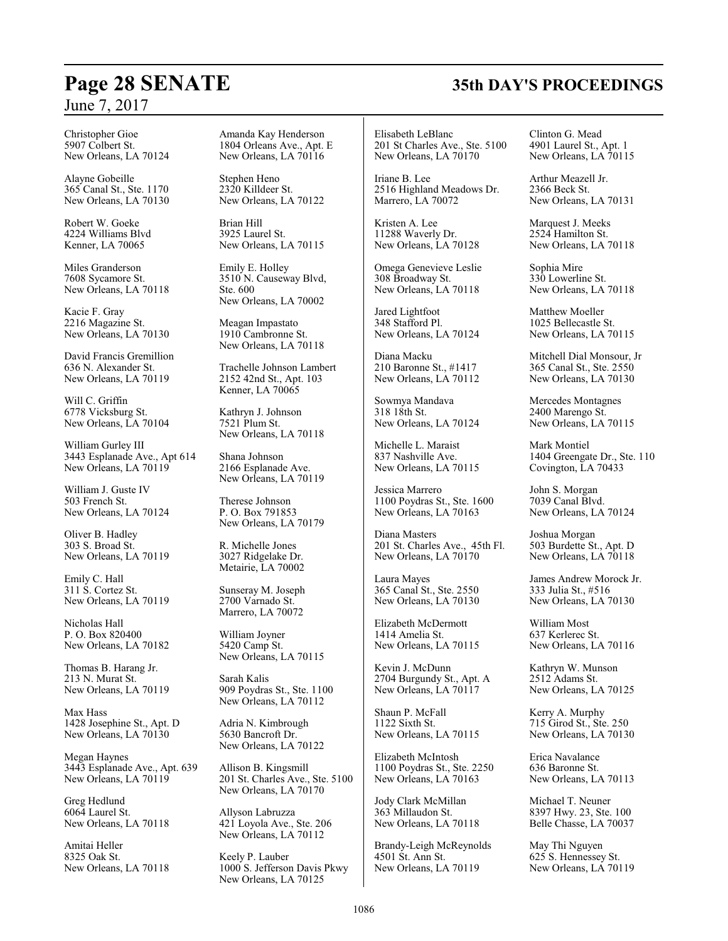Christopher Gioe 5907 Colbert St. New Orleans, LA 70124

Alayne Gobeille 365 Canal St., Ste. 1170 New Orleans, LA 70130

Robert W. Goeke 4224 Williams Blvd Kenner, LA 70065

Miles Granderson 7608 Sycamore St. New Orleans, LA 70118

Kacie F. Gray 2216 Magazine St. New Orleans, LA 70130

David Francis Gremillion 636 N. Alexander St. New Orleans, LA 70119

Will C. Griffin 6778 Vicksburg St. New Orleans, LA 70104

William Gurley III 3443 Esplanade Ave., Apt 614 New Orleans, LA 70119

William J. Guste IV 503 French St. New Orleans, LA 70124

Oliver B. Hadley 303 S. Broad St. New Orleans, LA 70119

Emily C. Hall 311 S. Cortez St. New Orleans, LA 70119

Nicholas Hall P. O. Box 820400 New Orleans, LA 70182

Thomas B. Harang Jr. 213 N. Murat St. New Orleans, LA 70119

Max Hass 1428 Josephine St., Apt. D New Orleans, LA 70130

Megan Haynes 3443 Esplanade Ave., Apt. 639 New Orleans, LA 70119

Greg Hedlund 6064 Laurel St. New Orleans, LA 70118

Amitai Heller 8325 Oak St. New Orleans, LA 70118 Amanda Kay Henderson 1804 Orleans Ave., Apt. E New Orleans, LA 70116

Stephen Heno 2320 Killdeer St. New Orleans, LA 70122

Brian Hill 3925 Laurel St. New Orleans, LA 70115

Emily E. Holley 3510 N. Causeway Blvd, Ste. 600 New Orleans, LA 70002

Meagan Impastato 1910 Cambronne St. New Orleans, LA 70118

Trachelle Johnson Lambert 2152 42nd St., Apt. 103 Kenner, LA 70065

Kathryn J. Johnson 7521 Plum St. New Orleans, LA 70118

Shana Johnson 2166 Esplanade Ave. New Orleans, LA 70119

Therese Johnson P. O. Box 791853 New Orleans, LA 70179

R. Michelle Jones 3027 Ridgelake Dr. Metairie, LA 70002

Sunseray M. Joseph 2700 Varnado St. Marrero, LA 70072

William Joyner 5420 Camp St. New Orleans, LA 70115

Sarah Kalis 909 Poydras St., Ste. 1100 New Orleans, LA 70112

Adria N. Kimbrough 5630 Bancroft Dr. New Orleans, LA 70122

Allison B. Kingsmill 201 St. Charles Ave., Ste. 5100 New Orleans, LA 70170

Allyson Labruzza 421 Loyola Ave., Ste. 206 New Orleans, LA 70112

Keely P. Lauber 1000 S. Jefferson Davis Pkwy New Orleans, LA 70125

Elisabeth LeBlanc 201 St Charles Ave., Ste. 5100 New Orleans, LA 70170

Iriane B. Lee 2516 Highland Meadows Dr. Marrero, LA 70072

Kristen A. Lee 11288 Waverly Dr. New Orleans, LA 70128

Omega Genevieve Leslie 308 Broadway St. New Orleans, LA 70118

Jared Lightfoot 348 Stafford Pl. New Orleans, LA 70124

Diana Macku 210 Baronne St., #1417 New Orleans, LA 70112

Sowmya Mandava 318 18th St. New Orleans, LA 70124

Michelle L. Maraist 837 Nashville Ave. New Orleans, LA 70115

Jessica Marrero 1100 Poydras St., Ste. 1600 New Orleans, LA 70163

Diana Masters 201 St. Charles Ave., 45th Fl. New Orleans, LA 70170

Laura Mayes 365 Canal St., Ste. 2550 New Orleans, LA 70130

Elizabeth McDermott 1414 Amelia St. New Orleans, LA 70115

Kevin J. McDunn 2704 Burgundy St., Apt. A New Orleans, LA 70117

Shaun P. McFall 1122 Sixth St. New Orleans, LA 70115

Elizabeth McIntosh 1100 Poydras St., Ste. 2250 New Orleans, LA 70163

Jody Clark McMillan 363 Millaudon St. New Orleans, LA 70118

Brandy-Leigh McReynolds 4501 St. Ann St. New Orleans, LA 70119

Clinton G. Mead 4901 Laurel St., Apt. 1 New Orleans, LA 70115

Arthur Meazell Jr. 2366 Beck St. New Orleans, LA 70131

Marquest J. Meeks 2524 Hamilton St. New Orleans, LA 70118

Sophia Mire 330 Lowerline St. New Orleans, LA 70118

Matthew Moeller 1025 Bellecastle St. New Orleans, LA 70115

Mitchell Dial Monsour, Jr 365 Canal St., Ste. 2550 New Orleans, LA 70130

Mercedes Montagnes 2400 Marengo St. New Orleans, LA 70115

Mark Montiel 1404 Greengate Dr., Ste. 110 Covington, LA 70433

John S. Morgan 7039 Canal Blvd. New Orleans, LA 70124

Joshua Morgan 503 Burdette St., Apt. D New Orleans, LA 70118

James Andrew Morock Jr. 333 Julia St., #516 New Orleans, LA 70130

William Most 637 Kerlerec St. New Orleans, LA 70116

Kathryn W. Munson 2512 Adams St. New Orleans, LA 70125

Kerry A. Murphy 715 Girod St., Ste. 250 New Orleans, LA 70130

Erica Navalance 636 Baronne St. New Orleans, LA 70113

Michael T. Neuner 8397 Hwy. 23, Ste. 100 Belle Chasse, LA 70037

May Thi Nguyen 625 S. Hennessey St. New Orleans, LA 70119

# **Page 28 SENATE 35th DAY'S PROCEEDINGS**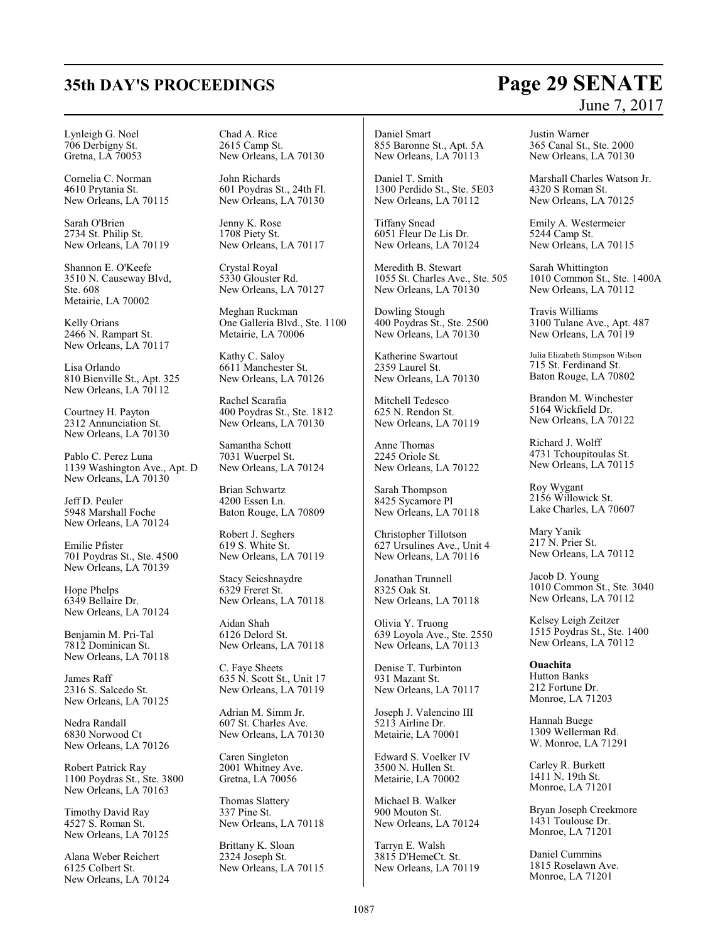#### Lynleigh G. Noel 706 Derbigny St. Gretna, LA 70053

Cornelia C. Norman 4610 Prytania St. New Orleans, LA 70115

Sarah O'Brien 2734 St. Philip St. New Orleans, LA 70119

Shannon E. O'Keefe 3510 N. Causeway Blvd, Ste. 608 Metairie, LA 70002

Kelly Orians 2466 N. Rampart St. New Orleans, LA 70117

Lisa Orlando 810 Bienville St., Apt. 325 New Orleans, LA  $70112$ 

Courtney H. Payton 2312 Annunciation St. New Orleans, LA 70130

Pablo C. Perez Luna 1139 Washington Ave., Apt. D New Orleans, LA 70130

Jeff D. Peuler 5948 Marshall Foche New Orleans, LA 70124

Emilie Pfister 701 Poydras St., Ste. 4500 New Orleans, LA 70139

Hope Phelps 6349 Bellaire Dr. New Orleans, LA 70124

Benjamin M. Pri-Tal 7812 Dominican St. New Orleans, LA 70118

James Raff 2316 S. Salcedo St. New Orleans, LA 70125

Nedra Randall 6830 Norwood Ct New Orleans, LA 70126

Robert Patrick Ray 1100 Poydras St., Ste. 3800 New Orleans, LA 70163

Timothy David Ray 4527 S. Roman St. New Orleans, LA 70125

Alana Weber Reichert 6125 Colbert St. New Orleans, LA 70124 Chad A. Rice 2615 Camp St. New Orleans, LA 70130

John Richards 601 Poydras St., 24th Fl. New Orleans, LA 70130

Jenny K. Rose 1708 Piety St. New Orleans, LA 70117

Crystal Royal 5330 Glouster Rd. New Orleans, LA 70127

Meghan Ruckman One Galleria Blvd., Ste. 1100 Metairie, LA 70006

Kathy C. Saloy 6611 Manchester St. New Orleans, LA 70126

Rachel Scarafia 400 Poydras St., Ste. 1812 New Orleans, LA 70130

Samantha Schott 7031 Wuerpel St. New Orleans, LA 70124

Brian Schwartz 4200 Essen Ln. Baton Rouge, LA 70809

Robert J. Seghers 619 S. White St. New Orleans, LA 70119

Stacy Seicshnaydre 6329 Freret St. New Orleans, LA 70118

Aidan Shah 6126 Delord St. New Orleans, LA 70118

C. Faye Sheets 635 N. Scott St., Unit 17 New Orleans, LA 70119

Adrian M. Simm Jr. 607 St. Charles Ave. New Orleans, LA 70130

Caren Singleton 2001 Whitney Ave. Gretna, LA 70056

Thomas Slattery 337 Pine St. New Orleans, LA 70118

Brittany K. Sloan 2324 Joseph St. New Orleans, LA 70115

Daniel Smart 855 Baronne St., Apt. 5A New Orleans, LA 70113

Daniel T. Smith 1300 Perdido St., Ste. 5E03 New Orleans, LA 70112

Tiffany Snead 6051 Fleur De Lis Dr. New Orleans, LA 70124

Meredith B. Stewart 1055 St. Charles Ave., Ste. 505 New Orleans, LA 70130

Dowling Stough 400 Poydras St., Ste. 2500 New Orleans, LA 70130

Katherine Swartout 2359 Laurel St. New Orleans, LA 70130

Mitchell Tedesco 625 N. Rendon St. New Orleans, LA 70119

Anne Thomas 2245 Oriole St. New Orleans, LA 70122

Sarah Thompson 8425 Sycamore Pl New Orleans, LA 70118

Christopher Tillotson 627 Ursulines Ave., Unit 4 New Orleans, LA 70116

Jonathan Trunnell 8325 Oak St. New Orleans, LA 70118

Olivia Y. Truong 639 Loyola Ave., Ste. 2550 New Orleans, LA 70113

Denise T. Turbinton 931 Mazant St. New Orleans, LA 70117

Joseph J. Valencino III 5213 Airline Dr. Metairie, LA 70001

Edward S. Voelker IV 3500 N. Hullen St. Metairie, LA 70002

Michael B. Walker 900 Mouton St. New Orleans, LA 70124

Tarryn E. Walsh 3815 D'HemeCt. St. New Orleans, LA 70119

June 7, 2017 Justin Warner

365 Canal St., Ste. 2000 New Orleans, LA 70130

Marshall Charles Watson Jr. 4320 S Roman St. New Orleans, LA 70125

Emily A. Westermeier 5244 Camp St. New Orleans, LA 70115

Sarah Whittington 1010 Common St., Ste. 1400A New Orleans, LA 70112

Travis Williams 3100 Tulane Ave., Apt. 487 New Orleans, LA 70119

Julia Elizabeth Stimpson Wilson 715 St. Ferdinand St. Baton Rouge, LA 70802

Brandon M. Winchester 5164 Wickfield Dr. New Orleans, LA 70122

Richard J. Wolff 4731 Tchoupitoulas St. New Orleans, LA 70115

Roy Wygant 2156 Willowick St. Lake Charles, LA 70607

Mary Yanik 217 N. Prier St. New Orleans, LA 70112

Jacob D. Young 1010 Common St., Ste. 3040 New Orleans, LA 70112

Kelsey Leigh Zeitzer 1515 Poydras St., Ste. 1400 New Orleans, LA 70112

**Ouachita** Hutton Banks 212 Fortune Dr. Monroe, LA 71203

Hannah Buege 1309 Wellerman Rd. W. Monroe, LA 71291

Carley R. Burkett 1411 N. 19th St. Monroe, LA 71201

Bryan Joseph Creekmore 1431 Toulouse Dr. Monroe, LA 71201

Daniel Cummins 1815 Roselawn Ave. Monroe, LA 71201

# **35th DAY'S PROCEEDINGS Page 29 SENATE**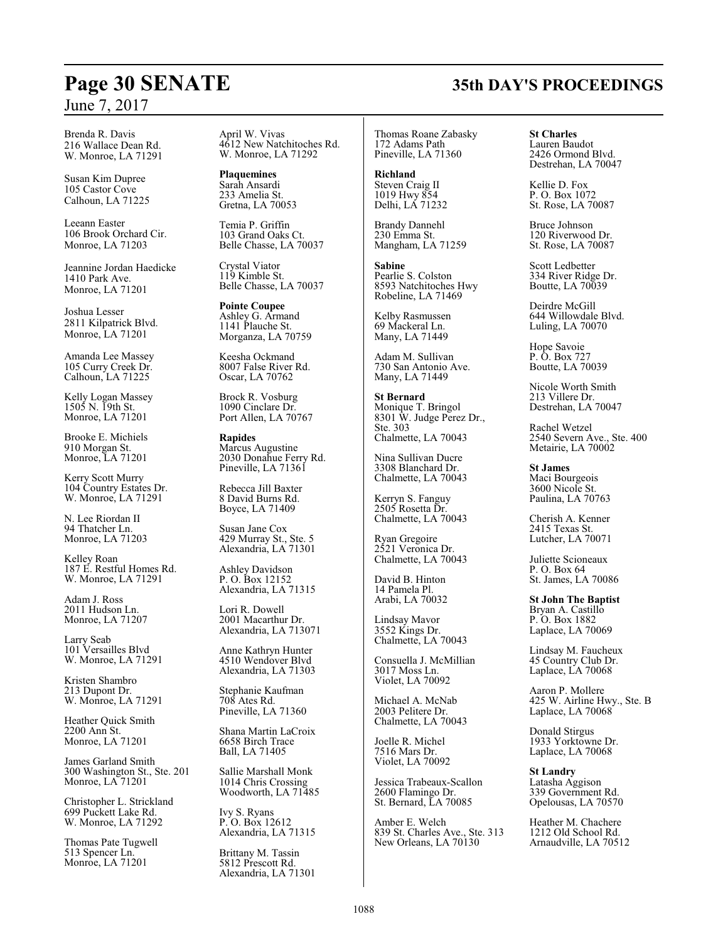Brenda R. Davis 216 Wallace Dean Rd. W. Monroe, LA 71291

Susan Kim Dupree 105 Castor Cove Calhoun, LA 71225

Leeann Easter 106 Brook Orchard Cir. Monroe, LA 71203

Jeannine Jordan Haedicke 1410 Park Ave. Monroe, LA 71201

Joshua Lesser 2811 Kilpatrick Blvd. Monroe, LA 71201

Amanda Lee Massey 105 Curry Creek Dr. Calhoun, LA 71225

Kelly Logan Massey 1505 N. 19th St. Monroe, LA 71201

Brooke E. Michiels 910 Morgan St. Monroe, LA 71201

Kerry Scott Murry 104 Country Estates Dr. W. Monroe, LA 71291

N. Lee Riordan II 94 Thatcher Ln. Monroe, LA 71203

Kelley Roan 187 E. Restful Homes Rd. W. Monroe, LA 71291

Adam J. Ross 2011 Hudson Ln. Monroe, LA 71207

Larry Seab 101 Versailles Blvd W. Monroe, LA 71291

Kristen Shambro 213 Dupont Dr. W. Monroe, LA 71291

Heather Quick Smith 2200 Ann St. Monroe, LA 71201

James Garland Smith 300 Washington St., Ste. 201 Monroe, LA 71201

Christopher L. Strickland 699 Puckett Lake Rd. W. Monroe, LA 71292

Thomas Pate Tugwell 513 Spencer Ln. Monroe, LA 71201

April W. Vivas 4612 New Natchitoches Rd. W. Monroe, LA 71292

**Plaquemines** Sarah Ansardi 233 Amelia St. Gretna, LA 70053

Temia P. Griffin 103 Grand Oaks Ct. Belle Chasse, LA 70037

Crystal Viator 119 Kimble St. Belle Chasse, LA 70037

**Pointe Coupee** Ashley G. Armand 1141 Plauche St. Morganza, LA 70759

Keesha Ockmand 8007 False River Rd. Oscar, LA 70762

Brock R. Vosburg 1090 Cinclare Dr. Port Allen, LA 70767

**Rapides** Marcus Augustine 2030 Donahue Ferry Rd. Pineville, LA 71361

Rebecca Jill Baxter 8 David Burns Rd. Boyce, LA 71409

Susan Jane Cox 429 Murray St., Ste. 5 Alexandria, LA 71301

Ashley Davidson P. O. Box 12152 Alexandria, LA 71315

Lori R. Dowell 2001 Macarthur Dr. Alexandria, LA 713071

Anne Kathryn Hunter 4510 Wendover Blvd Alexandria, LA 71303

Stephanie Kaufman 708 Ates Rd. Pineville, LA 71360

Shana Martin LaCroix 6658 Birch Trace Ball, LA 71405

Sallie Marshall Monk 1014 Chris Crossing Woodworth, LA 71485

Ivy S. Ryans P. O. Box 12612 Alexandria, LA 71315

Brittany M. Tassin 5812 Prescott Rd. Alexandria, LA 71301

#### Thomas Roane Zabasky 172 Adams Path Pineville, LA 71360

**Richland** Steven Craig II 1019 Hwy 854 Delhi, LA 71232

Brandy Dannehl 230 Emma St. Mangham, LA 71259

**Sabine** Pearlie S. Colston 8593 Natchitoches Hwy Robeline, LA 71469

Kelby Rasmussen 69 Mackeral Ln. Many, LA 71449

Adam M. Sullivan 730 San Antonio Ave. Many, LA 71449

**St Bernard** Monique T. Bringol 8301 W. Judge Perez Dr., Ste. 303 Chalmette, LA 70043

Nina Sullivan Ducre 3308 Blanchard Dr. Chalmette, LA 70043

Kerryn S. Fanguy 2505 Rosetta Dr. Chalmette, LA 70043

Ryan Gregoire 2521 Veronica Dr. Chalmette, LA 70043

David B. Hinton 14 Pamela Pl. Arabi, LA 70032

Lindsay Mavor 3552 Kings Dr. Chalmette, LA 70043

Consuella J. McMillian 3017 Moss Ln. Violet, LA 70092

Michael A. McNab 2003 Pelitere Dr. Chalmette, LA 70043

Joelle R. Michel 7516 Mars Dr. Violet, LA 70092

Jessica Trabeaux-Scallon 2600 Flamingo Dr. St. Bernard, LA 70085

Amber E. Welch 839 St. Charles Ave., Ste. 313 New Orleans, LA 70130

## **St Charles** Lauren Baudot

2426 Ormond Blvd. Destrehan, LA 70047

Kellie D. Fox P. O. Box 1072 St. Rose, LA 70087

Bruce Johnson 120 Riverwood Dr. St. Rose, LA 70087

Scott Ledbetter 334 River Ridge Dr. Boutte, LA 70039

Deirdre McGill 644 Willowdale Blvd. Luling, LA 70070

Hope Savoie P. O. Box 727 Boutte, LA 70039

Nicole Worth Smith 213 Villere Dr. Destrehan, LA 70047

Rachel Wetzel 2540 Severn Ave., Ste. 400 Metairie, LA 70002

**St James** Maci Bourgeois 3600 Nicole St. Paulina, LA 70763

Cherish A. Kenner 2415 Texas St. Lutcher, LA 70071

Juliette Scioneaux P. O. Box 64 St. James, LA 70086

**St John The Baptist** Bryan A. Castillo P. O. Box 1882 Laplace, LA 70069

Lindsay M. Faucheux 45 Country Club Dr. Laplace, LA 70068

Aaron P. Mollere 425 W. Airline Hwy., Ste. B Laplace, LA 70068

Donald Stirgus 1933 Yorktowne Dr. Laplace, LA 70068

**St Landry** Latasha Aggison 339 Government Rd. Opelousas, LA 70570

Heather M. Chachere 1212 Old School Rd. Arnaudville, LA 70512

# **Page 30 SENATE 35th DAY'S PROCEEDINGS**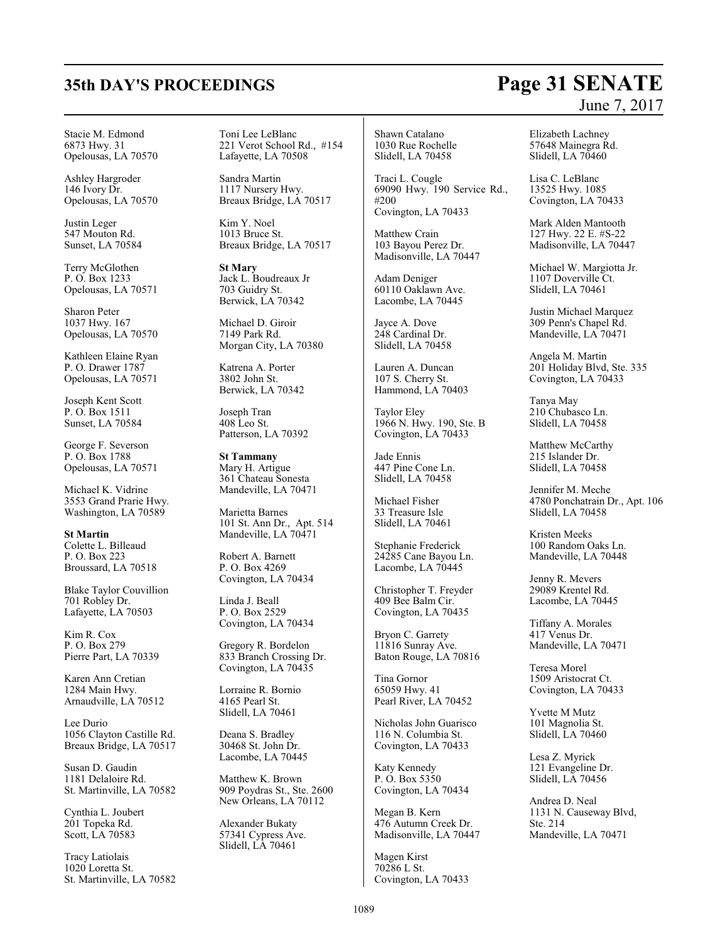#### Stacie M. Edmond 6873 Hwy. 31 Opelousas, LA 70570

Ashley Hargroder 146 Ivory Dr. Opelousas, LA 70570

Justin Leger 547 Mouton Rd. Sunset, LA 70584

Terry McGlothen P. O. Box 1233 Opelousas, LA 70571

Sharon Peter 1037 Hwy. 167 Opelousas, LA 70570

Kathleen Elaine Ryan P. O. Drawer 1787 Opelousas, LA 70571

Joseph Kent Scott P. O. Box 1511 Sunset, LA 70584

George F. Severson P. O. Box 1788 Opelousas, LA 70571

Michael K. Vidrine 3553 Grand Prarie Hwy. Washington, LA 70589

**St Martin** Colette L. Billeaud P. O. Box 223 Broussard, LA 70518

Blake Taylor Couvillion 701 Robley Dr. Lafayette, LA 70503

Kim R. Cox P. O. Box 279 Pierre Part, LA 70339

Karen Ann Cretian 1284 Main Hwy. Arnaudville, LA 70512

Lee Durio 1056 Clayton Castille Rd. Breaux Bridge, LA 70517

Susan D. Gaudin 1181 Delaloire Rd. St. Martinville, LA 70582

Cynthia L. Joubert 201 Topeka Rd. Scott, LA 70583

Tracy Latiolais 1020 Loretta St. St. Martinville, LA 70582 Toni Lee LeBlanc 221 Verot School Rd., #154 Lafayette, LA 70508

Sandra Martin 1117 Nursery Hwy. Breaux Bridge, LA 70517

Kim Y. Noel 1013 Bruce St. Breaux Bridge, LA 70517

**St Mary** Jack L. Boudreaux Jr 703 Guidry St. Berwick, LA 70342

Michael D. Giroir 7149 Park Rd. Morgan City, LA 70380

Katrena A. Porter 3802 John St. Berwick, LA 70342

Joseph Tran 408 Leo St. Patterson, LA 70392

**St Tammany** Mary H. Artigue 361 Chateau Sonesta Mandeville, LA 70471

Marietta Barnes 101 St. Ann Dr., Apt. 514 Mandeville, LA 70471

Robert A. Barnett P. O. Box 4269 Covington, LA 70434

Linda J. Beall P. O. Box 2529 Covington, LA 70434

Gregory R. Bordelon 833 Branch Crossing Dr. Covington, LA 70435

Lorraine R. Bornio 4165 Pearl St. Slidell, LA 70461

Deana S. Bradley 30468 St. John Dr. Lacombe, LA 70445

Matthew K. Brown 909 Poydras St., Ste. 2600 New Orleans, LA 70112

Alexander Bukaty 57341 Cypress Ave. Slidell, LA 70461

Shawn Catalano 1030 Rue Rochelle Slidell, LA 70458

Traci L. Cougle 69090 Hwy. 190 Service Rd., #200 Covington, LA 70433

Matthew Crain 103 Bayou Perez Dr. Madisonville, LA 70447

Adam Deniger 60110 Oaklawn Ave. Lacombe, LA 70445

Jayce A. Dove 248 Cardinal Dr. Slidell, LA 70458

Lauren A. Duncan 107 S. Cherry St. Hammond, LA 70403

Taylor Eley 1966 N. Hwy. 190, Ste. B Covington, LA 70433

Jade Ennis 447 Pine Cone Ln. Slidell, LA 70458

Michael Fisher 33 Treasure Isle Slidell, LA 70461

Stephanie Frederick 24285 Cane Bayou Ln. Lacombe, LA 70445

Christopher T. Freyder 409 Bee Balm Cir. Covington, LA 70435

Bryon C. Garrety 11816 Sunray Ave. Baton Rouge, LA 70816

Tina Gornor 65059 Hwy. 41 Pearl River, LA 70452

Nicholas John Guarisco 116 N. Columbia St. Covington, LA 70433

Katy Kennedy P. O. Box 5350 Covington, LA 70434

Megan B. Kern 476 Autumn Creek Dr. Madisonville, LA 70447

Magen Kirst 70286 L St. Covington, LA 70433 Elizabeth Lachney 57648 Mainegra Rd. Slidell, LA 70460

Lisa C. LeBlanc 13525 Hwy. 1085 Covington, LA 70433

Mark Alden Mantooth 127 Hwy. 22 E. #S-22 Madisonville, LA 70447

Michael W. Margiotta Jr. 1107 Doverville Ct. Slidell, LA 70461

Justin Michael Marquez 309 Penn's Chapel Rd. Mandeville, LA 70471

Angela M. Martin 201 Holiday Blvd, Ste. 335 Covington, LA 70433

Tanya May 210 Chubasco Ln. Slidell, LA 70458

Matthew McCarthy 215 Islander Dr. Slidell, LA 70458

Jennifer M. Meche 4780 Ponchatrain Dr., Apt. 106 Slidell, LA 70458

Kristen Meeks 100 Random Oaks Ln. Mandeville, LA 70448

Jenny R. Mevers 29089 Krentel Rd. Lacombe, LA 70445

Tiffany A. Morales 417 Venus Dr. Mandeville, LA 70471

Teresa Morel 1509 Aristocrat Ct. Covington, LA 70433

Yvette M Mutz 101 Magnolia St. Slidell, LA 70460

Lesa Z. Myrick 121 Evangeline Dr. Slidell, LA 70456

Andrea D. Neal 1131 N. Causeway Blvd, Ste. 214 Mandeville, LA 70471

# **35th DAY'S PROCEEDINGS Page 31 SENATE** June 7, 2017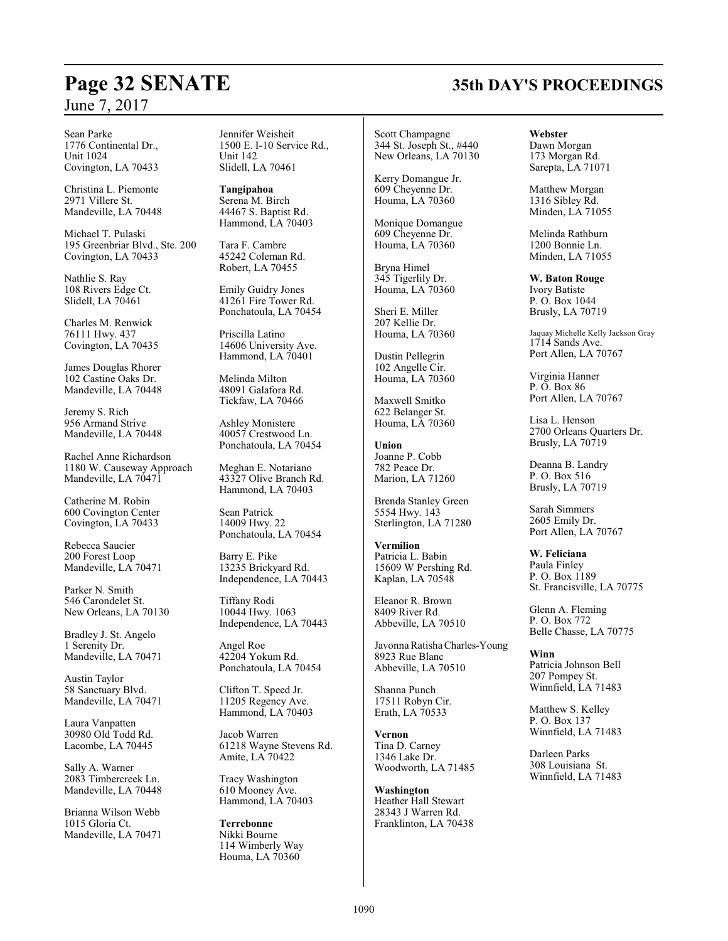#### Sean Parke 1776 Continental Dr., Unit 1024

Covington, LA 70433 Christina L. Piemonte

2971 Villere St. Mandeville, LA 70448

Michael T. Pulaski 195 Greenbriar Blvd., Ste. 200 Covington, LA 70433

Nathlie S. Ray 108 Rivers Edge Ct. Slidell, LA 70461

Charles M. Renwick 76111 Hwy. 437 Covington, LA 70435

James Douglas Rhorer 102 Castine Oaks Dr. Mandeville, LA 70448

Jeremy S. Rich 956 Armand Strive Mandeville, LA 70448

Rachel Anne Richardson 1180 W. Causeway Approach Mandeville, LA 70471

Catherine M. Robin 600 Covington Center Covington, LA 70433

Rebecca Saucier 200 Forest Loop Mandeville, LA 70471

Parker N. Smith 546 Carondelet St. New Orleans, LA 70130

Bradley J. St. Angelo 1 Serenity Dr. Mandeville, LA 70471

Austin Taylor 58 Sanctuary Blvd. Mandeville, LA 70471

Laura Vanpatten 30980 Old Todd Rd. Lacombe, LA 70445

Sally A. Warner 2083 Timbercreek Ln. Mandeville, LA 70448

Brianna Wilson Webb 1015 Gloria Ct. Mandeville, LA 70471 Jennifer Weisheit 1500 E. I-10 Service Rd., Unit 142 Slidell, LA 70461

**Tangipahoa** Serena M. Birch 44467 S. Baptist Rd. Hammond, LA 70403

Tara F. Cambre 45242 Coleman Rd. Robert, LA 70455

Emily Guidry Jones 41261 Fire Tower Rd. Ponchatoula, LA 70454

Priscilla Latino 14606 University Ave. Hammond, LA 70401

Melinda Milton 48091 Galafora Rd. Tickfaw, LA 70466

Ashley Monistere 40057 Crestwood Ln. Ponchatoula, LA 70454

Meghan E. Notariano 43327 Olive Branch Rd. Hammond, LA 70403

Sean Patrick 14009 Hwy. 22 Ponchatoula, LA 70454

Barry E. Pike 13235 Brickyard Rd. Independence, LA 70443

Tiffany Rodi 10044 Hwy. 1063 Independence, LA 70443

Angel Roe 42204 Yokum Rd. Ponchatoula, LA 70454

Clifton T. Speed Jr. 11205 Regency Ave. Hammond, LA 70403

Jacob Warren 61218 Wayne Stevens Rd. Amite, LA 70422

Tracy Washington 610 Mooney Ave. Hammond, LA 70403

**Terrebonne** Nikki Bourne 114 Wimberly Way Houma, LA 70360

Scott Champagne 344 St. Joseph St., #440 New Orleans, LA 70130

Kerry Domangue Jr. 609 Cheyenne Dr. Houma, LA 70360

Monique Domangue 609 Cheyenne Dr. Houma, LA 70360

Bryna Himel 345 Tigerlily Dr. Houma, LA 70360

Sheri E. Miller 207 Kellie Dr. Houma, LA 70360

Dustin Pellegrin 102 Angelle Cir. Houma, LA 70360

Maxwell Smitko 622 Belanger St. Houma, LA 70360

**Union** Joanne P. Cobb 782 Peace Dr. Marion, LA 71260

Brenda Stanley Green 5554 Hwy. 143 Sterlington, LA 71280

**Vermilion** Patricia L. Babin 15609 W Pershing Rd. Kaplan, LA 70548

Eleanor R. Brown 8409 River Rd. Abbeville, LA 70510

Javonna Ratisha Charles-Young 8923 Rue Blanc Abbeville, LA 70510

Shanna Punch 17511 Robyn Cir. Erath, LA 70533

**Vernon** Tina D. Carney 1346 Lake Dr. Woodworth, LA 71485

**Washington** Heather Hall Stewart 28343 J Warren Rd. Franklinton, LA 70438

#### **Webster**

Dawn Morgan 173 Morgan Rd. Sarepta, LA 71071

Matthew Morgan 1316 Sibley Rd. Minden, LA 71055

Melinda Rathburn 1200 Bonnie Ln. Minden, LA 71055

**W. Baton Rouge** Ivory Batiste

P. O. Box 1044 Brusly, LA 70719

Jaquay Michelle Kelly Jackson Gray 1714 Sands Ave. Port Allen, LA 70767

Virginia Hanner P. O. Box 86 Port Allen, LA 70767

Lisa L. Henson 2700 Orleans Quarters Dr. Brusly, LA 70719

Deanna B. Landry P. O. Box 516 Brusly, LA 70719

Sarah Simmers 2605 Emily Dr. Port Allen, LA 70767

**W. Feliciana** Paula Finley P. O. Box 1189 St. Francisville, LA 70775

Glenn A. Fleming P. O. Box 772 Belle Chasse, LA 70775

**Winn** Patricia Johnson Bell 207 Pompey St. Winnfield, LA 71483

Matthew S. Kelley P. O. Box 137 Winnfield, LA 71483

Darleen Parks 308 Louisiana St. Winnfield, LA 71483

# **Page 32 SENATE 35th DAY'S PROCEEDINGS**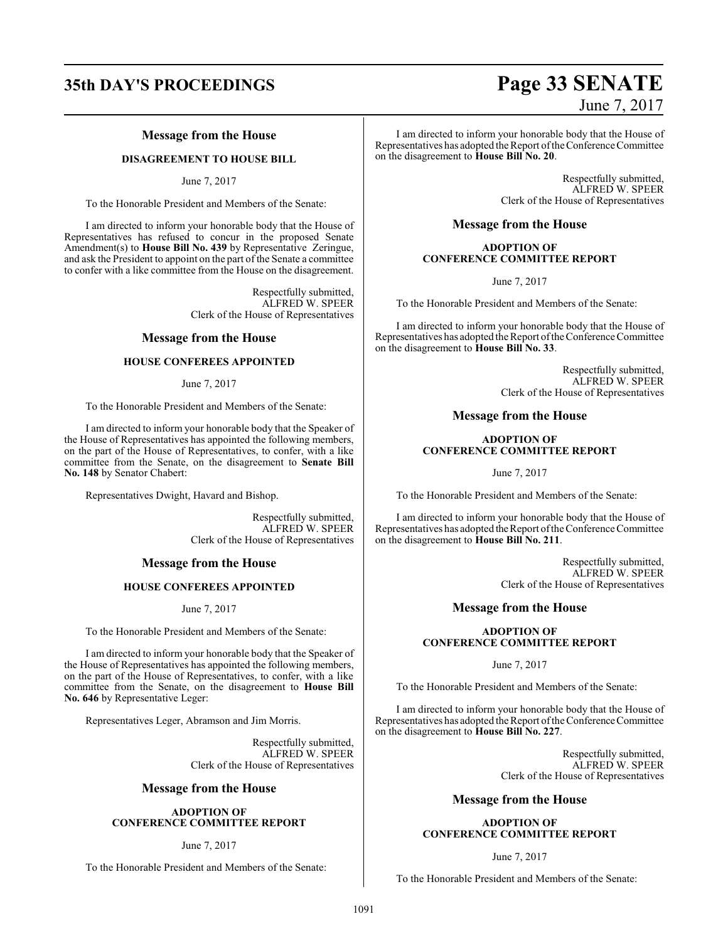# **35th DAY'S PROCEEDINGS Page 33 SENATE**

#### **Message from the House**

#### **DISAGREEMENT TO HOUSE BILL**

June 7, 2017

To the Honorable President and Members of the Senate:

I am directed to inform your honorable body that the House of Representatives has refused to concur in the proposed Senate Amendment(s) to **House Bill No. 439** by Representative Zeringue, and ask the President to appoint on the part of the Senate a committee to confer with a like committee from the House on the disagreement.

> Respectfully submitted, ALFRED W. SPEER Clerk of the House of Representatives

#### **Message from the House**

#### **HOUSE CONFEREES APPOINTED**

June 7, 2017

To the Honorable President and Members of the Senate:

I am directed to inform your honorable body that the Speaker of the House of Representatives has appointed the following members, on the part of the House of Representatives, to confer, with a like committee from the Senate, on the disagreement to **Senate Bill No. 148** by Senator Chabert:

Representatives Dwight, Havard and Bishop.

Respectfully submitted, ALFRED W. SPEER Clerk of the House of Representatives

#### **Message from the House**

#### **HOUSE CONFEREES APPOINTED**

June 7, 2017

To the Honorable President and Members of the Senate:

I am directed to inform your honorable body that the Speaker of the House of Representatives has appointed the following members, on the part of the House of Representatives, to confer, with a like committee from the Senate, on the disagreement to **House Bill No. 646** by Representative Leger:

Representatives Leger, Abramson and Jim Morris.

Respectfully submitted, ALFRED W. SPEER Clerk of the House of Representatives

#### **Message from the House**

#### **ADOPTION OF CONFERENCE COMMITTEE REPORT**

#### June 7, 2017

To the Honorable President and Members of the Senate:

# June 7, 2017

I am directed to inform your honorable body that the House of Representatives has adopted the Report of the Conference Committee on the disagreement to **House Bill No. 20**.

> Respectfully submitted, ALFRED W. SPEER Clerk of the House of Representatives

#### **Message from the House**

#### **ADOPTION OF CONFERENCE COMMITTEE REPORT**

June 7, 2017

To the Honorable President and Members of the Senate:

I am directed to inform your honorable body that the House of Representatives has adopted the Report ofthe Conference Committee on the disagreement to **House Bill No. 33**.

> Respectfully submitted, ALFRED W. SPEER Clerk of the House of Representatives

#### **Message from the House**

#### **ADOPTION OF CONFERENCE COMMITTEE REPORT**

June 7, 2017

To the Honorable President and Members of the Senate:

I am directed to inform your honorable body that the House of Representatives has adopted the Report of the Conference Committee on the disagreement to **House Bill No. 211**.

> Respectfully submitted, ALFRED W. SPEER Clerk of the House of Representatives

#### **Message from the House**

#### **ADOPTION OF CONFERENCE COMMITTEE REPORT**

June 7, 2017

To the Honorable President and Members of the Senate:

I am directed to inform your honorable body that the House of Representatives has adopted the Report of the Conference Committee on the disagreement to **House Bill No. 227**.

> Respectfully submitted, ALFRED W. SPEER Clerk of the House of Representatives

#### **Message from the House**

#### **ADOPTION OF CONFERENCE COMMITTEE REPORT**

June 7, 2017

To the Honorable President and Members of the Senate: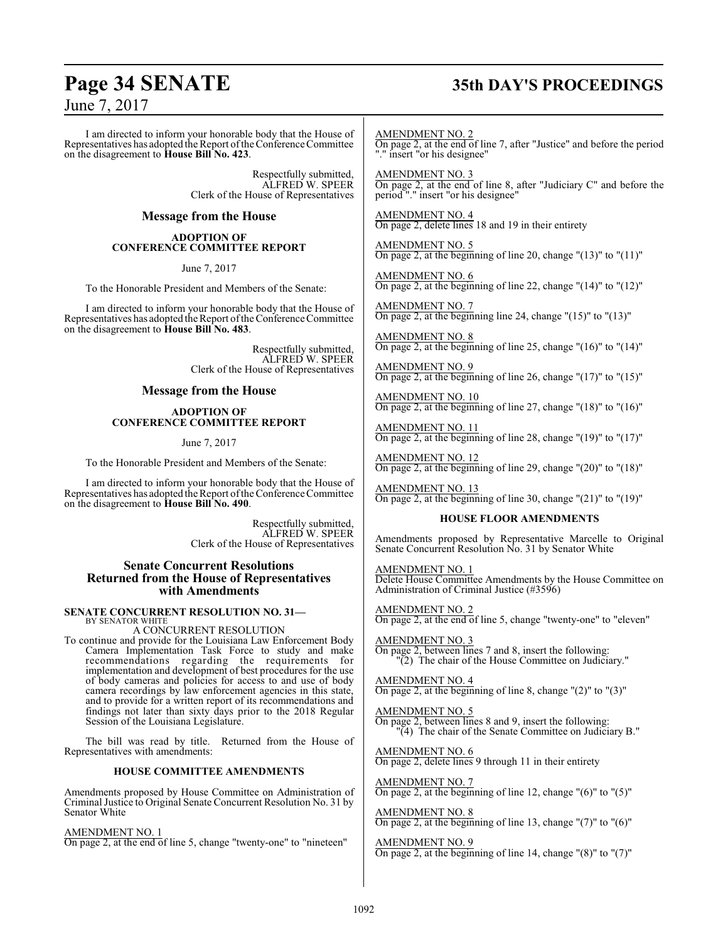# **Page 34 SENATE 35th DAY'S PROCEEDINGS**

June 7, 2017

I am directed to inform your honorable body that the House of Representatives has adopted the Report of the Conference Committee on the disagreement to **House Bill No. 423**.

> Respectfully submitted, ALFRED W. SPEER Clerk of the House of Representatives

#### **Message from the House**

#### **ADOPTION OF CONFERENCE COMMITTEE REPORT**

June 7, 2017

To the Honorable President and Members of the Senate:

I am directed to inform your honorable body that the House of Representatives has adopted the Report ofthe Conference Committee on the disagreement to **House Bill No. 483**.

> Respectfully submitted, ALFRED W. SPEER Clerk of the House of Representatives

#### **Message from the House**

#### **ADOPTION OF CONFERENCE COMMITTEE REPORT**

June 7, 2017

To the Honorable President and Members of the Senate:

I am directed to inform your honorable body that the House of Representatives has adopted the Report ofthe Conference Committee on the disagreement to **House Bill No. 490**.

> Respectfully submitted, ALFRED W. SPEER Clerk of the House of Representatives

#### **Senate Concurrent Resolutions Returned from the House of Representatives with Amendments**

#### **SENATE CONCURRENT RESOLUTION NO. 31—** BY SENATOR WHITE

A CONCURRENT RESOLUTION

To continue and provide for the Louisiana Law Enforcement Body Camera Implementation Task Force to study and make recommendations regarding the requirements for implementation and development of best procedures for the use of body cameras and policies for access to and use of body camera recordings by law enforcement agencies in this state, and to provide for a written report of its recommendations and findings not later than sixty days prior to the 2018 Regular Session of the Louisiana Legislature.

The bill was read by title. Returned from the House of Representatives with amendments:

#### **HOUSE COMMITTEE AMENDMENTS**

Amendments proposed by House Committee on Administration of Criminal Justice to Original Senate Concurrent Resolution No. 31 by Senator White

AMENDMENT NO. 1

On page 2, at the end of line 5, change "twenty-one" to "nineteen"

AMENDMENT NO. 2 On page 2, at the end of line 7, after "Justice" and before the period "." insert "or his designee"

AMENDMENT NO. 3 On page 2, at the end of line 8, after "Judiciary C" and before the period "." insert "or his designee"

AMENDMENT NO. 4 On page 2, delete lines 18 and 19 in their entirety

AMENDMENT NO. 5 On page 2, at the beginning of line 20, change "(13)" to "(11)"

AMENDMENT NO. 6 On page 2, at the beginning of line 22, change "(14)" to "(12)"

AMENDMENT NO. 7 On page 2, at the beginning line 24, change " $(15)$ " to " $(13)$ "

AMENDMENT NO. 8 On page 2, at the beginning of line 25, change "(16)" to "(14)"

AMENDMENT NO. 9 On page 2, at the beginning of line 26, change "(17)" to "(15)"

AMENDMENT NO. 10 On page 2, at the beginning of line 27, change " $(18)$ " to " $(16)$ "

AMENDMENT NO. 11 On page 2, at the beginning of line 28, change "(19)" to "(17)"

AMENDMENT NO. 12 On page 2, at the beginning of line 29, change "(20)" to "(18)"

AMENDMENT NO. 13 On page 2, at the beginning of line 30, change  $(21)$ " to  $(19)$ "

#### **HOUSE FLOOR AMENDMENTS**

Amendments proposed by Representative Marcelle to Original Senate Concurrent Resolution No. 31 by Senator White

AMENDMENT NO. 1 Delete House Committee Amendments by the House Committee on Administration of Criminal Justice (#3596)

AMENDMENT NO. 2 On page 2, at the end of line 5, change "twenty-one" to "eleven"

AMENDMENT NO. 3 On page 2, between lines 7 and 8, insert the following: "(2) The chair of the House Committee on Judiciary."

AMENDMENT NO. 4 On page 2, at the beginning of line 8, change  $"(2)"$  to  $"(3)"$ 

AMENDMENT NO. 5 On page 2, between lines 8 and 9, insert the following: "(4) The chair of the Senate Committee on Judiciary B."

AMENDMENT NO. 6 On page 2, delete lines 9 through 11 in their entirety

AMENDMENT NO. 7 On page 2, at the beginning of line 12, change  $"(6)"$  to  $"(5)"$ 

AMENDMENT NO. 8 On page 2, at the beginning of line 13, change "(7)" to "(6)"

AMENDMENT NO. 9 On page 2, at the beginning of line 14, change "(8)" to "(7)"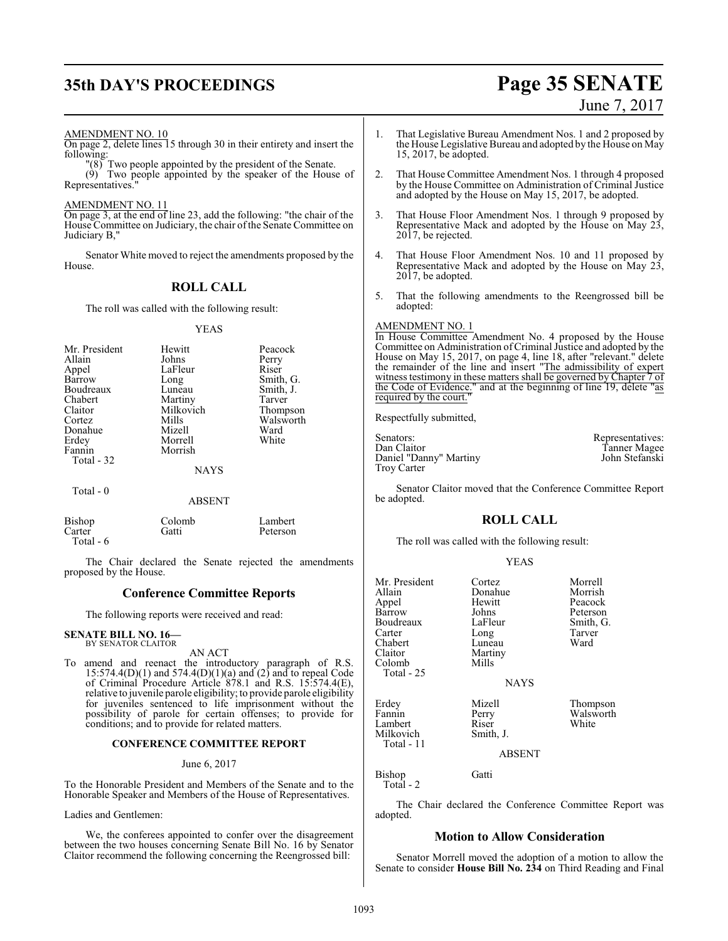# **35th DAY'S PROCEEDINGS Page 35 SENATE**

# June 7, 2017

AMENDMENT NO. 10

On page 2, delete lines 15 through 30 in their entirety and insert the following:

"(8) Two people appointed by the president of the Senate. (9) Two people appointed by the speaker of the House of Representatives.

AMENDMENT NO. 11

On page 3, at the end of line 23, add the following: "the chair of the House Committee on Judiciary, the chair of the Senate Committee on Judiciary B,"

Senator White moved to reject the amendments proposed by the House.

## **ROLL CALL**

The roll was called with the following result:

YEAS

| Mr. President<br>Allain<br>Appel<br>Barrow<br>Boudreaux<br>Chabert<br>Claitor<br>Cortez<br>Donahue<br>Erdey<br>Fannin<br>Total - 32 | Hewitt<br>Johns<br>LaFleur<br>Long<br>Luneau<br>Martiny<br>Milkovich<br>Mills<br>Mizell<br>Morrell<br>Morrish<br><b>NAYS</b> | Peacock<br>Perry<br>Riser<br>Smith, G.<br>Smith, J.<br>Tarver<br>Thompson<br>Walsworth<br>Ward<br>White |
|-------------------------------------------------------------------------------------------------------------------------------------|------------------------------------------------------------------------------------------------------------------------------|---------------------------------------------------------------------------------------------------------|
| Total - 0                                                                                                                           | <b>ABSENT</b>                                                                                                                |                                                                                                         |
| Bishop                                                                                                                              | Colomb                                                                                                                       | Lambert                                                                                                 |

The Chair declared the Senate rejected the amendments proposed by the House.

#### **Conference Committee Reports**

The following reports were received and read:

Carter Gatti Peterson

#### **SENATE BILL NO. 16—** BY SENATOR CLAITOR

Total - 6

#### AN ACT

To amend and reenact the introductory paragraph of R.S.  $15:574.4(D)(1)$  and  $574.4(D)(1)(a)$  and  $(2)$  and to repeal Code of Criminal Procedure Article 878.1 and R.S. 15:574.4(E), relative to juvenile parole eligibility; to provide parole eligibility for juveniles sentenced to life imprisonment without the possibility of parole for certain offenses; to provide for conditions; and to provide for related matters.

#### **CONFERENCE COMMITTEE REPORT**

#### June 6, 2017

To the Honorable President and Members of the Senate and to the Honorable Speaker and Members of the House of Representatives.

#### Ladies and Gentlemen:

We, the conferees appointed to confer over the disagreement between the two houses concerning Senate Bill No. 16 by Senator Claitor recommend the following concerning the Reengrossed bill:

- 1. That Legislative Bureau Amendment Nos. 1 and 2 proposed by the House Legislative Bureau and adopted by the House on May 15, 2017, be adopted.
- 2. That House Committee Amendment Nos. 1 through 4 proposed by the House Committee on Administration of Criminal Justice and adopted by the House on May 15, 2017, be adopted.
- 3. That House Floor Amendment Nos. 1 through 9 proposed by Representative Mack and adopted by the House on May 23, 2017, be rejected.
- 4. That House Floor Amendment Nos. 10 and 11 proposed by Representative Mack and adopted by the House on May 23, 2017, be adopted.
- 5. That the following amendments to the Reengrossed bill be adopted:

#### AMENDMENT NO. 1

In House Committee Amendment No. 4 proposed by the House Committee on Administration ofCriminal Justice and adopted by the House on May 15, 2017, on page 4, line 18, after "relevant." delete the remainder of the line and insert "The admissibility of expert witness testimony in these matters shall be governed by Chapter 7 of the Code of Evidence." and at the beginning of line 19, delete "as required by the court."

Respectfully submitted,

| Senators:              | Representatives:    |
|------------------------|---------------------|
| Dan Claitor            | <b>Tanner Magee</b> |
| Daniel "Danny" Martiny | John Stefanski      |
| Troy Carter            |                     |

Senator Claitor moved that the Conference Committee Report be adopted.

#### **ROLL CALL**

YEAS

The roll was called with the following result:

|                                                                                                                 | L DA D                                                                                               |                                                                          |
|-----------------------------------------------------------------------------------------------------------------|------------------------------------------------------------------------------------------------------|--------------------------------------------------------------------------|
| Mr. President<br>Allain<br>Appel<br>Barrow<br>Boudreaux<br>Carter<br>Chabert<br>Claitor<br>Colomb<br>Total - 25 | Cortez<br>Donahue<br>Hewitt<br>Johns<br>LaFleur<br>Long<br>Luneau<br>Martiny<br>Mills<br><b>NAYS</b> | Morrell<br>Morrish<br>Peacock<br>Peterson<br>Smith, G.<br>Tarver<br>Ward |
| Erdey<br>Fannin<br>Lambert<br>Milkovich<br>Total - 11                                                           | Mizell<br>Perry<br>Riser<br>Smith, J.<br>ABSENT                                                      | Thompson<br>Walsworth<br>White                                           |
| Bishop<br>Total - 2                                                                                             | Gatti                                                                                                |                                                                          |

The Chair declared the Conference Committee Report was adopted.

#### **Motion to Allow Consideration**

Senator Morrell moved the adoption of a motion to allow the Senate to consider **House Bill No. 234** on Third Reading and Final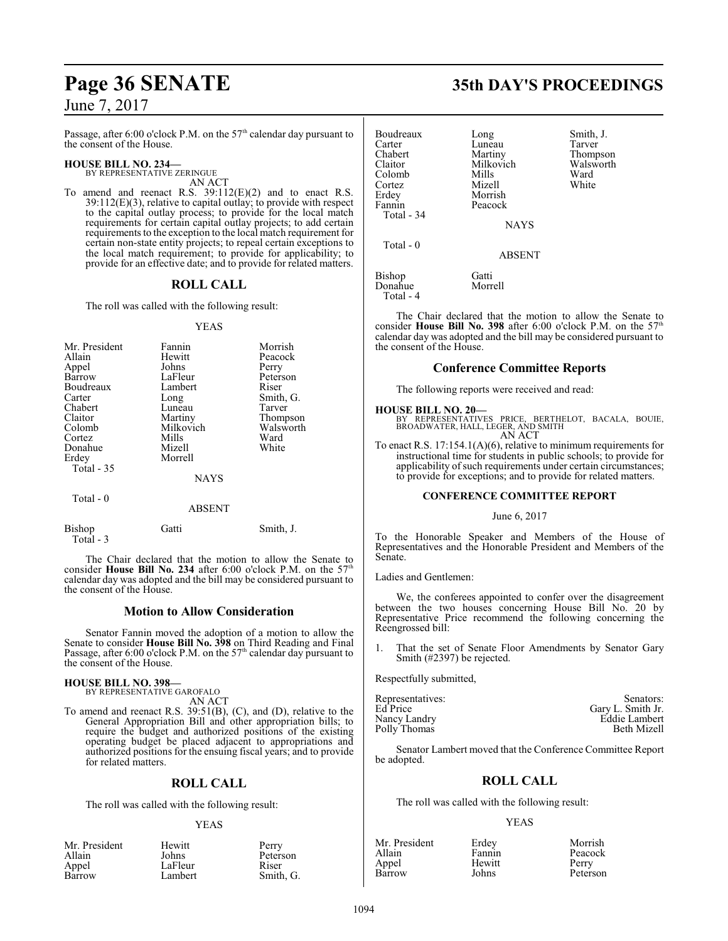Passage, after 6:00 o'clock P.M. on the 57<sup>th</sup> calendar day pursuant to the consent of the House.

#### **HOUSE BILL NO. 234—**

BY REPRESENTATIVE ZERINGUE AN ACT

To amend and reenact R.S. 39:112(E)(2) and to enact R.S. 39:112(E)(3), relative to capital outlay; to provide with respect to the capital outlay process; to provide for the local match requirements for certain capital outlay projects; to add certain requirements to the exception to the local match requirement for certain non-state entity projects; to repeal certain exceptions to the local match requirement; to provide for applicability; to provide for an effective date; and to provide for related matters.

### **ROLL CALL**

The roll was called with the following result:

#### YEAS

| Mr. President<br>Allain<br>Appel<br>Barrow<br>Boudreaux<br>Carter<br>Chabert<br>Claitor<br>Colomb<br>Cortez<br>Donahue<br>Erdey<br>Total $-35$ | Fannin<br>Hewitt<br>Johns<br>LaFleur<br>Lambert<br>Long<br>Luneau<br>Martiny<br>Milkovich<br>Mills<br>Mizell<br>Morrell<br><b>NAYS</b> | Morrish<br>Peacock<br>Perry<br>Peterson<br>Riser<br>Smith, G.<br>Tarver<br>Thompson<br>Walsworth<br>Ward<br>White |
|------------------------------------------------------------------------------------------------------------------------------------------------|----------------------------------------------------------------------------------------------------------------------------------------|-------------------------------------------------------------------------------------------------------------------|
| Total - 0                                                                                                                                      | <b>ABSENT</b>                                                                                                                          |                                                                                                                   |

| Bishop    | Gatti | Smith, J. |
|-----------|-------|-----------|
| Total - 3 |       |           |
|           |       |           |

The Chair declared that the motion to allow the Senate to the **H** and the S<sup>7th</sup> N<sub>0</sub> and the S<sup>7th</sup> consider **House Bill No. 234** after 6:00 o'clock P.M. on the 57 calendar day was adopted and the bill may be considered pursuant to the consent of the House.

#### **Motion to Allow Consideration**

Senator Fannin moved the adoption of a motion to allow the Senate to consider **House Bill No. 398** on Third Reading and Final Passage, after 6:00 o'clock P.M. on the 57<sup>th</sup> calendar day pursuant to the consent of the House.

# **HOUSE BILL NO. 398—** BY REPRESENTATIVE GAROFALO

AN ACT

To amend and reenact R.S. 39:51(B), (C), and (D), relative to the General Appropriation Bill and other appropriation bills; to require the budget and authorized positions of the existing operating budget be placed adjacent to appropriations and authorized positions for the ensuing fiscal years; and to provide for related matters.

#### **ROLL CALL**

The roll was called with the following result:

LaFleur<br>Lambert

#### YEAS

| Mr. President |  |
|---------------|--|
| Allain        |  |
| Appel         |  |
| Barrow        |  |

Hewitt Perry<br>Johns Peters Peterson<br>Riser Smith, G.

## **Page 36 SENATE 35th DAY'S PROCEEDINGS**

| Boudreaux<br>Carter<br>Chabert<br>Claitor<br>Colomb<br>Cortez<br>Erdey<br>Fannin<br>Total - 34<br>Total - 0 | Long<br>Luneau<br>Martiny<br>Milkovich<br>Mills<br>Mizell<br>Morrish<br>Peacock<br><b>NAYS</b> | Smith, J.<br>Tarver<br>Thompson<br>Walsworth<br>Ward<br>White |
|-------------------------------------------------------------------------------------------------------------|------------------------------------------------------------------------------------------------|---------------------------------------------------------------|
|                                                                                                             | <b>ABSENT</b>                                                                                  |                                                               |
| Bishop<br>Donahue<br>Total - 4                                                                              | Gatti<br>Morrell                                                                               |                                                               |

The Chair declared that the motion to allow the Senate to consider House Bill No. 398 after 6:00 o'clock P.M. on the 57<sup>th</sup> calendar day was adopted and the bill may be considered pursuant to the consent of the House.

#### **Conference Committee Reports**

The following reports were received and read:

#### **HOUSE BILL NO. 20—**

BY REPRESENTATIVES PRICE, BERTHELOT, BACALA, BOUIE, BROADWATER, HALL, LEGER, AND SMITH AN ACT

To enact R.S. 17:154.1(A)(6), relative to minimum requirements for instructional time for students in public schools; to provide for applicability of such requirements under certain circumstances; to provide for exceptions; and to provide for related matters.

#### **CONFERENCE COMMITTEE REPORT**

#### June 6, 2017

To the Honorable Speaker and Members of the House of Representatives and the Honorable President and Members of the Senate.

Ladies and Gentlemen:

We, the conferees appointed to confer over the disagreement between the two houses concerning House Bill No. 20 by Representative Price recommend the following concerning the Reengrossed bill:

1. That the set of Senate Floor Amendments by Senator Gary Smith (#2397) be rejected.

Respectfully submitted,

| Representatives: | Senators:          |
|------------------|--------------------|
| Ed Price         | Gary L. Smith Jr.  |
| Nancy Landry     | Eddie Lambert      |
| Polly Thomas     | <b>Beth Mizell</b> |

Senator Lambert moved that the Conference Committee Report be adopted.

#### **ROLL CALL**

The roll was called with the following result:

#### YEAS

| Mr. President | Erdey  | Morrish  |
|---------------|--------|----------|
| Allain        | Fannin | Peacock  |
| Appel         | Hewitt | Perry    |
| Barrow        | Johns  | Peterson |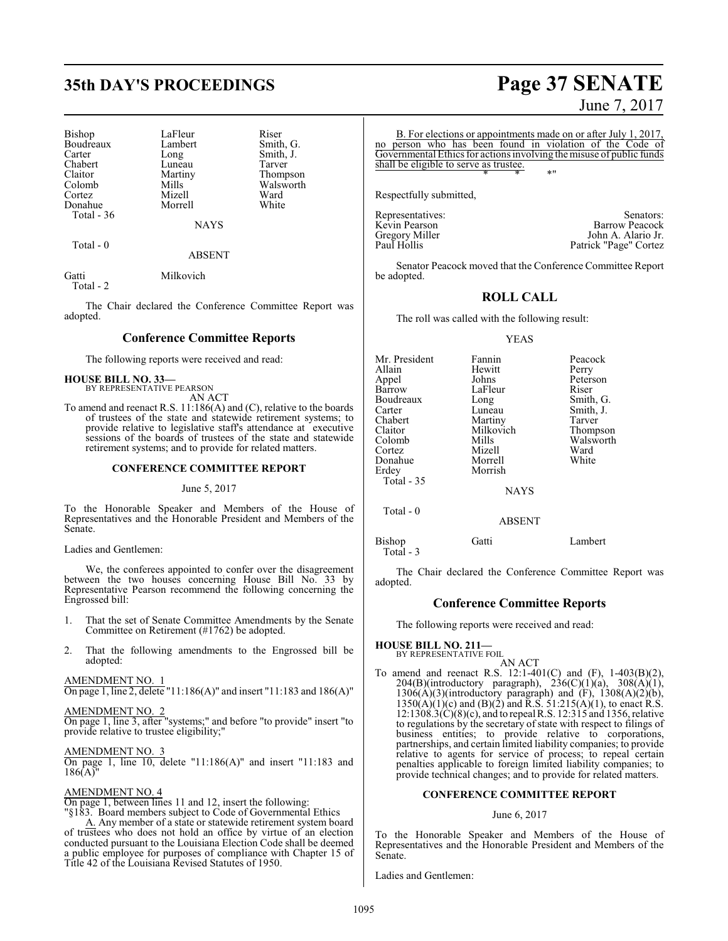# **35th DAY'S PROCEEDINGS Page 37 SENATE**

| Bishop     | LaFleur     | Riser  |
|------------|-------------|--------|
| Boudreaux  | Lambert     | Smith, |
| Carter     | Long        | Smith, |
| Chabert    | Luneau      | Tarver |
| Claitor    | Martiny     | Thomp  |
| Colomb     | Mills       | Walsw  |
| Cortez     | Mizell      | Ward   |
| Donahue    | Morrell     | White  |
| Total - 36 |             |        |
|            | <b>NAYS</b> |        |

Total - 0

ABSENT

Smith, G. Smith, J.<br>Tarver

Thompson Walsworth<br>Ward

Gatti Milkovich Total - 2

The Chair declared the Conference Committee Report was adopted.

#### **Conference Committee Reports**

The following reports were received and read:

#### **HOUSE BILL NO. 33—**

BY REPRESENTATIVE PEARSON AN ACT

To amend and reenact R.S. 11:186(A) and (C), relative to the boards of trustees of the state and statewide retirement systems; to provide relative to legislative staff's attendance at executive sessions of the boards of trustees of the state and statewide retirement systems; and to provide for related matters.

#### **CONFERENCE COMMITTEE REPORT**

#### June 5, 2017

To the Honorable Speaker and Members of the House of Representatives and the Honorable President and Members of the Senate.

#### Ladies and Gentlemen:

We, the conferees appointed to confer over the disagreement between the two houses concerning House Bill No. 33 by Representative Pearson recommend the following concerning the Engrossed bill:

- 1. That the set of Senate Committee Amendments by the Senate Committee on Retirement (#1762) be adopted.
- 2. That the following amendments to the Engrossed bill be adopted:

#### AMENDMENT NO. 1

On page 1, line 2, delete "11:186(A)" and insert "11:183 and 186(A)"

#### AMENDMENT NO. 2

On page 1, line 3, after "systems;" and before "to provide" insert "to provide relative to trustee eligibility;"

#### AMENDMENT NO. 3

On page 1, line 10, delete "11:186(A)" and insert "11:183 and  $186(A)$ "

#### AMENDMENT NO. 4

On page 1, between lines 11 and 12, insert the following:

"§183. Board members subject to Code of Governmental Ethics

A. Any member of a state or statewide retirement system board of trustees who does not hold an office by virtue of an election conducted pursuant to the Louisiana Election Code shall be deemed a public employee for purposes of compliance with Chapter 15 of Title 42 of the Louisiana Revised Statutes of 1950.

# June 7, 2017

B. For elections or appointments made on or after July 1, 2017, no person who has been found in violation of the Code of Governmental Ethics for actions involving the misuse of public funds shall be eligible to serve as trustee. \* \* \*"

Respectfully submitted,

Representatives: Senators: Senators: Senators: Senators: Senators: Senators: Senators: Senators: Senators: Senators: Senators: Senators: Senators: Senators: Senators: Senators: Senators: Senators: Senators: Senators: Senat Kevin Pearson<br>Gregory Miller States and Barrow Peacock<br>John A. Alario Jr. Gregory Miller The Solid Month A. Alario Jr.<br>
Paul Hollis The Patrick "Page" Cortez Patrick "Page" Cortez

Senator Peacock moved that the Conference Committee Report be adopted.

### **ROLL CALL**

The roll was called with the following result:

#### YEAS

| Mr. President<br>Allain<br>Appel<br>Barrow<br>Boudreaux<br>Carter<br>Chabert<br>Claitor<br>Colomb<br>Cortez<br>Donahue<br>Erdey<br>Total $-35$ | Fannin<br>Hewitt<br>Johns<br>LaFleur<br>Long<br>Luneau<br>Martiny<br>Milkovich<br>Mills<br>Mizell<br>Morrell<br>Morrish | Peacock<br>Perry<br>Peterson<br>Riser<br>Smith, G.<br>Smith, J.<br>Tarver<br>Thompson<br>Walsworth<br>Ward<br>White |
|------------------------------------------------------------------------------------------------------------------------------------------------|-------------------------------------------------------------------------------------------------------------------------|---------------------------------------------------------------------------------------------------------------------|
|                                                                                                                                                | <b>NAYS</b>                                                                                                             |                                                                                                                     |
| Total $-0$                                                                                                                                     | <b>ABSENT</b>                                                                                                           |                                                                                                                     |

Bishop Gatti Lambert Total - 3

The Chair declared the Conference Committee Report was adopted.

#### **Conference Committee Reports**

The following reports were received and read:

**HOUSE BILL NO. 211—** BY REPRESENTATIVE FOIL

AN ACT To amend and reenact R.S. 12:1-401(C) and (F), 1-403(B)(2), 204(B)(introductory paragraph),  $236(C)(1)(a)$ ,  $308(A)(1)$ ,  $1306(A)(3)$ (introductory paragraph) and  $(F)$ ,  $1308(A)(2)(b)$ ,  $1350(A)(1)(c)$  and  $(B)(2)$  and R.S.  $51:215(A)(1)$ , to enact R.S. 12:1308.3(C)(8)(c), and to repeal R.S. 12:315 and 1356, relative to regulations by the secretary of state with respect to filings of business entities; to provide relative to corporations, partnerships, and certain limited liability companies; to provide relative to agents for service of process; to repeal certain penalties applicable to foreign limited liability companies; to provide technical changes; and to provide for related matters.

#### **CONFERENCE COMMITTEE REPORT**

#### June 6, 2017

To the Honorable Speaker and Members of the House of Representatives and the Honorable President and Members of the Senate.

Ladies and Gentlemen: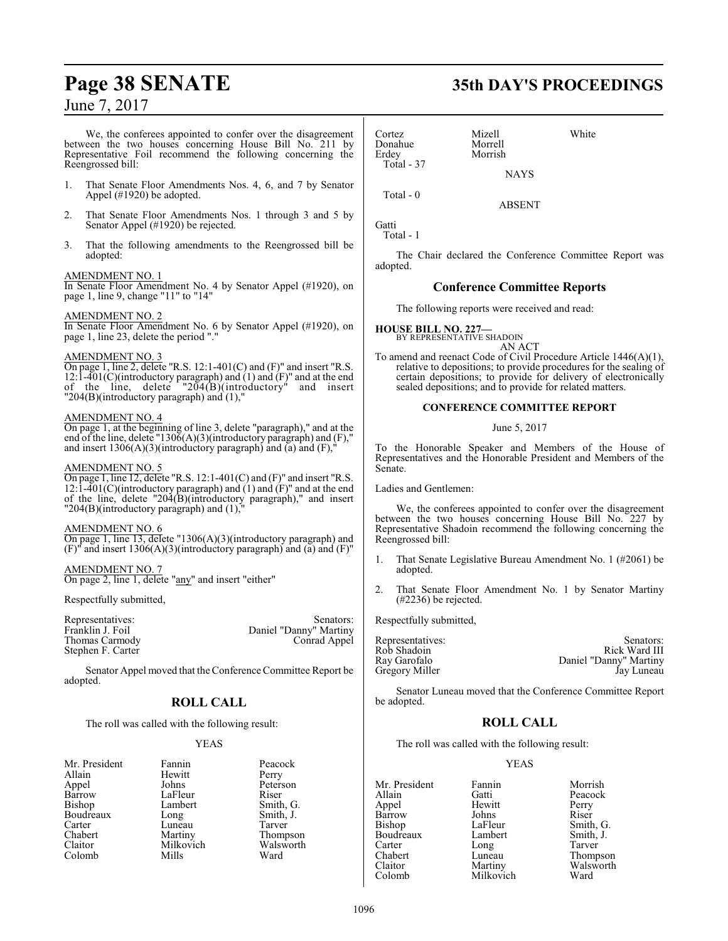We, the conferees appointed to confer over the disagreement between the two houses concerning House Bill No. 211 by Representative Foil recommend the following concerning the Reengrossed bill:

- 1. That Senate Floor Amendments Nos. 4, 6, and 7 by Senator Appel (#1920) be adopted.
- 2. That Senate Floor Amendments Nos. 1 through 3 and 5 by Senator Appel (#1920) be rejected.
- 3. That the following amendments to the Reengrossed bill be adopted:

#### AMENDMENT NO. 1

In Senate Floor Amendment No. 4 by Senator Appel (#1920), on page 1, line 9, change "11" to "14"

#### AMENDMENT NO. 2

In Senate Floor Amendment No. 6 by Senator Appel (#1920), on page 1, line 23, delete the period "."

#### AMENDMENT NO. 3

On page 1, line 2, delete "R.S. 12:1-401(C) and (F)" and insert "R.S. 12:1-401(C)(introductory paragraph) and  $(1)$  and  $(F)$ " and at the end of the line, delete " $204(B)$ (introductory" and insert "204(B)(introductory paragraph) and (1),"

#### AMENDMENT NO. 4

On page 1, at the beginning of line 3, delete "paragraph)," and at the end of the line, delete "1306(A)(3)(introductory paragraph) and (F)," and insert  $1306(A)(3)$ (introductory paragraph) and (a) and (F),"

#### AMENDMENT NO. 5

On page 1, line 12, delete "R.S.  $12:1-401(C)$  and  $(F)$ " and insert "R.S. 12:1-401(C)(introductory paragraph) and  $(1)$  and  $(F)$ " and at the end of the line, delete "204(B)(introductory paragraph)," and insert " $204(B)$ (introductory paragraph) and  $(1)$ ,"

#### AMENDMENT NO. 6

On page 1, line 13, delete "1306(A)(3)(introductory paragraph) and  $(F)$ <sup>"</sup> and insert 1306(A)(3)(introductory paragraph) and (a) and (F)"

#### AMENDMENT NO. 7

On page 2, line 1, delete "any" and insert "either"

Respectfully submitted,

| Representatives:  | Senators:              |
|-------------------|------------------------|
| Franklin J. Foil  | Daniel "Danny" Martiny |
| Thomas Carmody    | Conrad Appel           |
| Stephen F. Carter |                        |

Senator Appel moved that the Conference Committee Report be adopted.

## **ROLL CALL**

The roll was called with the following result:

Mills

#### YEAS

| Mr. President | Fannin    | Peaco  |
|---------------|-----------|--------|
| Allain        | Hewitt    | Perry  |
| Appel         | Johns     | Peter: |
| <b>Barrow</b> | LaFleur   | Riser  |
| Bishop        | Lambert   | Smith  |
| Boudreaux     | Long      | Smith  |
| Carter        | Luneau    | Tarve  |
| Chabert       | Martiny   | Thom   |
| Claitor       | Milkovich | Wals   |
| Colomb        | Mills     | Ward   |

Fannin Peacock<br>Hewitt Perry Johns Peterson<br>LaFleur Riser Lambert Smith, G.<br>Long Smith, J. Smith, J.<br>Tarver Martiny Thompson<br>
Milkovich Walsworth Walsworth<br>Ward

# **Page 38 SENATE 35th DAY'S PROCEEDINGS**

Cortez Mizell White Donahue Morrell<br>Erdev Morrish Total - 37

**NAYS** 

ABSENT

Morrish

Gatti

Total - 1

Total - 0

The Chair declared the Conference Committee Report was adopted.

#### **Conference Committee Reports**

The following reports were received and read:

#### **HOUSE BILL NO. 227—** BY REPRESENTATIVE SHADOIN

AN ACT To amend and reenact Code of Civil Procedure Article 1446(A)(1), relative to depositions; to provide procedures for the sealing of certain depositions; to provide for delivery of electronically sealed depositions; and to provide for related matters.

#### **CONFERENCE COMMITTEE REPORT**

#### June 5, 2017

To the Honorable Speaker and Members of the House of Representatives and the Honorable President and Members of the Senate.

Ladies and Gentlemen:

We, the conferees appointed to confer over the disagreement between the two houses concerning House Bill No. 227 by Representative Shadoin recommend the following concerning the Reengrossed bill:

- 1. That Senate Legislative Bureau Amendment No. 1 (#2061) be adopted.
- 2. That Senate Floor Amendment No. 1 by Senator Martiny (#2236) be rejected.

Respectfully submitted,

| Senators:              |
|------------------------|
| Rick Ward III          |
| Daniel "Danny" Martiny |
| Jay Luneau             |
|                        |

Senator Luneau moved that the Conference Committee Report be adopted.

## **ROLL CALL**

The roll was called with the following result:

Milkovich

#### YEAS

Mr. President Fannin Morrish<br>Allain Gatti Peacock Allain Gatti Peacock Barrow Johns<br>Bishop LaFleur Boudreaux Carter Long Tarver Chabert Luneau Thompson<br>Claitor Martiny Walsworth

Hewitt Perry<br>Johns Riser LaFleur Smith, G.<br>Lambert Smith, J. Claitor Martiny Walsworth<br>
Colomb Milkovich Ward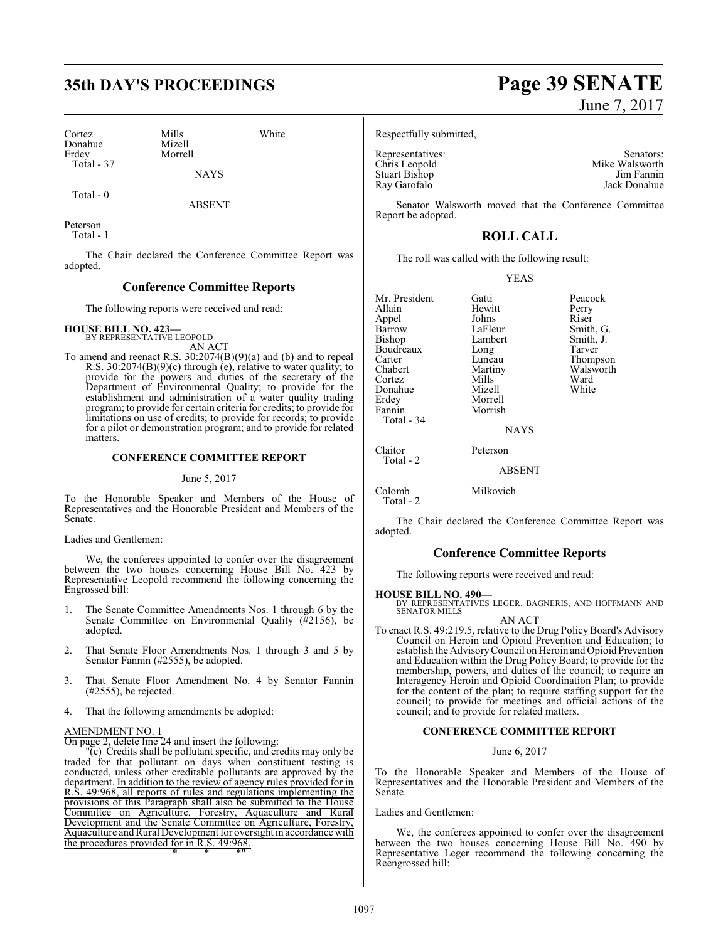# **35th DAY'S PROCEEDINGS Page 39 SENATE**

Cortez Mills White Donahue Mizell<br>Erdev Morrel Total - 37

Morrell

**NAYS** 

Total - 0

ABSENT

Peterson Total - 1

The Chair declared the Conference Committee Report was adopted.

#### **Conference Committee Reports**

The following reports were received and read:

**HOUSE BILL NO. 423—** BY REPRESENTATIVE LEOPOLD

AN ACT To amend and reenact R.S. 30:2074(B)(9)(a) and (b) and to repeal R.S. 30:2074(B)(9)(c) through (e), relative to water quality; to provide for the powers and duties of the secretary of the Department of Environmental Quality; to provide for the establishment and administration of a water quality trading program; to provide for certain criteria for credits; to provide for limitations on use of credits; to provide for records; to provide for a pilot or demonstration program; and to provide for related matters.

#### **CONFERENCE COMMITTEE REPORT**

#### June 5, 2017

To the Honorable Speaker and Members of the House of Representatives and the Honorable President and Members of the Senate.

Ladies and Gentlemen:

We, the conferees appointed to confer over the disagreement between the two houses concerning House Bill No. 423 by Representative Leopold recommend the following concerning the Engrossed bill:

- 1. The Senate Committee Amendments Nos. 1 through 6 by the Senate Committee on Environmental Quality  $(\frac{\pi}{4}2156)$ , be adopted.
- 2. That Senate Floor Amendments Nos. 1 through 3 and 5 by Senator Fannin (#2555), be adopted.
- 3. That Senate Floor Amendment No. 4 by Senator Fannin (#2555), be rejected.
- 4. That the following amendments be adopted:

#### AMENDMENT NO. 1

On page 2, delete line 24 and insert the following:

"(c) <del>Credits shall be pollutant specific, and credits may only be</del> traded for that pollutant on days when constituent testing is conducted, unless other creditable pollutants are approved by the conducted, unless other creditable pollutants are approved by department. In addition to the review of agency rules provided for in R.S. 49:968, all reports of rules and regulations implementing the provisions of this Paragraph shall also be submitted to the House Committee on Agriculture, Forestry, Aquaculture and Rural Development and the Senate Committee on Agriculture, Forestry, Aquaculture and Rural Development for oversight in accordance with the procedures provided for in R.S. 49:968. \* \* \*"

# June 7, 2017

Respectfully submitted,

Representatives: Senators: Senators: Senators: Senators: Senators: Senators: Senators: Senators: Senators: Senators: Senators: Senators: Senators: Senators: Senators: Senators: Senators: Senators: Senators: Senators: Senat Chris Leopold Mike Walsworth Stuart Bishop Jim Fannin Stuart Bishop<br>Ray Garofalo

Jack Donahue

Senator Walsworth moved that the Conference Committee Report be adopted.

## **ROLL CALL**

The roll was called with the following result:

#### YEAS

Mr. President Gatti Beacock<br>
Allain Hewitt Perry Appel Johns<br>Barrow LaFleur Barrow LaFleur Smith, G.<br>Bishop Lambert Smith, J. Boudreaux Long<br>Carter Luneau Carter Luneau Thompson<br>Chabert Martiny Walsworth Cortez Mills Ward<br>
Donahue Mizell White<br>
White Donahue<br>Erdey Erdey Morrell Total - 34 Claitor Peterson Total - 2

Colomb Milkovich Total - 2

The Chair declared the Conference Committee Report was adopted.

#### **Conference Committee Reports**

The following reports were received and read:

## **HOUSE BILL NO. 490—**

BY REPRESENTATIVES LEGER, BAGNERIS, AND HOFFMANN AND SENATOR MILLS AN ACT

To enact R.S. 49:219.5, relative to the Drug Policy Board's Advisory Council on Heroin and Opioid Prevention and Education; to establish the AdvisoryCouncil on Heroin and Opioid Prevention and Education within the Drug Policy Board; to provide for the membership, powers, and duties of the council; to require an Interagency Heroin and Opioid Coordination Plan; to provide for the content of the plan; to require staffing support for the council; to provide for meetings and official actions of the council; and to provide for related matters.

#### **CONFERENCE COMMITTEE REPORT**

#### June 6, 2017

To the Honorable Speaker and Members of the House of Representatives and the Honorable President and Members of the Senate.

Ladies and Gentlemen:

We, the conferees appointed to confer over the disagreement between the two houses concerning House Bill No. 490 by Representative Leger recommend the following concerning the Reengrossed bill:

Hewitt Perry<br>Johns Riser Lambert Smith, J.<br>
Long Tarver Martiny Walsworth<br>
Mills Ward

Morrish **NAYS** 

ABSENT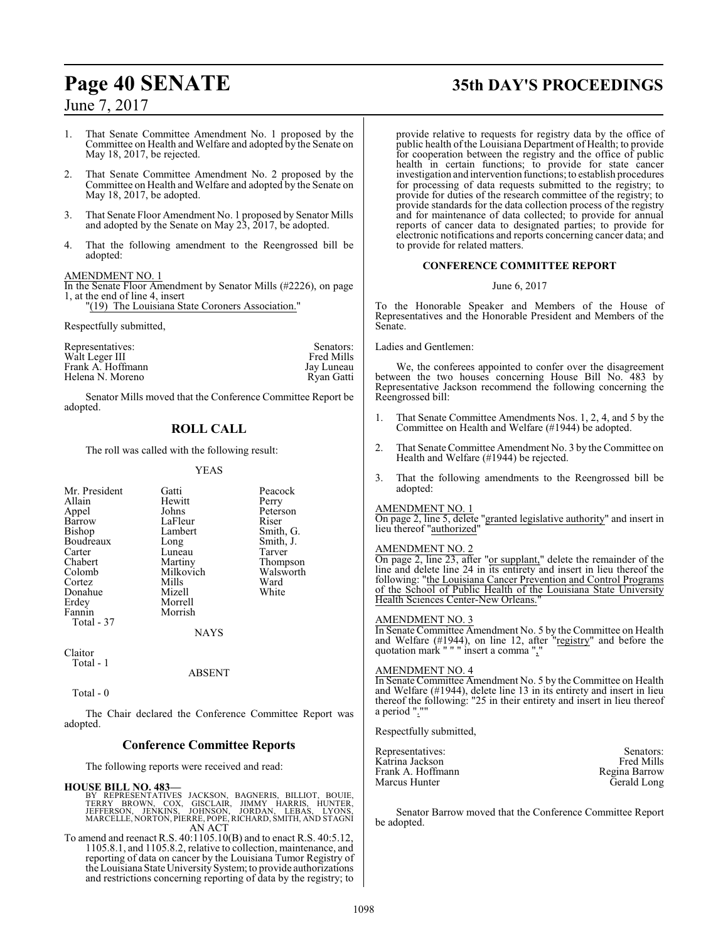1. That Senate Committee Amendment No. 1 proposed by the Committee on Health and Welfare and adopted by the Senate on May 18, 2017, be rejected.

- 2. That Senate Committee Amendment No. 2 proposed by the Committee on Health and Welfare and adopted by the Senate on May 18, 2017, be adopted.
- 3. That Senate Floor Amendment No. 1 proposed by Senator Mills and adopted by the Senate on May 23, 2017, be adopted.
- 4. That the following amendment to the Reengrossed bill be adopted:

#### AMENDMENT NO. 1

In the Senate Floor Amendment by Senator Mills (#2226), on page 1, at the end of line 4, insert

"(19) The Louisiana State Coroners Association."

Respectfully submitted,

| Representatives:  | Senators:  |
|-------------------|------------|
| Walt Leger III    | Fred Mills |
| Frank A. Hoffmann | Jay Luneau |
| Helena N. Moreno  | Ryan Gatti |

Senator Mills moved that the Conference Committee Report be adopted.

## **ROLL CALL**

The roll was called with the following result:

#### YEAS

| Mr. President | Gatti     | Peacock   |
|---------------|-----------|-----------|
| Allain        | Hewitt    | Perry     |
| Appel         | Johns     | Peterson  |
| Barrow        | LaFleur   | Riser     |
| Bishop        | Lambert   | Smith, G. |
| Boudreaux     | Long      | Smith, J. |
| Carter        | Luneau    | Tarver    |
| Chabert       | Martiny   | Thompson  |
| Colomb        | Milkovich | Walsworth |
| Cortez        | Mills     | Ward      |
| Donahue       | Mizell    | White     |
| Erdey         | Morrell   |           |
| Fannin        | Morrish   |           |
| Total - 37    |           |           |
|               | NAYS      |           |

Claitor Total - 1

#### ABSENT

Total - 0

The Chair declared the Conference Committee Report was adopted.

#### **Conference Committee Reports**

The following reports were received and read:

#### **HOUSE BILL NO. 483—**

- BY REPRESENTATIVES JACKSON, BAGNERIS, BILLIOT, BOUIE,<br>TERRY BROWN, COX, GISCLAIR, JIMMY HARRIS, HUNTER,<br>JEERFRSON, JENKINS, JOHNSON, JORDAN, LEBAS, LYONS,<br>MARCELLE,NORTON,PIERRE,POPE,RICHARD,SMITH,ANDSTAGNI AN ACT
- To amend and reenact R.S. 40:1105.10(B) and to enact R.S. 40:5.12, 1105.8.1, and 1105.8.2, relative to collection, maintenance, and reporting of data on cancer by the Louisiana Tumor Registry of the Louisiana State University System; to provide authorizations and restrictions concerning reporting of data by the registry; to

# **Page 40 SENATE 35th DAY'S PROCEEDINGS**

provide relative to requests for registry data by the office of public health of the Louisiana Department of Health; to provide for cooperation between the registry and the office of public health in certain functions; to provide for state cancer investigation and intervention functions; to establish procedures for processing of data requests submitted to the registry; to provide for duties of the research committee of the registry; to provide standards for the data collection process of the registry and for maintenance of data collected; to provide for annual reports of cancer data to designated parties; to provide for electronic notifications and reports concerning cancer data; and to provide for related matters.

#### **CONFERENCE COMMITTEE REPORT**

#### June 6, 2017

To the Honorable Speaker and Members of the House of Representatives and the Honorable President and Members of the Senate.

Ladies and Gentlemen:

We, the conferees appointed to confer over the disagreement between the two houses concerning House Bill No. 483 by Representative Jackson recommend the following concerning the Reengrossed bill:

- 1. That Senate Committee Amendments Nos. 1, 2, 4, and 5 by the Committee on Health and Welfare (#1944) be adopted.
- 2. That Senate Committee Amendment No. 3 by the Committee on Health and Welfare (#1944) be rejected.
- 3. That the following amendments to the Reengrossed bill be adopted:

#### AMENDMENT NO. 1

On page 2, line 5, delete "granted legislative authority" and insert in lieu thereof "authorized"

#### AMENDMENT NO. 2

On page 2, line 23, after "or supplant," delete the remainder of the line and delete line 24 in its entirety and insert in lieu thereof the following: "the Louisiana Cancer Prevention and Control Programs of the School of Public Health of the Louisiana State University Health Sciences Center-New Orleans."

#### AMENDMENT NO. 3

In Senate Committee Amendment No. 5 by the Committee on Health and Welfare (#1944), on line 12, after "registry" and before the quotation mark " " " insert a comma ","

#### AMENDMENT NO. 4

In Senate Committee Amendment No. 5 by the Committee on Health and Welfare (#1944), delete line 13 in its entirety and insert in lieu thereof the following: "25 in their entirety and insert in lieu thereof a period ".'

Respectfully submitted,

| Representatives:  | Senators:     |
|-------------------|---------------|
| Katrina Jackson   | Fred Mills    |
| Frank A. Hoffmann | Regina Barrow |
| Marcus Hunter     | Gerald Long   |

Senator Barrow moved that the Conference Committee Report be adopted.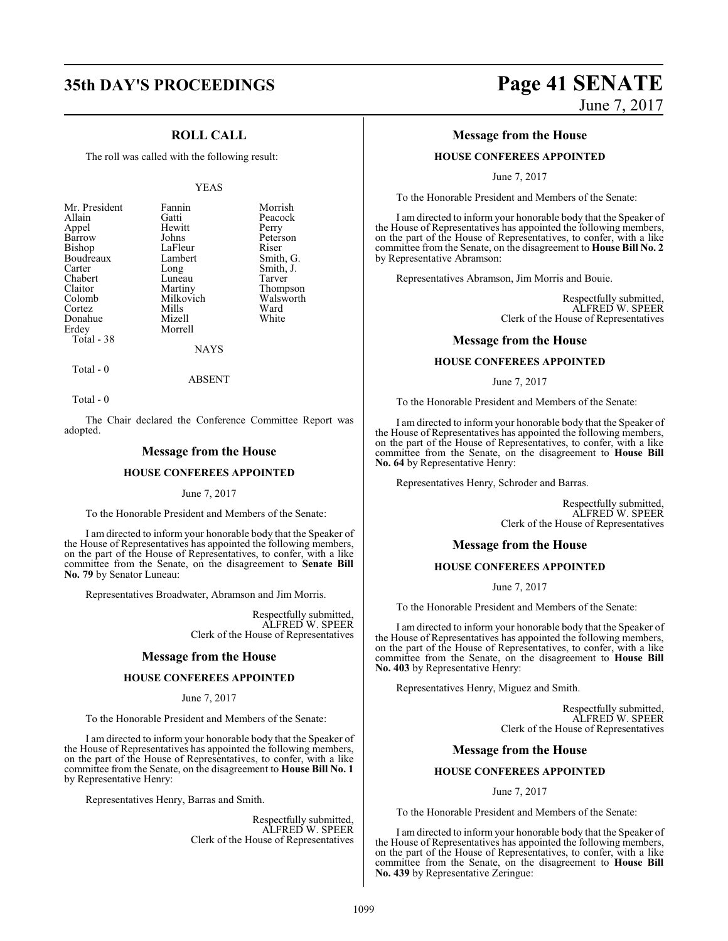## **ROLL CALL**

The roll was called with the following result:

#### YEAS

NAYS

Total - 0

ABSENT

Total - 0

The Chair declared the Conference Committee Report was adopted.

#### **Message from the House**

#### **HOUSE CONFEREES APPOINTED**

#### June 7, 2017

To the Honorable President and Members of the Senate:

I am directed to inform your honorable body that the Speaker of the House of Representatives has appointed the following members, on the part of the House of Representatives, to confer, with a like committee from the Senate, on the disagreement to **Senate Bill No. 79** by Senator Luneau:

Representatives Broadwater, Abramson and Jim Morris.

Respectfully submitted, ALFRED W. SPEER Clerk of the House of Representatives

#### **Message from the House**

#### **HOUSE CONFEREES APPOINTED**

#### June 7, 2017

To the Honorable President and Members of the Senate:

I am directed to inform your honorable body that the Speaker of the House of Representatives has appointed the following members, on the part of the House of Representatives, to confer, with a like committee from the Senate, on the disagreement to **House Bill No. 1** by Representative Henry:

Representatives Henry, Barras and Smith.

Respectfully submitted, ALFRED W. SPEER Clerk of the House of Representatives

# **35th DAY'S PROCEEDINGS Page 41 SENATE** June 7, 2017

#### **Message from the House**

#### **HOUSE CONFEREES APPOINTED**

June 7, 2017

To the Honorable President and Members of the Senate:

I am directed to inform your honorable body that the Speaker of the House of Representatives has appointed the following members, on the part of the House of Representatives, to confer, with a like committee from the Senate, on the disagreement to **House Bill No. 2** by Representative Abramson:

Representatives Abramson, Jim Morris and Bouie.

Respectfully submitted, ALFRED W. SPEER Clerk of the House of Representatives

#### **Message from the House**

#### **HOUSE CONFEREES APPOINTED**

June 7, 2017

To the Honorable President and Members of the Senate:

I am directed to inform your honorable body that the Speaker of the House of Representatives has appointed the following members, on the part of the House of Representatives, to confer, with a like committee from the Senate, on the disagreement to **House Bill No. 64** by Representative Henry:

Representatives Henry, Schroder and Barras.

Respectfully submitted, ALFRED W. SPEER Clerk of the House of Representatives

#### **Message from the House**

#### **HOUSE CONFEREES APPOINTED**

June 7, 2017

To the Honorable President and Members of the Senate:

I am directed to inform your honorable body that the Speaker of the House of Representatives has appointed the following members, on the part of the House of Representatives, to confer, with a like committee from the Senate, on the disagreement to **House Bill No. 403** by Representative Henry:

Representatives Henry, Miguez and Smith.

Respectfully submitted, ALFRED W. SPEER Clerk of the House of Representatives

#### **Message from the House**

#### **HOUSE CONFEREES APPOINTED**

June 7, 2017

To the Honorable President and Members of the Senate:

I am directed to inform your honorable body that the Speaker of the House of Representatives has appointed the following members, on the part of the House of Representatives, to confer, with a like committee from the Senate, on the disagreement to **House Bill No. 439** by Representative Zeringue: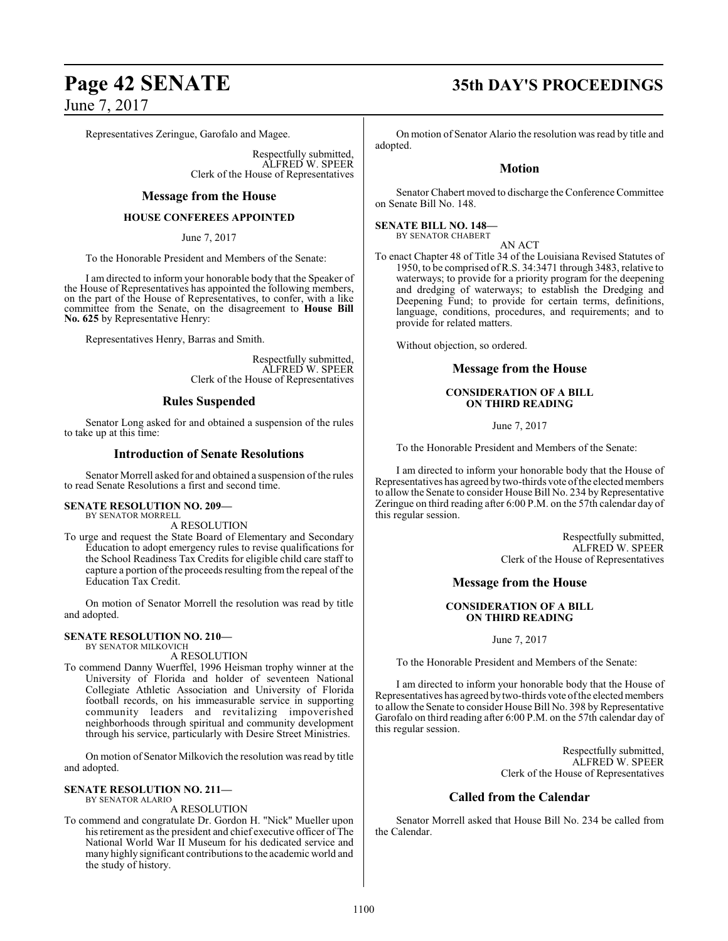Representatives Zeringue, Garofalo and Magee.

Respectfully submitted, ALFRED W. SPEER Clerk of the House of Representatives

#### **Message from the House**

#### **HOUSE CONFEREES APPOINTED**

June 7, 2017

To the Honorable President and Members of the Senate:

I am directed to inform your honorable body that the Speaker of the House of Representatives has appointed the following members, on the part of the House of Representatives, to confer, with a like committee from the Senate, on the disagreement to **House Bill No. 625** by Representative Henry:

Representatives Henry, Barras and Smith.

Respectfully submitted, ALFRED W. SPEER Clerk of the House of Representatives

#### **Rules Suspended**

Senator Long asked for and obtained a suspension of the rules to take up at this time:

#### **Introduction of Senate Resolutions**

Senator Morrell asked for and obtained a suspension of the rules to read Senate Resolutions a first and second time.

#### **SENATE RESOLUTION NO. 209—**

BY SENATOR MORRELL

A RESOLUTION To urge and request the State Board of Elementary and Secondary Education to adopt emergency rules to revise qualifications for the School Readiness Tax Credits for eligible child care staff to capture a portion ofthe proceeds resulting from the repeal of the Education Tax Credit.

On motion of Senator Morrell the resolution was read by title and adopted.

#### **SENATE RESOLUTION NO. 210—** BY SENATOR MILKOVICH

A RESOLUTION

To commend Danny Wuerffel, 1996 Heisman trophy winner at the University of Florida and holder of seventeen National Collegiate Athletic Association and University of Florida football records, on his immeasurable service in supporting community leaders and revitalizing impoverished neighborhoods through spiritual and community development through his service, particularly with Desire Street Ministries.

On motion of Senator Milkovich the resolution was read by title and adopted.

#### **SENATE RESOLUTION NO. 211—** BY SENATOR ALARIO

A RESOLUTION

To commend and congratulate Dr. Gordon H. "Nick" Mueller upon his retirement as the president and chief executive officer of The National World War II Museum for his dedicated service and many highly significant contributions to the academic world and the study of history.

# **Page 42 SENATE 35th DAY'S PROCEEDINGS**

On motion of Senator Alario the resolution was read by title and adopted.

#### **Motion**

Senator Chabert moved to discharge the Conference Committee on Senate Bill No. 148.

#### **SENATE BILL NO. 148—** BY SENATOR CHABERT

AN ACT

To enact Chapter 48 of Title 34 of the Louisiana Revised Statutes of 1950, to be comprised of R.S. 34:3471 through 3483, relative to waterways; to provide for a priority program for the deepening and dredging of waterways; to establish the Dredging and Deepening Fund; to provide for certain terms, definitions, language, conditions, procedures, and requirements; and to provide for related matters.

Without objection, so ordered.

#### **Message from the House**

#### **CONSIDERATION OF A BILL ON THIRD READING**

June 7, 2017

To the Honorable President and Members of the Senate:

I am directed to inform your honorable body that the House of Representatives has agreed by two-thirds vote ofthe electedmembers to allow the Senate to consider House Bill No. 234 by Representative Zeringue on third reading after 6:00 P.M. on the 57th calendar day of this regular session.

> Respectfully submitted, ALFRED W. SPEER Clerk of the House of Representatives

#### **Message from the House**

#### **CONSIDERATION OF A BILL ON THIRD READING**

June 7, 2017

To the Honorable President and Members of the Senate:

I am directed to inform your honorable body that the House of Representatives has agreed by two-thirds vote of the elected members to allow the Senate to consider House Bill No. 398 by Representative Garofalo on third reading after 6:00 P.M. on the 57th calendar day of this regular session.

> Respectfully submitted, ALFRED W. SPEER Clerk of the House of Representatives

#### **Called from the Calendar**

Senator Morrell asked that House Bill No. 234 be called from the Calendar.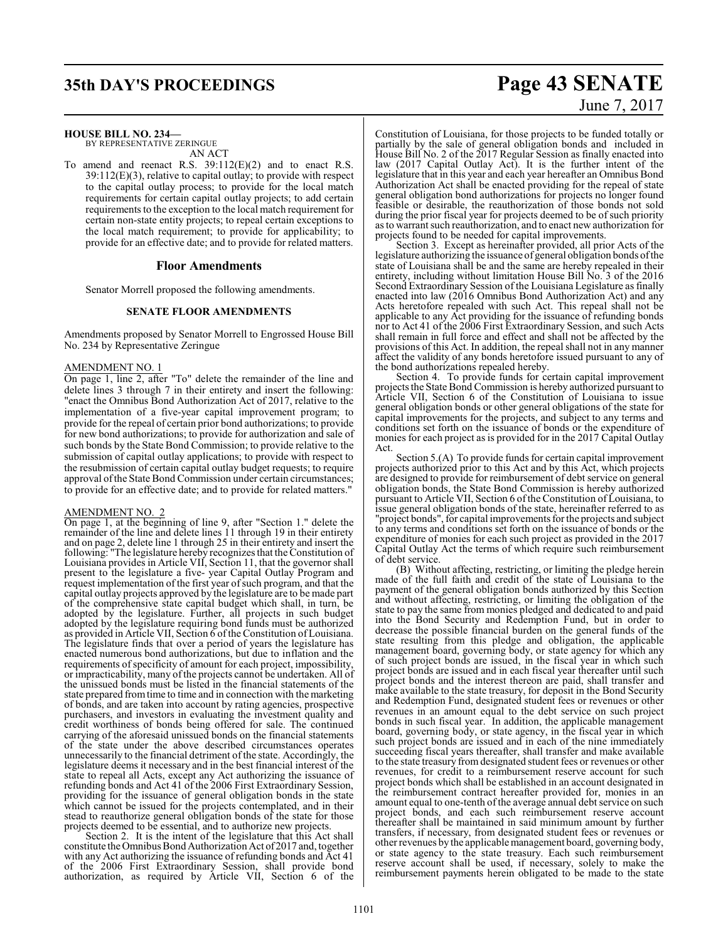**HOUSE BILL NO. 234—**

BY REPRESENTATIVE ZERINGUE AN ACT

To amend and reenact R.S. 39:112(E)(2) and to enact R.S. 39:112(E)(3), relative to capital outlay; to provide with respect to the capital outlay process; to provide for the local match requirements for certain capital outlay projects; to add certain requirements to the exception to the local match requirement for certain non-state entity projects; to repeal certain exceptions to the local match requirement; to provide for applicability; to provide for an effective date; and to provide for related matters.

#### **Floor Amendments**

Senator Morrell proposed the following amendments.

#### **SENATE FLOOR AMENDMENTS**

Amendments proposed by Senator Morrell to Engrossed House Bill No. 234 by Representative Zeringue

#### AMENDMENT NO. 1

On page 1, line 2, after "To" delete the remainder of the line and delete lines 3 through 7 in their entirety and insert the following: "enact the Omnibus Bond Authorization Act of 2017, relative to the implementation of a five-year capital improvement program; to provide for the repeal of certain prior bond authorizations; to provide for new bond authorizations; to provide for authorization and sale of such bonds by the State Bond Commission; to provide relative to the submission of capital outlay applications; to provide with respect to the resubmission of certain capital outlay budget requests; to require approval ofthe State Bond Commission under certain circumstances; to provide for an effective date; and to provide for related matters."

#### AMENDMENT NO. 2

On page 1, at the beginning of line 9, after "Section 1." delete the remainder of the line and delete lines 11 through 19 in their entirety and on page 2, delete line 1 through 25 in their entirety and insert the following: "The legislature hereby recognizes that the Constitution of Louisiana provides in Article VII, Section 11, that the governor shall present to the legislature a five- year Capital Outlay Program and request implementation of the first year of such program, and that the capital outlay projects approved by the legislature are to be made part of the comprehensive state capital budget which shall, in turn, be adopted by the legislature. Further, all projects in such budget adopted by the legislature requiring bond funds must be authorized as provided in Article VII, Section 6 oftheConstitution of Louisiana. The legislature finds that over a period of years the legislature has enacted numerous bond authorizations, but due to inflation and the requirements of specificity of amount for each project, impossibility, or impracticability, many ofthe projects cannot be undertaken. All of the unissued bonds must be listed in the financial statements of the state prepared fromtime to time and in connection with the marketing of bonds, and are taken into account by rating agencies, prospective purchasers, and investors in evaluating the investment quality and credit worthiness of bonds being offered for sale. The continued carrying of the aforesaid unissued bonds on the financial statements of the state under the above described circumstances operates unnecessarily to the financial detriment of the state. Accordingly, the legislature deems it necessary and in the best financial interest of the state to repeal all Acts, except any Act authorizing the issuance of refunding bonds and Act 41 of the 2006 First Extraordinary Session, providing for the issuance of general obligation bonds in the state which cannot be issued for the projects contemplated, and in their stead to reauthorize general obligation bonds of the state for those projects deemed to be essential, and to authorize new projects.

Section 2. It is the intent of the legislature that this Act shall constitute the Omnibus Bond Authorization Act of 2017 and, together with any Act authorizing the issuance of refunding bonds and Act 41 of the 2006 First Extraordinary Session, shall provide bond authorization, as required by Article VII, Section 6 of the

# **35th DAY'S PROCEEDINGS Page 43 SENATE** June 7, 2017

Constitution of Louisiana, for those projects to be funded totally or partially by the sale of general obligation bonds and included in House Bill No. 2 of the 2017 Regular Session as finally enacted into law (2017 Capital Outlay Act). It is the further intent of the legislature that in this year and each year hereafter an Omnibus Bond Authorization Act shall be enacted providing for the repeal of state general obligation bond authorizations for projects no longer found feasible or desirable, the reauthorization of those bonds not sold during the prior fiscal year for projects deemed to be of such priority asto warrant such reauthorization, and to enact new authorization for projects found to be needed for capital improvements.

Section 3. Except as hereinafter provided, all prior Acts of the legislature authorizing the issuance of general obligation bonds ofthe state of Louisiana shall be and the same are hereby repealed in their entirety, including without limitation House Bill No. 3 of the 2016 Second Extraordinary Session of the Louisiana Legislature as finally enacted into law (2016 Omnibus Bond Authorization Act) and any Acts heretofore repealed with such Act. This repeal shall not be applicable to any Act providing for the issuance of refunding bonds nor to Act 41 of the 2006 First Extraordinary Session, and such Acts shall remain in full force and effect and shall not be affected by the provisions of this Act. In addition, the repeal shall not in any manner affect the validity of any bonds heretofore issued pursuant to any of the bond authorizations repealed hereby.

Section 4. To provide funds for certain capital improvement projects the State Bond Commission is hereby authorized pursuant to Article VII, Section 6 of the Constitution of Louisiana to issue general obligation bonds or other general obligations of the state for capital improvements for the projects, and subject to any terms and conditions set forth on the issuance of bonds or the expenditure of monies for each project as is provided for in the 2017 Capital Outlay Act.

Section 5.(A) To provide funds for certain capital improvement projects authorized prior to this Act and by this Act, which projects are designed to provide for reimbursement of debt service on general obligation bonds, the State Bond Commission is hereby authorized pursuant to Article VII, Section 6 ofthe Constitution of Louisiana, to issue general obligation bonds of the state, hereinafter referred to as "project bonds", for capital improvements for the projects and subject to any terms and conditions set forth on the issuance of bonds or the expenditure of monies for each such project as provided in the 2017 Capital Outlay Act the terms of which require such reimbursement of debt service.

(B) Without affecting, restricting, or limiting the pledge herein made of the full faith and credit of the state of Louisiana to the payment of the general obligation bonds authorized by this Section and without affecting, restricting, or limiting the obligation of the state to pay the same from monies pledged and dedicated to and paid into the Bond Security and Redemption Fund, but in order to decrease the possible financial burden on the general funds of the state resulting from this pledge and obligation, the applicable management board, governing body, or state agency for which any of such project bonds are issued, in the fiscal year in which such project bonds are issued and in each fiscal year thereafter until such project bonds and the interest thereon are paid, shall transfer and make available to the state treasury, for deposit in the Bond Security and Redemption Fund, designated student fees or revenues or other revenues in an amount equal to the debt service on such project bonds in such fiscal year. In addition, the applicable management board, governing body, or state agency, in the fiscal year in which such project bonds are issued and in each of the nine immediately succeeding fiscal years thereafter, shall transfer and make available to the state treasury fromdesignated student fees or revenues or other revenues, for credit to a reimbursement reserve account for such project bonds which shall be established in an account designated in the reimbursement contract hereafter provided for, monies in an amount equal to one-tenth of the average annual debt service on such project bonds, and each such reimbursement reserve account thereafter shall be maintained in said minimum amount by further transfers, if necessary, from designated student fees or revenues or other revenues by the applicable management board, governing body, or state agency to the state treasury. Each such reimbursement reserve account shall be used, if necessary, solely to make the reimbursement payments herein obligated to be made to the state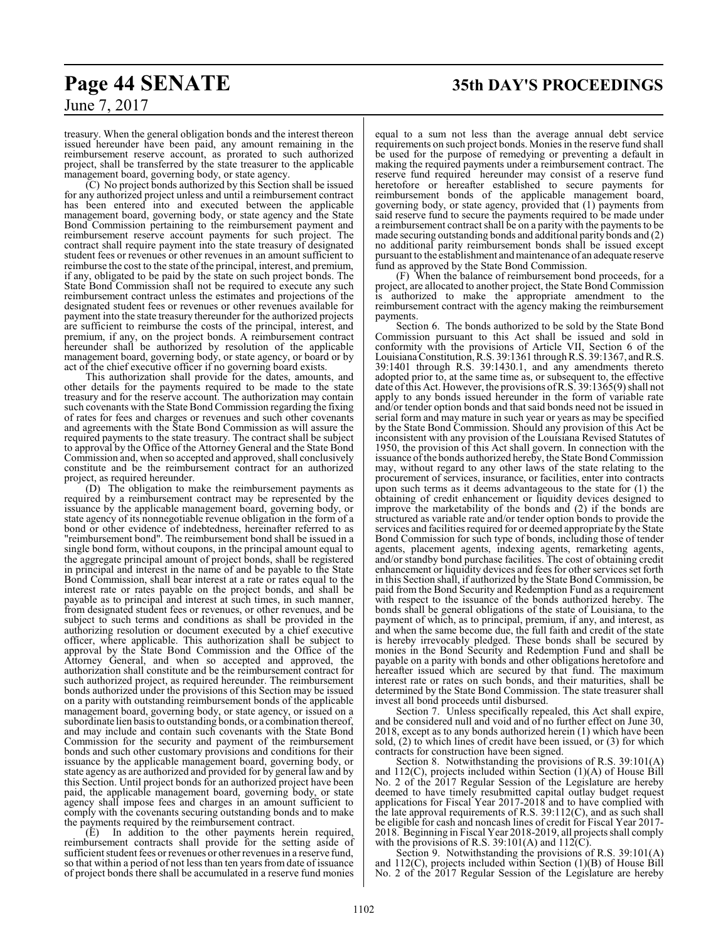# **Page 44 SENATE 35th DAY'S PROCEEDINGS**

treasury. When the general obligation bonds and the interest thereon issued hereunder have been paid, any amount remaining in the reimbursement reserve account, as prorated to such authorized project, shall be transferred by the state treasurer to the applicable management board, governing body, or state agency.

(C) No project bonds authorized by this Section shall be issued for any authorized project unless and until a reimbursement contract has been entered into and executed between the applicable management board, governing body, or state agency and the State Bond Commission pertaining to the reimbursement payment and reimbursement reserve account payments for such project. The contract shall require payment into the state treasury of designated student fees or revenues or other revenues in an amount sufficient to reimburse the cost to the state of the principal, interest, and premium, if any, obligated to be paid by the state on such project bonds. The State Bond Commission shall not be required to execute any such reimbursement contract unless the estimates and projections of the designated student fees or revenues or other revenues available for payment into the state treasury thereunder for the authorized projects are sufficient to reimburse the costs of the principal, interest, and premium, if any, on the project bonds. A reimbursement contract hereunder shall be authorized by resolution of the applicable management board, governing body, or state agency, or board or by act of the chief executive officer if no governing board exists.

This authorization shall provide for the dates, amounts, and other details for the payments required to be made to the state treasury and for the reserve account. The authorization may contain such covenants with the State Bond Commission regarding the fixing of rates for fees and charges or revenues and such other covenants and agreements with the State Bond Commission as will assure the required payments to the state treasury. The contract shall be subject to approval by the Office of the Attorney General and the State Bond Commission and, when so accepted and approved, shall conclusively constitute and be the reimbursement contract for an authorized project, as required hereunder.

(D) The obligation to make the reimbursement payments as required by a reimbursement contract may be represented by the issuance by the applicable management board, governing body, or state agency of its nonnegotiable revenue obligation in the form of a bond or other evidence of indebtedness, hereinafter referred to as "reimbursement bond". The reimbursement bond shall be issued in a single bond form, without coupons, in the principal amount equal to the aggregate principal amount of project bonds, shall be registered in principal and interest in the name of and be payable to the State Bond Commission, shall bear interest at a rate or rates equal to the interest rate or rates payable on the project bonds, and shall be payable as to principal and interest at such times, in such manner, from designated student fees or revenues, or other revenues, and be subject to such terms and conditions as shall be provided in the authorizing resolution or document executed by a chief executive officer, where applicable. This authorization shall be subject to approval by the State Bond Commission and the Office of the Attorney General, and when so accepted and approved, the authorization shall constitute and be the reimbursement contract for such authorized project, as required hereunder. The reimbursement bonds authorized under the provisions of this Section may be issued on a parity with outstanding reimbursement bonds of the applicable management board, governing body, or state agency, or issued on a subordinate lien basis to outstanding bonds, or a combination thereof, and may include and contain such covenants with the State Bond Commission for the security and payment of the reimbursement bonds and such other customary provisions and conditions for their issuance by the applicable management board, governing body, or state agency as are authorized and provided for by general law and by this Section. Until project bonds for an authorized project have been paid, the applicable management board, governing body, or state agency shall impose fees and charges in an amount sufficient to comply with the covenants securing outstanding bonds and to make the payments required by the reimbursement contract.

(E) In addition to the other payments herein required, reimbursement contracts shall provide for the setting aside of sufficient student fees or revenues or other revenues in a reserve fund, so that within a period of not less than ten years from date of issuance of project bonds there shall be accumulated in a reserve fund monies

equal to a sum not less than the average annual debt service requirements on such project bonds. Monies in the reserve fund shall be used for the purpose of remedying or preventing a default in making the required payments under a reimbursement contract. The reserve fund required hereunder may consist of a reserve fund heretofore or hereafter established to secure payments for reimbursement bonds of the applicable management board, governing body, or state agency, provided that (1) payments from said reserve fund to secure the payments required to be made under a reimbursement contract shall be on a parity with the payments to be made securing outstanding bonds and additional parity bonds and (2) no additional parity reimbursement bonds shall be issued except pursuant to the establishment and maintenance of an adequate reserve fund as approved by the State Bond Commission.

(F) When the balance of reimbursement bond proceeds, for a project, are allocated to another project, the State Bond Commission is authorized to make the appropriate amendment to the reimbursement contract with the agency making the reimbursement payments.

Section 6. The bonds authorized to be sold by the State Bond Commission pursuant to this Act shall be issued and sold in conformity with the provisions of Article VII, Section 6 of the Louisiana Constitution, R.S. 39:1361 through R.S. 39:1367, and R.S. 39:1401 through R.S. 39:1430.1, and any amendments thereto adopted prior to, at the same time as, or subsequent to, the effective date of this Act. However, the provisions of R.S. 39:1365(9) shall not apply to any bonds issued hereunder in the form of variable rate and/or tender option bonds and that said bonds need not be issued in serial form and may mature in such year or years as may be specified by the State Bond Commission. Should any provision of this Act be inconsistent with any provision of the Louisiana Revised Statutes of 1950, the provision of this Act shall govern. In connection with the issuance ofthe bonds authorized hereby, the State Bond Commission may, without regard to any other laws of the state relating to the procurement of services, insurance, or facilities, enter into contracts upon such terms as it deems advantageous to the state for (1) the obtaining of credit enhancement or liquidity devices designed to improve the marketability of the bonds and (2) if the bonds are structured as variable rate and/or tender option bonds to provide the services and facilities required for or deemed appropriate by the State Bond Commission for such type of bonds, including those of tender agents, placement agents, indexing agents, remarketing agents, and/or standby bond purchase facilities. The cost of obtaining credit enhancement or liquidity devices and fees for other services set forth in this Section shall, if authorized by the State Bond Commission, be paid from the Bond Security and Redemption Fund as a requirement with respect to the issuance of the bonds authorized hereby. The bonds shall be general obligations of the state of Louisiana, to the payment of which, as to principal, premium, if any, and interest, as and when the same become due, the full faith and credit of the state is hereby irrevocably pledged. These bonds shall be secured by monies in the Bond Security and Redemption Fund and shall be payable on a parity with bonds and other obligations heretofore and hereafter issued which are secured by that fund. The maximum interest rate or rates on such bonds, and their maturities, shall be determined by the State Bond Commission. The state treasurer shall invest all bond proceeds until disbursed.

Section 7. Unless specifically repealed, this Act shall expire, and be considered null and void and of no further effect on June 30, 2018, except as to any bonds authorized herein (1) which have been sold, (2) to which lines of credit have been issued, or (3) for which contracts for construction have been signed.

Section 8. Notwithstanding the provisions of R.S. 39:101(A) and 112(C), projects included within Section (1)(A) of House Bill No. 2 of the 2017 Regular Session of the Legislature are hereby deemed to have timely resubmitted capital outlay budget request applications for Fiscal Year 2017-2018 and to have complied with the late approval requirements of R.S.  $39:112(C)$ , and as such shall be eligible for cash and noncash lines of credit for Fiscal Year 2017- 2018. Beginning in Fiscal Year 2018-2019, all projects shall comply with the provisions of R.S. 39:101(A) and  $112(C)$ .

Section 9. Notwithstanding the provisions of R.S. 39:101(A) and 112(C), projects included within Section (1)(B) of House Bill No. 2 of the 2017 Regular Session of the Legislature are hereby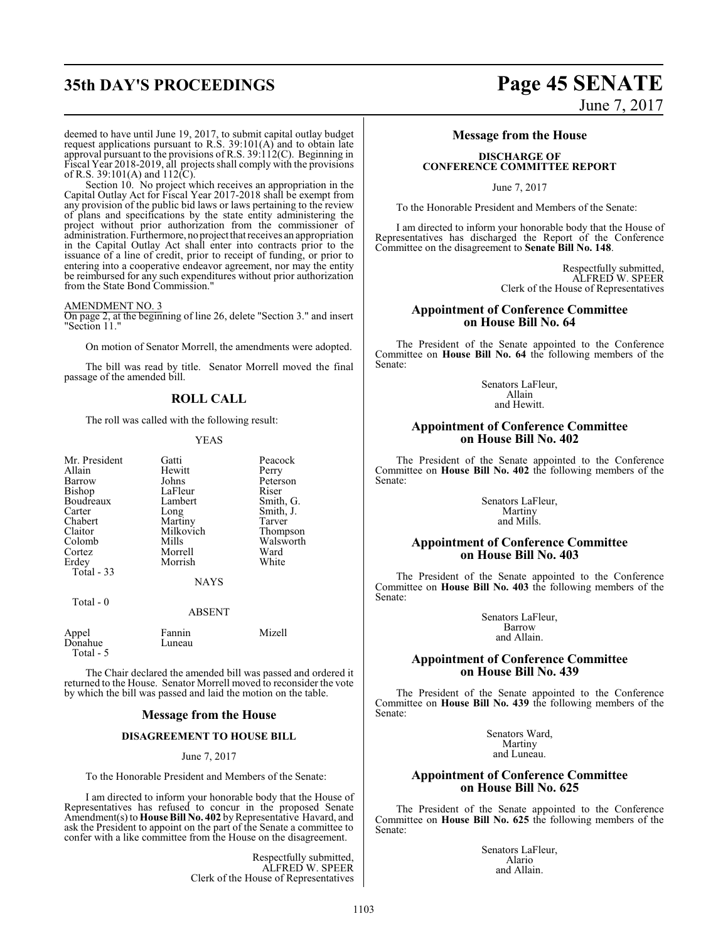# **35th DAY'S PROCEEDINGS Page 45 SENATE** June 7, 2017

deemed to have until June 19, 2017, to submit capital outlay budget request applications pursuant to R.S. 39:101(A) and to obtain late approval pursuant to the provisions of R.S. 39:112(C). Beginning in Fiscal Year 2018-2019, all projects shall comply with the provisions of R.S. 39:101(A) and  $112(\text{C})$ .

Section 10. No project which receives an appropriation in the Capital Outlay Act for Fiscal Year 2017-2018 shall be exempt from any provision of the public bid laws or laws pertaining to the review of plans and specifications by the state entity administering the project without prior authorization from the commissioner of administration. Furthermore, no project that receives an appropriation in the Capital Outlay Act shall enter into contracts prior to the issuance of a line of credit, prior to receipt of funding, or prior to entering into a cooperative endeavor agreement, nor may the entity be reimbursed for any such expenditures without prior authorization from the State Bond Commission."

#### AMENDMENT NO. 3

On page 2, at the beginning of line 26, delete "Section 3." and insert "Section 11."

On motion of Senator Morrell, the amendments were adopted.

The bill was read by title. Senator Morrell moved the final passage of the amended bill.

#### **ROLL CALL**

The roll was called with the following result:

#### YEAS

| Mr. President | Gatti       | Peacock   |
|---------------|-------------|-----------|
| Allain        | Hewitt      | Perry     |
| Barrow        | Johns       | Peterson  |
| Bishop        | LaFleur     | Riser     |
| Boudreaux     | Lambert     | Smith, G. |
| Carter        | Long        | Smith, J. |
| Chabert       | Martiny     | Tarver    |
| Claitor       | Milkovich   | Thompson  |
| Colomb        | Mills       | Walsworth |
| Cortez        | Morrell     | Ward      |
| Erdey         | Morrish     | White     |
| Total - 33    |             |           |
|               | <b>NAYS</b> |           |

Total - 0

ABSENT

| Appel      | Fannin | Mizell |
|------------|--------|--------|
| Donahue    | Luneau |        |
| Total $-5$ |        |        |

The Chair declared the amended bill was passed and ordered it returned to the House. Senator Morrell moved to reconsider the vote by which the bill was passed and laid the motion on the table.

#### **Message from the House**

#### **DISAGREEMENT TO HOUSE BILL**

#### June 7, 2017

To the Honorable President and Members of the Senate:

I am directed to inform your honorable body that the House of Representatives has refused to concur in the proposed Senate Amendment(s) to **House Bill No. 402** by Representative Havard, and ask the President to appoint on the part of the Senate a committee to confer with a like committee from the House on the disagreement.

> Respectfully submitted, ALFRED W. SPEER Clerk of the House of Representatives

#### **Message from the House**

#### **DISCHARGE OF CONFERENCE COMMITTEE REPORT**

June 7, 2017

To the Honorable President and Members of the Senate:

I am directed to inform your honorable body that the House of Representatives has discharged the Report of the Conference Committee on the disagreement to **Senate Bill No. 148**.

> Respectfully submitted, ALFRED W. SPEER Clerk of the House of Representatives

#### **Appointment of Conference Committee on House Bill No. 64**

The President of the Senate appointed to the Conference Committee on **House Bill No. 64** the following members of the Senate:

> Senators LaFleur, Allain and Hewitt.

#### **Appointment of Conference Committee on House Bill No. 402**

The President of the Senate appointed to the Conference Committee on **House Bill No. 402** the following members of the Senate:

> Senators LaFleur, Martiny and Mills.

#### **Appointment of Conference Committee on House Bill No. 403**

The President of the Senate appointed to the Conference Committee on **House Bill No. 403** the following members of the Senate:

> Senators LaFleur, Barrow and Allain.

#### **Appointment of Conference Committee on House Bill No. 439**

The President of the Senate appointed to the Conference Committee on **House Bill No. 439** the following members of the Senate:

> Senators Ward, Martiny and Luneau.

#### **Appointment of Conference Committee on House Bill No. 625**

The President of the Senate appointed to the Conference Committee on **House Bill No. 625** the following members of the Senate:

> Senators LaFleur, Alario and Allain.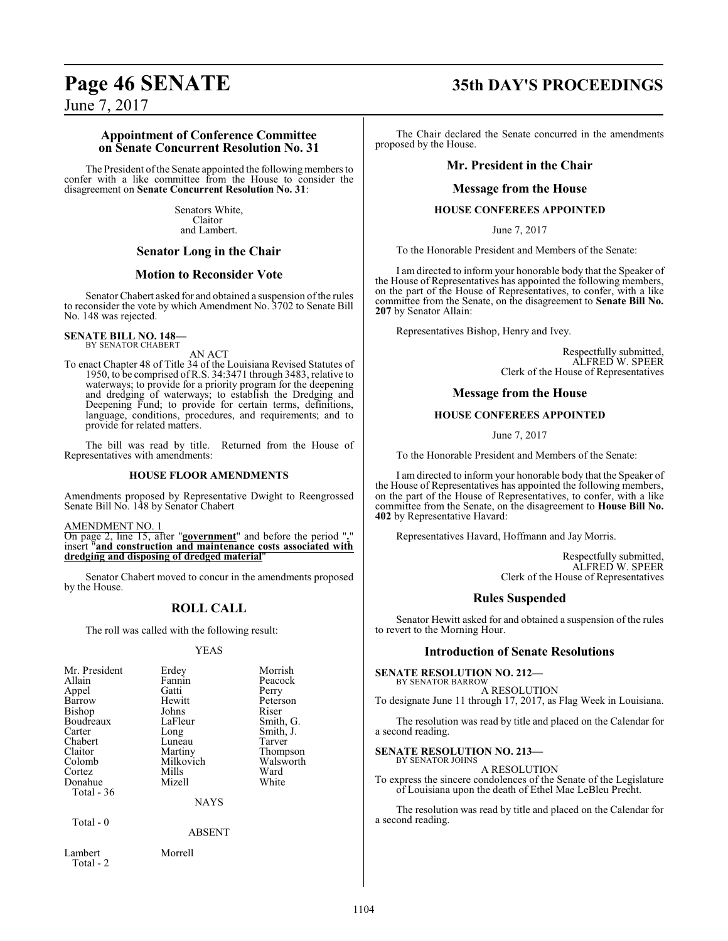# **Page 46 SENATE 35th DAY'S PROCEEDINGS**

June 7, 2017

#### **Appointment of Conference Committee on Senate Concurrent Resolution No. 31**

The President of the Senate appointed the following members to confer with a like committee from the House to consider the disagreement on **Senate Concurrent Resolution No. 31**:

> Senators White, Claitor and Lambert.

## **Senator Long in the Chair**

#### **Motion to Reconsider Vote**

Senator Chabert asked for and obtained a suspension of the rules to reconsider the vote by which Amendment No. 3702 to Senate Bill No. 148 was rejected.

#### **SENATE BILL NO. 148—** BY SENATOR CHABERT

AN ACT

To enact Chapter 48 of Title 34 of the Louisiana Revised Statutes of 1950, to be comprised of R.S. 34:3471 through 3483, relative to waterways; to provide for a priority program for the deepening and dredging of waterways; to establish the Dredging and Deepening Fund; to provide for certain terms, definitions, language, conditions, procedures, and requirements; and to provide for related matters.

The bill was read by title. Returned from the House of Representatives with amendments:

#### **HOUSE FLOOR AMENDMENTS**

Amendments proposed by Representative Dwight to Reengrossed Senate Bill No. 148 by Senator Chabert

AMENDMENT NO. 1

On page 2, line 15, after "**government**" and before the period "**.**" insert "**and construction and maintenance costs associated with dredging and disposing of dredged material**"

Senator Chabert moved to concur in the amendments proposed by the House.

## **ROLL CALL**

The roll was called with the following result:

#### YEAS

| Mr. President<br>Allain<br>Appel<br>Barrow<br><b>Bishop</b><br>Boudreaux<br>Carter<br>Chabert<br>Claitor<br>Colomb<br>Cortez | Erdey<br>Fannin<br>Gatti<br>Hewitt<br>Johns<br>LaFleur<br>Long<br>Luneau<br>Martiny<br>Milkovich<br>Mills | Morrish<br>Peacock<br>Perry<br>Peterson<br>Riser<br>Smith, G.<br>Smith, J.<br>Tarver<br>Thompson<br>Walsworth<br>Ward |
|------------------------------------------------------------------------------------------------------------------------------|-----------------------------------------------------------------------------------------------------------|-----------------------------------------------------------------------------------------------------------------------|
|                                                                                                                              |                                                                                                           |                                                                                                                       |
| Donahue<br>Total $-36$                                                                                                       | Mizell                                                                                                    | White                                                                                                                 |
|                                                                                                                              | <b>NAYS</b>                                                                                               |                                                                                                                       |
| Total - 0                                                                                                                    | ABSENT                                                                                                    |                                                                                                                       |

The Chair declared the Senate concurred in the amendments proposed by the House.

## **Mr. President in the Chair**

#### **Message from the House**

#### **HOUSE CONFEREES APPOINTED**

June 7, 2017

To the Honorable President and Members of the Senate:

I am directed to inform your honorable body that the Speaker of the House of Representatives has appointed the following members, on the part of the House of Representatives, to confer, with a like committee from the Senate, on the disagreement to **Senate Bill No. 207** by Senator Allain:

Representatives Bishop, Henry and Ivey.

Respectfully submitted, ALFRED W. SPEER Clerk of the House of Representatives

#### **Message from the House**

#### **HOUSE CONFEREES APPOINTED**

June 7, 2017

To the Honorable President and Members of the Senate:

I am directed to inform your honorable body that the Speaker of the House of Representatives has appointed the following members, on the part of the House of Representatives, to confer, with a like committee from the Senate, on the disagreement to **House Bill No. 402** by Representative Havard:

Representatives Havard, Hoffmann and Jay Morris.

Respectfully submitted, ALFRED W. SPEER Clerk of the House of Representatives

## **Rules Suspended**

Senator Hewitt asked for and obtained a suspension of the rules to revert to the Morning Hour.

#### **Introduction of Senate Resolutions**

**SENATE RESOLUTION NO. 212—**

BY SENATOR BARROW A RESOLUTION To designate June 11 through 17, 2017, as Flag Week in Louisiana.

The resolution was read by title and placed on the Calendar for a second reading.

#### **SENATE RESOLUTION NO. 213—**

BY SENATOR JOHNS A RESOLUTION

To express the sincere condolences of the Senate of the Legislature of Louisiana upon the death of Ethel Mae LeBleu Precht.

The resolution was read by title and placed on the Calendar for a second reading.

Lambert Morrell Total - 2

1104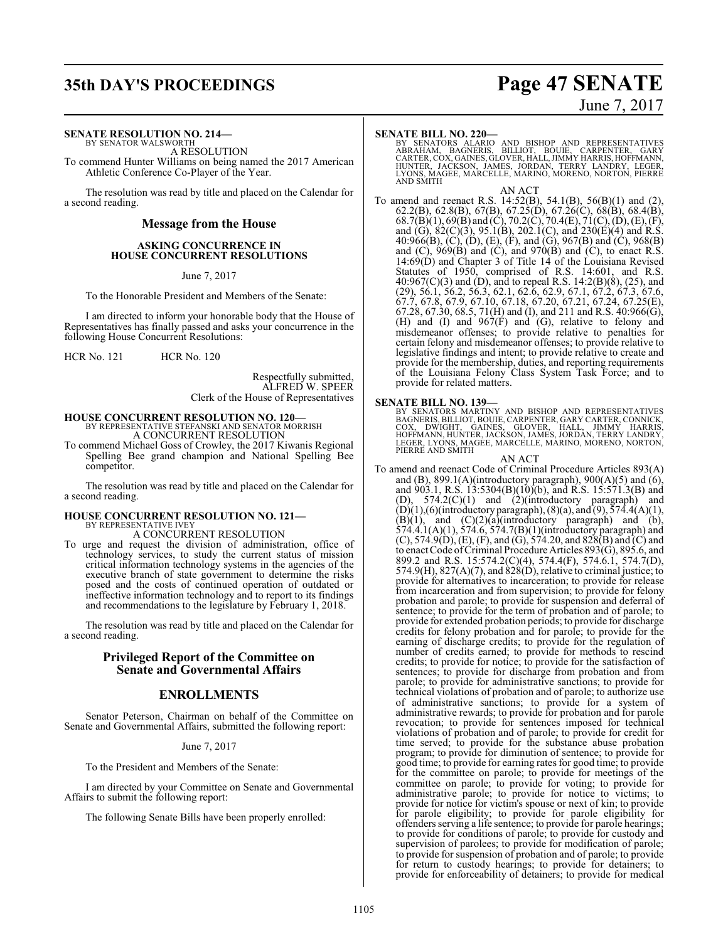# **35th DAY'S PROCEEDINGS Page 47 SENATE**

#### **SENATE RESOLUTION NO. 214—**

BY SENATOR WALSWORTH A RESOLUTION

To commend Hunter Williams on being named the 2017 American Athletic Conference Co-Player of the Year.

The resolution was read by title and placed on the Calendar for a second reading.

#### **Message from the House**

#### **ASKING CONCURRENCE IN HOUSE CONCURRENT RESOLUTIONS**

June 7, 2017

To the Honorable President and Members of the Senate:

I am directed to inform your honorable body that the House of Representatives has finally passed and asks your concurrence in the following House Concurrent Resolutions:

HCR No. 121 HCR No. 120

Respectfully submitted, ALFRED W. SPEER Clerk of the House of Representatives

### **HOUSE CONCURRENT RESOLUTION NO. 120—** BY REPRESENTATIVE STEFANSKI AND SENATOR MORRISH A CONCURRENT RESOLUTION

To commend Michael Goss of Crowley, the 2017 Kiwanis Regional Spelling Bee grand champion and National Spelling Bee competitor.

The resolution was read by title and placed on the Calendar for a second reading.

# **HOUSE CONCURRENT RESOLUTION NO. 121—** BY REPRESENTATIVE IVEY

A CONCURRENT RESOLUTION

To urge and request the division of administration, office of technology services, to study the current status of mission critical information technology systems in the agencies of the executive branch of state government to determine the risks posed and the costs of continued operation of outdated or ineffective information technology and to report to its findings and recommendations to the legislature by February 1, 2018.

The resolution was read by title and placed on the Calendar for a second reading.

### **Privileged Report of the Committee on Senate and Governmental Affairs**

### **ENROLLMENTS**

Senator Peterson, Chairman on behalf of the Committee on Senate and Governmental Affairs, submitted the following report:

#### June 7, 2017

To the President and Members of the Senate:

I am directed by your Committee on Senate and Governmental Affairs to submit the following report:

The following Senate Bills have been properly enrolled:

# June 7, 2017

#### **SENATE BILL NO. 220—**

BY SENATORS ALARIO AND BISHOP AND REPRESENTATIVES<br>ABRAHAM, BAGNERIS, BILLIOT, BOUIE, CARPENTER, GARY<br>CARTER,COX,GAINES,GLOVER,HALL,JIMMYHARRIS,HOFFMANN,<br>HUNTER, JACKSON, JAMES,JORDAN,TERRY LANDRY, LEGER,<br>LYONS,MAGEE,MARCEL AND SMITH

AN ACT To amend and reenact R.S. 14:52(B), 54.1(B), 56(B)(1) and (2), 62.2(B), 62.8(B), 67(B), 67.25(D), 67.26(C), 68(B), 68.4(B), 68.7(B)(1), 69(B) and (C), 70.2(C), 70.4(E), 71(C), (D), (E),(F), and (G), 82(C)(3), 95.1(B), 202.1(C), and 230(E)(4) and R.S. 40:966(B), (C), (D), (E), (F), and (G), 967(B) and (C), 968(B) and  $(C)$ , 969 $(B)$  and  $(C)$ , and 970 $(B)$  and  $(C)$ , to enact R.S. 14:69(D) and Chapter 3 of Title 14 of the Louisiana Revised Statutes of 1950, comprised of R.S. 14:601, and R.S. 40:967(C)(3) and (D), and to repeal R.S. 14:2(B)(8), (25), and (29), 56.1, 56.2, 56.3, 62.1, 62.6, 62.9, 67.1, 67.2, 67.3, 67.6, 67.7, 67.8, 67.9, 67.10, 67.18, 67.20, 67.21, 67.24, 67.25(E), 67.28, 67.30, 68.5, 71(H) and (I), and 211 and R.S. 40:966(G), (H) and (I) and 967(F) and (G), relative to felony and misdemeanor offenses; to provide relative to penalties for certain felony and misdemeanor offenses; to provide relative to legislative findings and intent; to provide relative to create and provide for the membership, duties, and reporting requirements of the Louisiana Felony Class System Task Force; and to provide for related matters.

**SENATE BILL NO. 139—**<br>BY SENATORS MARTINY AND BISHOP AND REPRESENTATIVES<br>BAGNERIS, BILLIOT, BOUIE, CARPENTER, GARY CARTER, CONNICK,<br>COX, DWIGHT, GAINES, GLOVER, HALL, JIMMY HARRIS,<br>HOFFMANN, HUNTER, JACKSON, JAMES, JORDAN

AN ACT

To amend and reenact Code of Criminal Procedure Articles 893(A) and (B), 899.1(A)(introductory paragraph), 900(A)(5) and  $(6)$ , and 903.1, R.S. 13:5304(B)(10)(b), and R.S. 15:571.3(B) and (D), 574.2(C)(1) and (2)(introductory paragraph) and  $(D)(1)$ , $(6)$ (introductory paragraph),  $(8)(a)$ , and  $(9)$ ,  $574.4(A)(1)$ ,  $(B)(1)$ , and  $(C)(2)(a)$ (introductory paragraph) and (b), 574.4.1(A)(1), 574.6, 574.7(B)(1)(introductory paragraph) and (C), 574.9(D), (E), (F), and (G), 574.20, and 828(B) and (C) and to enact Code ofCriminal Procedure Articles 893(G), 895.6, and 899.2 and R.S. 15:574.2(C)(4), 574.4(F), 574.6.1, 574.7(D), 574.9(H),  $827(A)(7)$ , and  $828(D)$ , relative to criminal justice; to provide for alternatives to incarceration; to provide for release from incarceration and from supervision; to provide for felony probation and parole; to provide for suspension and deferral of sentence; to provide for the term of probation and of parole; to provide for extended probation periods; to provide for discharge credits for felony probation and for parole; to provide for the earning of discharge credits; to provide for the regulation of number of credits earned; to provide for methods to rescind credits; to provide for notice; to provide for the satisfaction of sentences; to provide for discharge from probation and from parole; to provide for administrative sanctions; to provide for technical violations of probation and of parole; to authorize use of administrative sanctions; to provide for a system of administrative rewards; to provide for probation and for parole revocation; to provide for sentences imposed for technical violations of probation and of parole; to provide for credit for time served; to provide for the substance abuse probation program; to provide for diminution of sentence; to provide for good time; to provide for earning rates for good time; to provide for the committee on parole; to provide for meetings of the committee on parole; to provide for voting; to provide for administrative parole; to provide for notice to victims; to provide for notice for victim's spouse or next of kin; to provide for parole eligibility; to provide for parole eligibility for offenders serving a life sentence; to provide for parole hearings; to provide for conditions of parole; to provide for custody and supervision of parolees; to provide for modification of parole; to provide for suspension of probation and of parole; to provide for return to custody hearings; to provide for detainers; to provide for enforceability of detainers; to provide for medical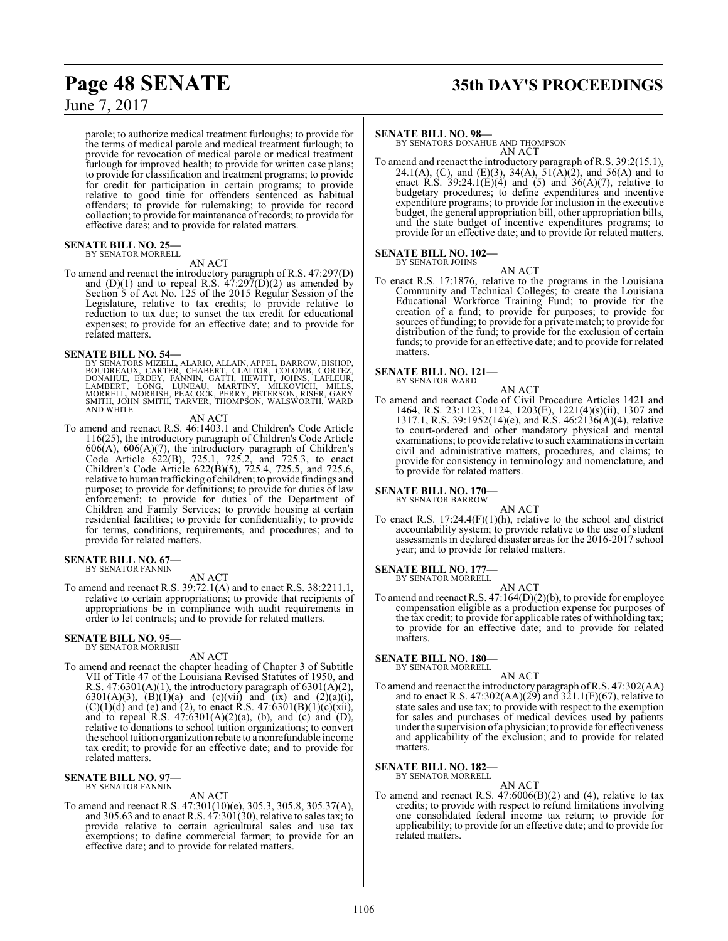parole; to authorize medical treatment furloughs; to provide for the terms of medical parole and medical treatment furlough; to provide for revocation of medical parole or medical treatment furlough for improved health; to provide for written case plans; to provide for classification and treatment programs; to provide for credit for participation in certain programs; to provide relative to good time for offenders sentenced as habitual offenders; to provide for rulemaking; to provide for record collection; to provide for maintenance of records; to provide for effective dates; and to provide for related matters.

#### **SENATE BILL NO. 25—** BY SENATOR MORRELL

#### AN ACT

To amend and reenact the introductory paragraph of R.S. 47:297(D) and  $(D)(1)$  and to repeal R.S.  $47:297(D)(2)$  as amended by Section 5 of Act No. 125 of the 2015 Regular Session of the Legislature, relative to tax credits; to provide relative to reduction to tax due; to sunset the tax credit for educational expenses; to provide for an effective date; and to provide for related matters.

#### **SENATE BILL NO. 54—**

BY SENATORS MIZELL, ALARIO, ALLAIN, APPEL, BARROW, BISHOP,<br>BOUDREAUX, CARTER, CHABERT, CLAITOR, COLOMB, CORTEZ,<br>DONAHUE, ERDEY, FANNIN, GATTI, HEWITT, JOHNS, LAFLEUR,<br>LAMBERT, LONG, LUNEAU, MARTINY, MILKOVICH, MILLS,<br>MORRE AND WHITE

#### AN ACT

To amend and reenact R.S. 46:1403.1 and Children's Code Article 116(25), the introductory paragraph of Children's Code Article 606(A), 606(A)(7), the introductory paragraph of Children's Code Article 622(B), 725.1, 725.2, and 725.3, to enact Children's Code Article 622(B)(5), 725.4, 725.5, and 725.6, relative to human trafficking of children; to provide findings and purpose; to provide for definitions; to provide for duties of law enforcement; to provide for duties of the Department of Children and Family Services; to provide housing at certain residential facilities; to provide for confidentiality; to provide for terms, conditions, requirements, and procedures; and to provide for related matters.

#### **SENATE BILL NO. 67—** BY SENATOR FANNIN

AN ACT

To amend and reenact R.S. 39:72.1(A) and to enact R.S. 38:2211.1, relative to certain appropriations; to provide that recipients of appropriations be in compliance with audit requirements in order to let contracts; and to provide for related matters.

#### **SENATE BILL NO. 95—** BY SENATOR MORRISH

AN ACT

To amend and reenact the chapter heading of Chapter 3 of Subtitle VII of Title 47 of the Louisiana Revised Statutes of 1950, and R.S.  $47:6301(A)(1)$ , the introductory paragraph of  $6301(A)(2)$ , 6301(A)(3), (B)(1)(a) and (c)(vii) and (ix) and (2)(a)(i),  $(C)(1)(d)$  and (e) and (2), to enact R.S. 47:6301(B)(1)(c)(xii), and to repeal  $R.S. 47:6301(A)(2)(a)$ , (b), and (c) and (D), relative to donations to school tuition organizations; to convert the school tuition organization rebate to a nonrefundable income tax credit; to provide for an effective date; and to provide for related matters.

#### **SENATE BILL NO. 97—** BY SENATOR FANNIN

AN ACT

To amend and reenact R.S. 47:301(10)(e), 305.3, 305.8, 305.37(A), and 305.63 and to enact R.S.  $47:301(30)$ , relative to sales tax; to provide relative to certain agricultural sales and use tax exemptions; to define commercial farmer; to provide for an effective date; and to provide for related matters.

# **Page 48 SENATE 35th DAY'S PROCEEDINGS**

#### **SENATE BILL NO. 98—**

BY SENATORS DONAHUE AND THOMPSON AN ACT

To amend and reenact the introductory paragraph of R.S. 39:2(15.1), 24.1(A), (C), and (E)(3), 34(A), 51( $\bar{A}$ )(2), and 56(A) and to enact R.S. 39:24.1(E)(4) and (5) and 36(A)(7), relative to budgetary procedures; to define expenditures and incentive expenditure programs; to provide for inclusion in the executive budget, the general appropriation bill, other appropriation bills, and the state budget of incentive expenditures programs; to provide for an effective date; and to provide for related matters.

#### **SENATE BILL NO. 102—** BY SENATOR JOHNS

AN ACT

To enact R.S. 17:1876, relative to the programs in the Louisiana Community and Technical Colleges; to create the Louisiana Educational Workforce Training Fund; to provide for the creation of a fund; to provide for purposes; to provide for sources of funding; to provide for a private match; to provide for distribution of the fund; to provide for the exclusion of certain funds; to provide for an effective date; and to provide for related matters.

#### **SENATE BILL NO. 121—** BY SENATOR WARD

AN ACT

To amend and reenact Code of Civil Procedure Articles 1421 and 1464, R.S. 23:1123, 1124, 1203(E), 1221(4)(s)(ii), 1307 and 1317.1, R.S. 39:1952(14)(e), and R.S. 46:2136(A)(4), relative to court-ordered and other mandatory physical and mental examinations; to provide relative to such examinations in certain civil and administrative matters, procedures, and claims; to provide for consistency in terminology and nomenclature, and to provide for related matters.

**SENATE BILL NO. 170—** BY SENATOR BARROW

AN ACT

To enact R.S.  $17:24.4(F)(1)(h)$ , relative to the school and district accountability system; to provide relative to the use of student assessments in declared disaster areas for the 2016-2017 school year; and to provide for related matters.

**SENATE BILL NO. 177—** BY SENATOR MORRELL

AN ACT

To amend and reenact R.S. 47:164(D)(2)(b), to provide for employee compensation eligible as a production expense for purposes of the tax credit; to provide for applicable rates of withholding tax; to provide for an effective date; and to provide for related matters.

#### **SENATE BILL NO. 180—** BY SENATOR MORRELL

AN ACT

To amend and reenact the introductory paragraph ofR.S. 47:302(AA) and to enact R.S. 47:302(AA)(29) and 321.1(F)(67), relative to state sales and use tax; to provide with respect to the exemption for sales and purchases of medical devices used by patients under the supervision of a physician; to provide for effectiveness and applicability of the exclusion; and to provide for related matters.

#### **SENATE BILL NO. 182—** BY SENATOR MORRELL

AN ACT

To amend and reenact R.S.  $47:6006(B)(2)$  and (4), relative to tax credits; to provide with respect to refund limitations involving one consolidated federal income tax return; to provide for applicability; to provide for an effective date; and to provide for related matters.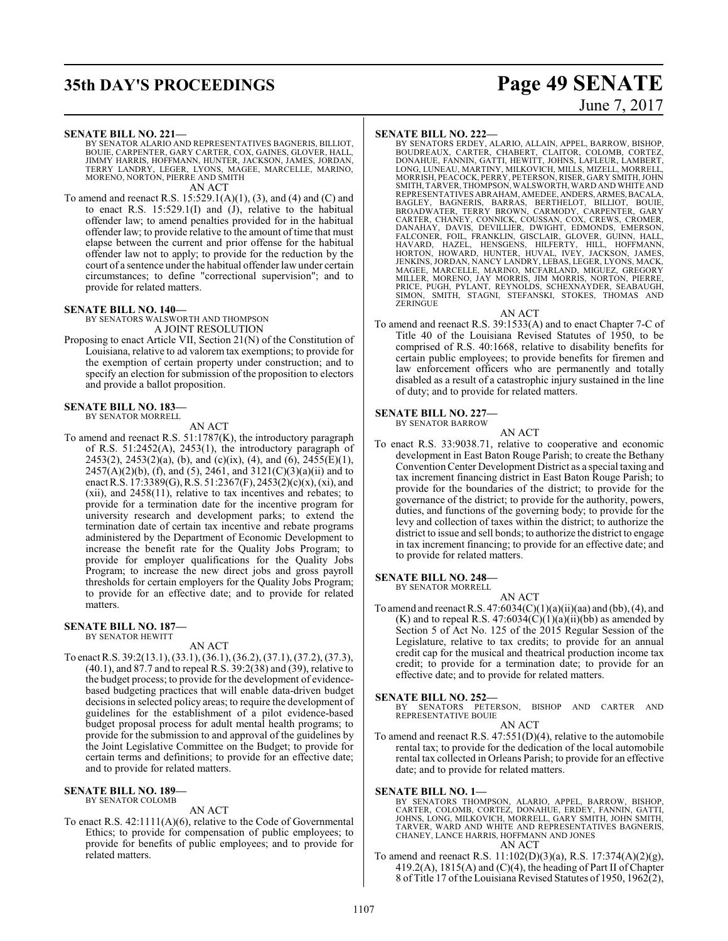# **35th DAY'S PROCEEDINGS Page 49 SENATE**

#### **SENATE BILL NO. 221—**

BY SENATOR ALARIO AND REPRESENTATIVES BAGNERIS, BILLIOT, BOUIE, CARPENTER, GARY CARTER, COX, GAINES, GLOVER, HALL,<br>JIMMY HARRIS, HOFFMANN, HUNTER, JACKSON, JAMES, JORDAN,<br>TERRY LANDRY, LEGER, LYONS, MAGEE, MARCELLE, MARINO,<br>MORENO, NORTON, PIERRE AND SMITH AN ACT

To amend and reenact R.S. 15:529.1(A)(1), (3), and (4) and (C) and to enact R.S. 15:529.1(I) and (J), relative to the habitual offender law; to amend penalties provided for in the habitual offender law; to provide relative to the amount of time that must elapse between the current and prior offense for the habitual offender law not to apply; to provide for the reduction by the court of a sentence under the habitual offender law under certain circumstances; to define "correctional supervision"; and to provide for related matters.

#### **SENATE BILL NO. 140—**

BY SENATORS WALSWORTH AND THOMPSON A JOINT RESOLUTION

Proposing to enact Article VII, Section 21(N) of the Constitution of Louisiana, relative to ad valorem tax exemptions; to provide for the exemption of certain property under construction; and to specify an election for submission of the proposition to electors and provide a ballot proposition.

#### **SENATE BILL NO. 183—** BY SENATOR MORRELL

AN ACT

To amend and reenact R.S. 51:1787(K), the introductory paragraph of R.S. 51:2452(A), 2453(1), the introductory paragraph of 2453(2), 2453(2)(a), (b), and (c)(ix), (4), and (6), 2455(E)(1),  $2457(A)(2)(b)$ , (f), and (5), 2461, and  $3121(C)(3)(a)(ii)$  and to enact R.S. 17:3389(G), R.S. 51:2367(F), 2453(2)(c)(x), (xi), and (xii), and 2458(11), relative to tax incentives and rebates; to provide for a termination date for the incentive program for university research and development parks; to extend the termination date of certain tax incentive and rebate programs administered by the Department of Economic Development to increase the benefit rate for the Quality Jobs Program; to provide for employer qualifications for the Quality Jobs Program; to increase the new direct jobs and gross payroll thresholds for certain employers for the Quality Jobs Program; to provide for an effective date; and to provide for related matters.

#### **SENATE BILL NO. 187—** BY SENATOR HEWITT

AN ACT

To enact R.S. 39:2(13.1), (33.1), (36.1), (36.2), (37.1), (37.2), (37.3), (40.1), and 87.7 and to repeal R.S. 39:2(38) and (39), relative to the budget process; to provide for the development of evidencebased budgeting practices that will enable data-driven budget decisions in selected policy areas; to require the development of guidelines for the establishment of a pilot evidence-based budget proposal process for adult mental health programs; to provide for the submission to and approval of the guidelines by the Joint Legislative Committee on the Budget; to provide for certain terms and definitions; to provide for an effective date; and to provide for related matters.

#### **SENATE BILL NO. 189—** BY SENATOR COLOMB

AN ACT

To enact R.S. 42:1111(A)(6), relative to the Code of Governmental Ethics; to provide for compensation of public employees; to provide for benefits of public employees; and to provide for related matters.

# June 7, 2017

#### **SENATE BILL NO. 222—**

BY SENATORS ERDEY, ALARIO, ALLAIN, APPEL, BARROW, BISHOP,<br>BOUDREAUX, CARTER, CHABERT, CLAITOR, COLOMB, CORTEZ,<br>DONAHUE, FANNIN, GATTI, HEWITT, JOHNS, LAFLEUR, LAMBERT,<br>LONG, LUNEAU, MARTINY, MILKOVICH, MILLS, MIZELL, MORRE REPRESENTATIVES ABRAHAM, AMEDEE, ANDERS, ARMES,BACALA, BAGLEY, BAGNERIS, BARRAS, BERTHELOT, BILLIOT, BOUIE, BROADWATER, TERRY BROWN, CARMODY, CARPENTER, GARY CARTER, CHANEY, CONNICK, COUSSAN, COX, CREWS, CROMER,<br>DANAHAY, DAVIS, DEVILLIER, DWIGHT, EDMONDS, EMERSON,<br>FALCONER, FOIL, FRANKLIN, GISCLAIR, GLOVER, GUINN, HALL,<br>HAVARD, HAZEL, HENSGENS, HILFERTY, HILL, HOFFMANN,<br>HORTON, JENKINS, JORDAN, NANCY LANDRY, LEBAS, LEGER, LYONS, MACK, MAGEE, MARCELLE, MARINO, MCFARLAND, MIGUEZ, GREGORY MILLER, MORENO, JAY MORRIS, JIM MORRIS, NORTON, PIERRE, PRICE, PUGH, PYLANT, REYNOLDS, SCHEXNAYDER, SEABAUGH, SIMON, SMITH, STAGNI, STEFANSKI, STOKES, THOMAS AND **ZERINGUE** 

#### AN ACT

To amend and reenact R.S. 39:1533(A) and to enact Chapter 7-C of Title 40 of the Louisiana Revised Statutes of 1950, to be comprised of R.S. 40:1668, relative to disability benefits for certain public employees; to provide benefits for firemen and law enforcement officers who are permanently and totally disabled as a result of a catastrophic injury sustained in the line of duty; and to provide for related matters.

**SENATE BILL NO. 227—**

BY SENATOR BARROW

AN ACT

To enact R.S. 33:9038.71, relative to cooperative and economic development in East Baton Rouge Parish; to create the Bethany ConventionCenter Development District as a special taxing and tax increment financing district in East Baton Rouge Parish; to provide for the boundaries of the district; to provide for the governance of the district; to provide for the authority, powers, duties, and functions of the governing body; to provide for the levy and collection of taxes within the district; to authorize the district to issue and sell bonds; to authorize the district to engage in tax increment financing; to provide for an effective date; and to provide for related matters.

#### **SENATE BILL NO. 248—** BY SENATOR MORRELL

AN ACT

To amend and reenact R.S.  $47:6034(C)(1)(a)(ii)(aa)$  and (bb), (4), and  $(K)$  and to repeal R.S. 47:6034 $(C)(1)(a)(ii)(bb)$  as amended by Section 5 of Act No. 125 of the 2015 Regular Session of the Legislature, relative to tax credits; to provide for an annual credit cap for the musical and theatrical production income tax credit; to provide for a termination date; to provide for an effective date; and to provide for related matters.

#### **SENATE BILL NO. 252—**

BY SENATORS PETERSON, BISHOP AND CARTER AND REPRESENTATIVE BOUIE

#### AN ACT

To amend and reenact R.S. 47:551(D)(4), relative to the automobile rental tax; to provide for the dedication of the local automobile rental tax collected in Orleans Parish; to provide for an effective date; and to provide for related matters.

#### **SENATE BILL NO. 1—**

BY SENATORS THOMPSON, ALARIO, APPEL, BARROW, BISHOP,<br>CARTER, COLOMB, CORTEZ, DONAHUE, ERDEY, FANNIN, GATTI,<br>JOHNS, LONG, MILKOVICH, MORRELL, GARY SMITH, JOHN SMITH, TARVER, WARD AND WHITE AND REPRESENTATIVES BAGNERIS, CHANEY, LANCE HARRIS, HOFFMANN AND JONES

To amend and reenact R.S. 11:102(D)(3)(a), R.S. 17:374(A)(2)(g), 419.2(A), 1815(A) and (C)(4), the heading of Part II of Chapter 8 of Title 17 of the Louisiana Revised Statutes of 1950, 1962(2),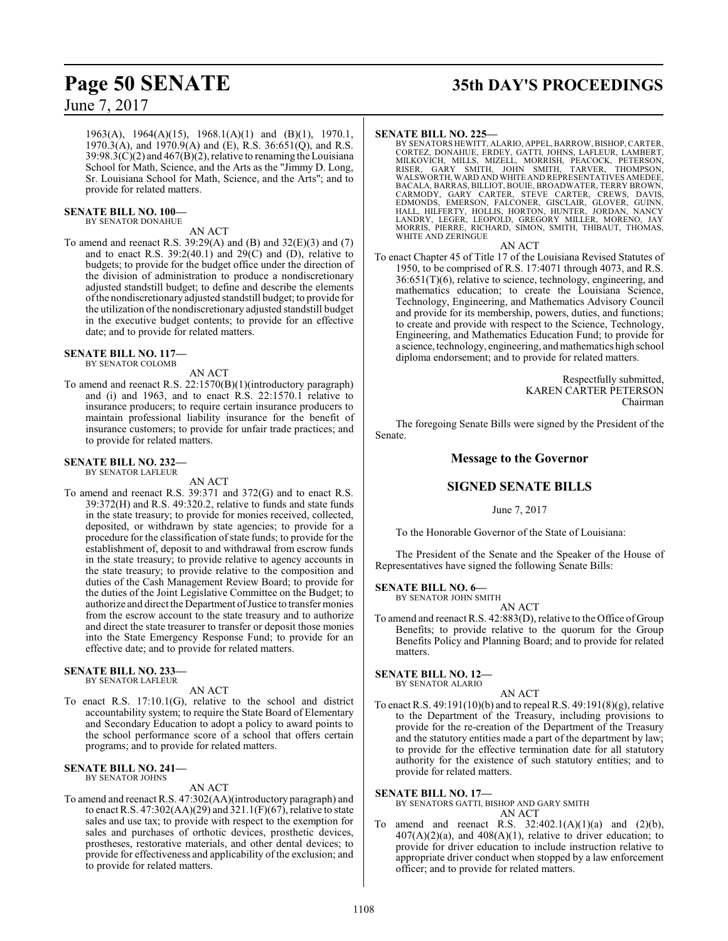1963(A), 1964(A)(15), 1968.1(A)(1) and (B)(1), 1970.1, 1970.3(A), and  $1970.9(A)$  and (E), R.S. 36:651(Q), and R.S.  $39:98.3(\text{C})(2)$  and  $467(\text{B})(2)$ , relative to renaming the Louisiana School for Math, Science, and the Arts as the "Jimmy D. Long, Sr. Louisiana School for Math, Science, and the Arts"; and to provide for related matters.

#### **SENATE BILL NO. 100—**

BY SENATOR DONAHUE

#### AN ACT

To amend and reenact R.S. 39:29(A) and (B) and 32(E)(3) and (7) and to enact R.S.  $39:2(40.1)$  and  $29(C)$  and (D), relative to budgets; to provide for the budget office under the direction of the division of administration to produce a nondiscretionary adjusted standstill budget; to define and describe the elements ofthe nondiscretionary adjusted standstill budget; to provide for the utilization ofthe nondiscretionary adjusted standstill budget in the executive budget contents; to provide for an effective date; and to provide for related matters.

**SENATE BILL NO. 117—** BY SENATOR COLOMB

AN ACT

To amend and reenact R.S. 22:1570(B)(1)(introductory paragraph) and (i) and 1963, and to enact R.S. 22:1570.1 relative to insurance producers; to require certain insurance producers to maintain professional liability insurance for the benefit of insurance customers; to provide for unfair trade practices; and to provide for related matters.

#### **SENATE BILL NO. 232—** BY SENATOR LAFLEUR

AN ACT

To amend and reenact R.S. 39:371 and 372(G) and to enact R.S. 39:372(H) and R.S. 49:320.2, relative to funds and state funds in the state treasury; to provide for monies received, collected, deposited, or withdrawn by state agencies; to provide for a procedure for the classification of state funds; to provide for the establishment of, deposit to and withdrawal from escrow funds in the state treasury; to provide relative to agency accounts in the state treasury; to provide relative to the composition and duties of the Cash Management Review Board; to provide for the duties of the Joint Legislative Committee on the Budget; to authorize and direct the Department ofJustice to transfer monies from the escrow account to the state treasury and to authorize and direct the state treasurer to transfer or deposit those monies into the State Emergency Response Fund; to provide for an effective date; and to provide for related matters.

#### **SENATE BILL NO. 233—** BY SENATOR LAFLEUR

AN ACT

To enact R.S. 17:10.1(G), relative to the school and district accountability system; to require the State Board of Elementary and Secondary Education to adopt a policy to award points to the school performance score of a school that offers certain programs; and to provide for related matters.

#### **SENATE BILL NO. 241—** BY SENATOR JOHNS

#### AN ACT

To amend and reenact R.S. 47:302(AA)(introductory paragraph) and to enact R.S. 47:302(AA)(29) and 321.1(F)(67), relative to state sales and use tax; to provide with respect to the exemption for sales and purchases of orthotic devices, prosthetic devices, prostheses, restorative materials, and other dental devices; to provide for effectiveness and applicability of the exclusion; and to provide for related matters.

# **Page 50 SENATE 35th DAY'S PROCEEDINGS**

#### **SENATE BILL NO. 225—**

BY SENATORS HEWITT, ALARIO, APPEL, BARROW, BISHOP,CARTER, CORTEZ, DONAHUE, ERDEY, GATTI, JOHNS, LAFLEUR, LAMBERT,<br>MILKOVICH, MILLS, MIZELL, MORRISH, PEACOCK, PETERSON,<br>RISER, GARY SMITH, JOHN SMITH, TARVER, THOMPSON,<br>WALSWORTH,WARD AND WHITE AND REPRESENTATIVES AMEDEE,<br>BACALA, BA

#### AN ACT

To enact Chapter 45 of Title 17 of the Louisiana Revised Statutes of 1950, to be comprised of R.S. 17:4071 through 4073, and R.S. 36:651(T)(6), relative to science, technology, engineering, and mathematics education; to create the Louisiana Science, Technology, Engineering, and Mathematics Advisory Council and provide for its membership, powers, duties, and functions; to create and provide with respect to the Science, Technology, Engineering, and Mathematics Education Fund; to provide for a science, technology, engineering, and mathematics high school diploma endorsement; and to provide for related matters.

> Respectfully submitted, KAREN CARTER PETERSON Chairman

The foregoing Senate Bills were signed by the President of the Senate.

#### **Message to the Governor**

#### **SIGNED SENATE BILLS**

June 7, 2017

To the Honorable Governor of the State of Louisiana:

The President of the Senate and the Speaker of the House of Representatives have signed the following Senate Bills:

#### **SENATE BILL NO. 6—**

BY SENATOR JOHN SMITH

AN ACT To amend and reenact R.S. 42:883(D), relative to the Office of Group Benefits; to provide relative to the quorum for the Group Benefits Policy and Planning Board; and to provide for related

#### **SENATE BILL NO. 12—**

matters.

BY SENATOR ALARIO

To enact R.S. 49:191(10)(b) and to repeal R.S. 49:191(8)(g), relative to the Department of the Treasury, including provisions to provide for the re-creation of the Department of the Treasury and the statutory entities made a part of the department by law; to provide for the effective termination date for all statutory authority for the existence of such statutory entities; and to provide for related matters.

AN ACT

#### **SENATE BILL NO. 17—**

BY SENATORS GATTI, BISHOP AND GARY SMITH AN ACT

To amend and reenact R.S.  $32:402.1(A)(1)(a)$  and  $(2)(b)$ ,  $407(A)(2)(a)$ , and  $408(A)(1)$ , relative to driver education; to provide for driver education to include instruction relative to appropriate driver conduct when stopped by a law enforcement officer; and to provide for related matters.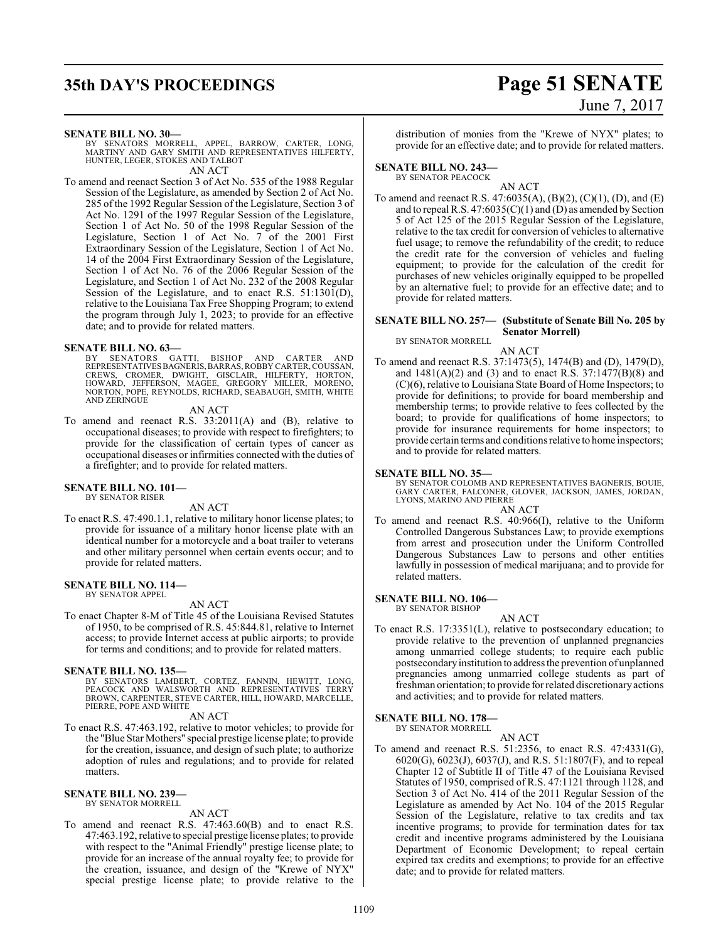# **35th DAY'S PROCEEDINGS Page 51 SENATE**

# June 7, 2017

#### **SENATE BILL NO. 30—**

BY SENATORS MORRELL, APPEL, BARROW, CARTER, LONG, MARTINY AND GARY SMITH AND REPRESENTATIVES HILFERTY, HUNTER, LEGER, STOKES AND TALBOT AN ACT

To amend and reenact Section 3 of Act No. 535 of the 1988 Regular Session of the Legislature, as amended by Section 2 of Act No. 285 of the 1992 Regular Session of the Legislature, Section 3 of Act No. 1291 of the 1997 Regular Session of the Legislature, Section 1 of Act No. 50 of the 1998 Regular Session of the Legislature, Section 1 of Act No. 7 of the 2001 First Extraordinary Session of the Legislature, Section 1 of Act No. 14 of the 2004 First Extraordinary Session of the Legislature, Section 1 of Act No. 76 of the 2006 Regular Session of the Legislature, and Section 1 of Act No. 232 of the 2008 Regular Session of the Legislature, and to enact R.S. 51:1301(D), relative to the Louisiana Tax Free Shopping Program; to extend the program through July 1, 2023; to provide for an effective date; and to provide for related matters.

#### **SENATE BILL NO. 63—**

BY SENATORS GATTI, BISHOP AND CARTER AND<br>REPRESENTATIVESBAGNERIS,BARRAS,ROBBYCARTER,COUSSAN,<br>CREWS, CROMER, DWIGHT, GISCLAIR, HILFERTY, HORTON,<br>HOWARD, JEFFERSON, MAGEE, GREGORY MILLER, MORENO, NORTON, POPE, REYNOLDS, RICHARD, SEABAUGH, SMITH, WHITE AND ZERINGUE

AN ACT

To amend and reenact R.S. 33:2011(A) and (B), relative to occupational diseases; to provide with respect to firefighters; to provide for the classification of certain types of cancer as occupational diseases or infirmities connected with the duties of a firefighter; and to provide for related matters.

#### **SENATE BILL NO. 101—**

BY SENATOR RISER

AN ACT

To enact R.S. 47:490.1.1, relative to military honor license plates; to provide for issuance of a military honor license plate with an identical number for a motorcycle and a boat trailer to veterans and other military personnel when certain events occur; and to provide for related matters.

#### **SENATE BILL NO. 114—**

BY SENATOR APPEL

#### AN ACT

To enact Chapter 8-M of Title 45 of the Louisiana Revised Statutes of 1950, to be comprised of R.S. 45:844.81, relative to Internet access; to provide Internet access at public airports; to provide for terms and conditions; and to provide for related matters.

#### **SENATE BILL NO. 135—**

BY SENATORS LAMBERT, CORTEZ, FANNIN, HEWITT, LONG, PEACOCK AND WALSWORTH AND REPRESENTATIVES TERRY BROWN, CARPENTER, STEVE CARTER, HILL, HOWARD, MARCELLE, PIERRE, POPE AND WHITE

AN ACT

To enact R.S. 47:463.192, relative to motor vehicles; to provide for the "Blue Star Mothers" special prestige license plate; to provide for the creation, issuance, and design of such plate; to authorize adoption of rules and regulations; and to provide for related matters.

#### **SENATE BILL NO. 239—**

BY SENATOR MORRELL

#### AN ACT

To amend and reenact R.S. 47:463.60(B) and to enact R.S. 47:463.192, relative to special prestige license plates; to provide with respect to the "Animal Friendly" prestige license plate; to provide for an increase of the annual royalty fee; to provide for the creation, issuance, and design of the "Krewe of NYX" special prestige license plate; to provide relative to the distribution of monies from the "Krewe of NYX" plates; to provide for an effective date; and to provide for related matters.

### **SENATE BILL NO. 243—**

BY SENATOR PEACOCK AN ACT

To amend and reenact R.S. 47:6035(A), (B)(2), (C)(1), (D), and (E) and to repeal R.S. 47:6035(C)(1) and (D) as amended by Section 5 of Act 125 of the 2015 Regular Session of the Legislature, relative to the tax credit for conversion of vehicles to alternative fuel usage; to remove the refundability of the credit; to reduce the credit rate for the conversion of vehicles and fueling equipment; to provide for the calculation of the credit for purchases of new vehicles originally equipped to be propelled by an alternative fuel; to provide for an effective date; and to provide for related matters.

### **SENATE BILL NO. 257— (Substitute of Senate Bill No. 205 by**

**Senator Morrell)** BY SENATOR MORRELL

AN ACT

To amend and reenact R.S. 37:1473(5), 1474(B) and (D), 1479(D), and 1481(A)(2) and (3) and to enact R.S. 37:1477(B)(8) and (C)(6), relative to Louisiana State Board of Home Inspectors; to provide for definitions; to provide for board membership and membership terms; to provide relative to fees collected by the board; to provide for qualifications of home inspectors; to provide for insurance requirements for home inspectors; to provide certain terms and conditions relative to home inspectors; and to provide for related matters.

#### **SENATE BILL NO. 35—**

BY SENATOR COLOMB AND REPRESENTATIVES BAGNERIS, BOUIE, GARY CARTER, FALCONER, GLOVER, JACKSON, JAMES, JORDAN, LYONS, MARINO AND PIERRE

#### AN ACT

To amend and reenact R.S. 40:966(I), relative to the Uniform Controlled Dangerous Substances Law; to provide exemptions from arrest and prosecution under the Uniform Controlled Dangerous Substances Law to persons and other entities lawfully in possession of medical marijuana; and to provide for related matters.

#### **SENATE BILL NO. 106—**

BY SENATOR BISHOP

AN ACT

To enact R.S. 17:3351(L), relative to postsecondary education; to provide relative to the prevention of unplanned pregnancies among unmarried college students; to require each public postsecondaryinstitution to address the prevention of unplanned pregnancies among unmarried college students as part of freshman orientation; to provide for related discretionaryactions and activities; and to provide for related matters.

#### **SENATE BILL NO. 178—** BY SENATOR MORRELL

AN ACT To amend and reenact R.S. 51:2356, to enact R.S. 47:4331(G), 6020(G), 6023(J), 6037(J), and R.S. 51:1807(F), and to repeal Chapter 12 of Subtitle II of Title 47 of the Louisiana Revised Statutes of 1950, comprised of R.S. 47:1121 through 1128, and Section 3 of Act No. 414 of the 2011 Regular Session of the Legislature as amended by Act No. 104 of the 2015 Regular Session of the Legislature, relative to tax credits and tax incentive programs; to provide for termination dates for tax credit and incentive programs administered by the Louisiana Department of Economic Development; to repeal certain expired tax credits and exemptions; to provide for an effective date; and to provide for related matters.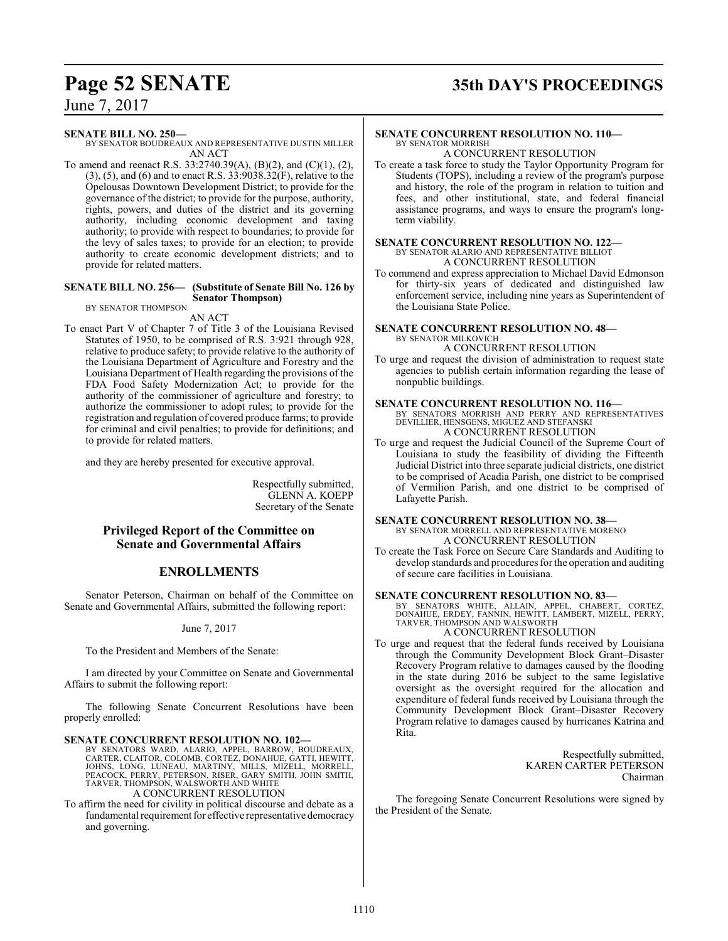# **Page 52 SENATE 35th DAY'S PROCEEDINGS**

June 7, 2017

#### **SENATE BILL NO. 250—**

BY SENATOR BOUDREAUX AND REPRESENTATIVE DUSTIN MILLER AN ACT

To amend and reenact R.S. 33:2740.39(A), (B)(2), and (C)(1), (2),  $(3)$ ,  $(5)$ , and  $(6)$  and to enact R.S.  $33:9038.32(F)$ , relative to the Opelousas Downtown Development District; to provide for the governance of the district; to provide for the purpose, authority, rights, powers, and duties of the district and its governing authority, including economic development and taxing authority; to provide with respect to boundaries; to provide for the levy of sales taxes; to provide for an election; to provide authority to create economic development districts; and to provide for related matters.

#### **SENATE BILL NO. 256— (Substitute of Senate Bill No. 126 by Senator Thompson)** BY SENATOR THOMPSON

AN ACT

To enact Part V of Chapter 7 of Title 3 of the Louisiana Revised Statutes of 1950, to be comprised of R.S. 3:921 through 928, relative to produce safety; to provide relative to the authority of the Louisiana Department of Agriculture and Forestry and the Louisiana Department of Health regarding the provisions of the FDA Food Safety Modernization Act; to provide for the authority of the commissioner of agriculture and forestry; to authorize the commissioner to adopt rules; to provide for the registration and regulation of covered produce farms; to provide for criminal and civil penalties; to provide for definitions; and to provide for related matters.

and they are hereby presented for executive approval.

Respectfully submitted, GLENN A. KOEPP Secretary of the Senate

#### **Privileged Report of the Committee on Senate and Governmental Affairs**

#### **ENROLLMENTS**

Senator Peterson, Chairman on behalf of the Committee on Senate and Governmental Affairs, submitted the following report:

June 7, 2017

To the President and Members of the Senate:

I am directed by your Committee on Senate and Governmental Affairs to submit the following report:

The following Senate Concurrent Resolutions have been properly enrolled:

#### **SENATE CONCURRENT RESOLUTION NO. 102—**

BY SENATORS WARD, ALARIO, APPEL, BARROW, BOUDREAUX, CARTER, CLAITOR, COLOMB, CORTEZ, DONAHUE, GATTI, HEWITT, JOHNS, LONG, LUNEAU, MARTINY, MILLS, MIZELL, MORRELL, PEACOCK, PERRY, PETERSON, RISER, GARY SMITH, JOHN SMITH, TARVER, THOMPSON, WALSWORTH AND WHITE A CONCURRENT RESOLUTION

To affirm the need for civility in political discourse and debate as a fundamental requirement for effective representative democracy and governing.

#### **SENATE CONCURRENT RESOLUTION NO. 110—** BY SENATOR MORRISH

A CONCURRENT RESOLUTION

To create a task force to study the Taylor Opportunity Program for Students (TOPS), including a review of the program's purpose and history, the role of the program in relation to tuition and fees, and other institutional, state, and federal financial assistance programs, and ways to ensure the program's longterm viability.

## **SENATE CONCURRENT RESOLUTION NO. 122—** BY SENATOR ALARIO AND REPRESENTATIVE BILLIOT A CONCURRENT RESOLUTION

To commend and express appreciation to Michael David Edmonson for thirty-six years of dedicated and distinguished law enforcement service, including nine years as Superintendent of the Louisiana State Police.

#### **SENATE CONCURRENT RESOLUTION NO. 48—** BY SENATOR MILKOVICH

A CONCURRENT RESOLUTION

To urge and request the division of administration to request state agencies to publish certain information regarding the lease of nonpublic buildings.

#### **SENATE CONCURRENT RESOLUTION NO. 116—**

BY SENATORS MORRISH AND PERRY AND REPRESENTATIVES DEVILLIER, HENSGENS, MIGUEZ AND STEFANSKI A CONCURRENT RESOLUTION

To urge and request the Judicial Council of the Supreme Court of Louisiana to study the feasibility of dividing the Fifteenth Judicial District into three separate judicial districts, one district to be comprised of Acadia Parish, one district to be comprised of Vermilion Parish, and one district to be comprised of Lafayette Parish.

## **SENATE CONCURRENT RESOLUTION NO. 38—**

BY SENATOR MORRELL AND REPRESENTATIVE MORENO A CONCURRENT RESOLUTION

To create the Task Force on Secure Care Standards and Auditing to develop standards and procedures for the operation and auditing of secure care facilities in Louisiana.

#### **SENATE CONCURRENT RESOLUTION NO. 83—**

BY SENATORS WHITE, ALLAIN, APPEL, CHABERT, CORTEZ, DONAHUE, ERDEY, FANNIN, HEWITT, LAMBERT, MIZELL, PERRY, TARVER, THOMPSON AND WALSWORTH A CONCURRENT RESOLUTION

To urge and request that the federal funds received by Louisiana through the Community Development Block Grant–Disaster Recovery Program relative to damages caused by the flooding in the state during 2016 be subject to the same legislative oversight as the oversight required for the allocation and expenditure of federal funds received by Louisiana through the Community Development Block Grant–Disaster Recovery Program relative to damages caused by hurricanes Katrina and Rita.

> Respectfully submitted, KAREN CARTER PETERSON Chairman

The foregoing Senate Concurrent Resolutions were signed by the President of the Senate.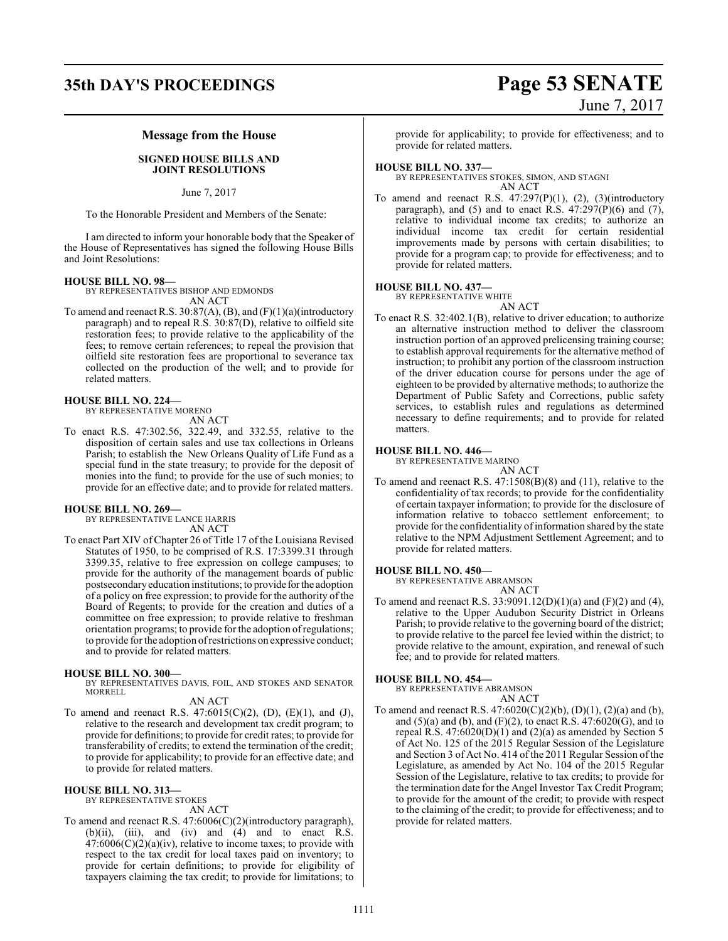# **35th DAY'S PROCEEDINGS Page 53 SENATE**

# June 7, 2017

#### **Message from the House**

#### **SIGNED HOUSE BILLS AND JOINT RESOLUTIONS**

June 7, 2017

To the Honorable President and Members of the Senate:

I am directed to inform your honorable body that the Speaker of the House of Representatives has signed the following House Bills and Joint Resolutions:

#### **HOUSE BILL NO. 98—**

BY REPRESENTATIVES BISHOP AND EDMONDS AN ACT

To amend and reenact R.S. 30:87(A), (B), and (F)(1)(a)(introductory paragraph) and to repeal R.S. 30:87(D), relative to oilfield site restoration fees; to provide relative to the applicability of the fees; to remove certain references; to repeal the provision that oilfield site restoration fees are proportional to severance tax collected on the production of the well; and to provide for related matters.

#### **HOUSE BILL NO. 224—**

BY REPRESENTATIVE MORENO AN ACT

To enact R.S. 47:302.56, 322.49, and 332.55, relative to the disposition of certain sales and use tax collections in Orleans Parish; to establish the New Orleans Quality of Life Fund as a special fund in the state treasury; to provide for the deposit of monies into the fund; to provide for the use of such monies; to provide for an effective date; and to provide for related matters.

#### **HOUSE BILL NO. 269—**

BY REPRESENTATIVE LANCE HARRIS AN ACT

To enact Part XIV of Chapter 26 of Title 17 of the Louisiana Revised Statutes of 1950, to be comprised of R.S. 17:3399.31 through 3399.35, relative to free expression on college campuses; to provide for the authority of the management boards of public postsecondaryeducation institutions; to provide forthe adoption of a policy on free expression; to provide for the authority of the Board of Regents; to provide for the creation and duties of a committee on free expression; to provide relative to freshman orientation programs; to provide for the adoption ofregulations; to provide for the adoption ofrestrictions on expressive conduct; and to provide for related matters.

#### **HOUSE BILL NO. 300—**

BY REPRESENTATIVES DAVIS, FOIL, AND STOKES AND SENATOR MORRELL

#### AN ACT

To amend and reenact R.S. 47:6015(C)(2), (D), (E)(1), and (J), relative to the research and development tax credit program; to provide for definitions; to provide for credit rates; to provide for transferability of credits; to extend the termination of the credit; to provide for applicability; to provide for an effective date; and to provide for related matters.

#### **HOUSE BILL NO. 313—**

BY REPRESENTATIVE STOKES AN ACT

To amend and reenact R.S. 47:6006(C)(2)(introductory paragraph), (b)(ii), (iii), and (iv) and  $(4)$  and to enact R.S.  $47:6006(C)(2)(a)(iv)$ , relative to income taxes; to provide with respect to the tax credit for local taxes paid on inventory; to provide for certain definitions; to provide for eligibility of taxpayers claiming the tax credit; to provide for limitations; to

provide for applicability; to provide for effectiveness; and to provide for related matters.

#### **HOUSE BILL NO. 337—**

BY REPRESENTATIVES STOKES, SIMON, AND STAGNI AN ACT

To amend and reenact R.S. 47:297(P)(1), (2), (3)(introductory paragraph), and (5) and to enact R.S.  $47:297(P)(6)$  and (7), relative to individual income tax credits; to authorize an individual income tax credit for certain residential improvements made by persons with certain disabilities; to provide for a program cap; to provide for effectiveness; and to provide for related matters.

#### **HOUSE BILL NO. 437—**

BY REPRESENTATIVE WHITE

AN ACT To enact R.S. 32:402.1(B), relative to driver education; to authorize an alternative instruction method to deliver the classroom instruction portion of an approved prelicensing training course; to establish approval requirements for the alternative method of instruction; to prohibit any portion of the classroom instruction of the driver education course for persons under the age of eighteen to be provided by alternative methods; to authorize the Department of Public Safety and Corrections, public safety services, to establish rules and regulations as determined necessary to define requirements; and to provide for related matters.

#### **HOUSE BILL NO. 446—**

BY REPRESENTATIVE MARINO

- AN ACT
- To amend and reenact R.S. 47:1508(B)(8) and (11), relative to the confidentiality of tax records; to provide for the confidentiality of certain taxpayer information; to provide for the disclosure of information relative to tobacco settlement enforcement; to provide for the confidentiality of information shared by the state relative to the NPM Adjustment Settlement Agreement; and to provide for related matters.

#### **HOUSE BILL NO. 450—**

BY REPRESENTATIVE ABRAMSON

AN ACT

To amend and reenact R.S. 33:9091.12(D)(1)(a) and (F)(2) and (4), relative to the Upper Audubon Security District in Orleans Parish; to provide relative to the governing board of the district; to provide relative to the parcel fee levied within the district; to provide relative to the amount, expiration, and renewal of such fee; and to provide for related matters.

#### **HOUSE BILL NO. 454—**

BY REPRESENTATIVE ABRAMSON AN ACT

To amend and reenact R.S. 47:6020(C)(2)(b), (D)(1), (2)(a) and (b), and  $(5)(a)$  and  $(b)$ , and  $(F)(2)$ , to enact R.S. 47:6020 $(G)$ , and to repeal R.S.  $47:6020(D)(1)$  and  $(2)(a)$  as amended by Section 5 of Act No. 125 of the 2015 Regular Session of the Legislature and Section 3 of Act No. 414 of the 2011 Regular Session of the Legislature, as amended by Act No. 104 of the 2015 Regular Session of the Legislature, relative to tax credits; to provide for the termination date for the Angel Investor Tax Credit Program; to provide for the amount of the credit; to provide with respect to the claiming of the credit; to provide for effectiveness; and to provide for related matters.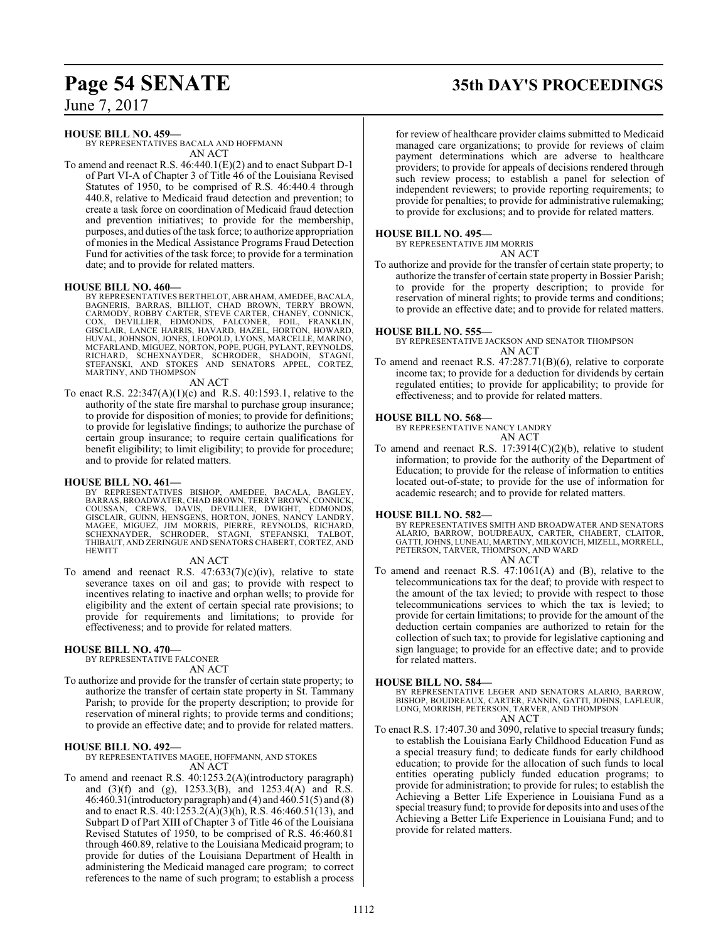# **Page 54 SENATE 35th DAY'S PROCEEDINGS**

June 7, 2017

#### **HOUSE BILL NO. 459—**

BY REPRESENTATIVES BACALA AND HOFFMANN AN ACT

To amend and reenact R.S. 46:440.1(E)(2) and to enact Subpart D-1 of Part VI-A of Chapter 3 of Title 46 of the Louisiana Revised Statutes of 1950, to be comprised of R.S. 46:440.4 through 440.8, relative to Medicaid fraud detection and prevention; to create a task force on coordination of Medicaid fraud detection and prevention initiatives; to provide for the membership, purposes, and duties of the task force; to authorize appropriation of monies in the Medical Assistance Programs Fraud Detection Fund for activities of the task force; to provide for a termination date; and to provide for related matters.

#### **HOUSE BILL NO. 460—**

BY REPRESENTATIVES BERTHELOT, ABRAHAM, AMEDEE, BACALA,<br>BAGNERIS, BARRAS, BILLIOT, CHAD BROWN, TERRY BROWN,<br>CARMODY, ROBBY CARTER, STEVE CARTER, CHANEY, CONNICK, COX, DEVILLIER, EDMONDS, FALCONER, FOIL, FRANKLIN,<br>GISCLAIR,LANCE HARRIS,HAVARD,HAZEL,HORTON,HOWARD,<br>HUVAL,JOHNSON,JONES,LEOPOLD,LYONS,MARCELLE,MARINO, MCFARLAND, MIGUEZ, NORTON, POPE, PUGH, PYLANT, REYNOLDS, RICHARD, SCHEXNAYDER, SCHRODER, SHADOIN, STAGNI, STEFANSKI, AND STOKES AND SENATORS APPEL, CORTEZ, MARTINY, AND THOMPSON

#### AN ACT

To enact R.S. 22:347(A)(1)(c) and R.S. 40:1593.1, relative to the authority of the state fire marshal to purchase group insurance; to provide for disposition of monies; to provide for definitions; to provide for legislative findings; to authorize the purchase of certain group insurance; to require certain qualifications for benefit eligibility; to limit eligibility; to provide for procedure; and to provide for related matters.

#### **HOUSE BILL NO. 461—**

BY REPRESENTATIVES BISHOP, AMEDEE, BACALA, BAGLEY,<br>BARRAS,BROADWATER,CHADBROWN,TERRYBROWN,CONNICK,<br>COUSSAN, CREWS, DAVIS, DEVILLIER, DWIGHT, EDMONDS,<br>GISCLAIR,GUINN,HENSGENS,HORTON,JONES,NANCY LANDRY,<br>MAGEE, MIGUEZ, JIM MO HEWITT

#### AN ACT

To amend and reenact R.S.  $47:633(7)(c)(iv)$ , relative to state severance taxes on oil and gas; to provide with respect to incentives relating to inactive and orphan wells; to provide for eligibility and the extent of certain special rate provisions; to provide for requirements and limitations; to provide for effectiveness; and to provide for related matters.

#### **HOUSE BILL NO. 470—**

BY REPRESENTATIVE FALCONER AN ACT

To authorize and provide for the transfer of certain state property; to authorize the transfer of certain state property in St. Tammany Parish; to provide for the property description; to provide for reservation of mineral rights; to provide terms and conditions; to provide an effective date; and to provide for related matters.

#### **HOUSE BILL NO. 492—**

BY REPRESENTATIVES MAGEE, HOFFMANN, AND STOKES AN ACT

To amend and reenact R.S. 40:1253.2(A)(introductory paragraph) and (3)(f) and (g), 1253.3(B), and 1253.4(A) and R.S. 46:460.31(introductoryparagraph) and (4) and 460.51(5) and (8) and to enact R.S. 40:1253.2(A)(3)(h), R.S. 46:460.51(13), and Subpart D of Part XIII of Chapter 3 of Title 46 of the Louisiana Revised Statutes of 1950, to be comprised of R.S. 46:460.81 through 460.89, relative to the Louisiana Medicaid program; to provide for duties of the Louisiana Department of Health in administering the Medicaid managed care program; to correct references to the name of such program; to establish a process

for review of healthcare provider claims submitted to Medicaid managed care organizations; to provide for reviews of claim payment determinations which are adverse to healthcare providers; to provide for appeals of decisions rendered through such review process; to establish a panel for selection of independent reviewers; to provide reporting requirements; to provide for penalties; to provide for administrative rulemaking; to provide for exclusions; and to provide for related matters.

#### **HOUSE BILL NO. 495—**

BY REPRESENTATIVE JIM MORRIS

AN ACT

To authorize and provide for the transfer of certain state property; to authorize the transfer of certain state property in Bossier Parish; to provide for the property description; to provide for reservation of mineral rights; to provide terms and conditions; to provide an effective date; and to provide for related matters.

#### **HOUSE BILL NO. 555—**

BY REPRESENTATIVE JACKSON AND SENATOR THOMPSON AN ACT

To amend and reenact R.S. 47:287.71(B)(6), relative to corporate income tax; to provide for a deduction for dividends by certain regulated entities; to provide for applicability; to provide for effectiveness; and to provide for related matters.

#### **HOUSE BILL NO. 568—**

BY REPRESENTATIVE NANCY LANDRY

AN ACT 
$$
17.20146
$$

To amend and reenact R.S. 17:3914(C)(2)(b), relative to student information; to provide for the authority of the Department of Education; to provide for the release of information to entities located out-of-state; to provide for the use of information for academic research; and to provide for related matters.

#### **HOUSE BILL NO. 582—**

BY REPRESENTATIVES SMITH AND BROADWATER AND SENATORS ALARIO, BARROW, BOUDREAUX, CARTER, CHABERT, CLAITOR, GATTI,JOHNS, LUNEAU, MARTINY, MILKOVICH, MIZELL, MORRELL, PETERSON, TARVER, THOMPSON, AND WARD AN ACT

To amend and reenact R.S. 47:1061(A) and (B), relative to the telecommunications tax for the deaf; to provide with respect to the amount of the tax levied; to provide with respect to those telecommunications services to which the tax is levied; to provide for certain limitations; to provide for the amount of the deduction certain companies are authorized to retain for the collection of such tax; to provide for legislative captioning and sign language; to provide for an effective date; and to provide for related matters.

#### **HOUSE BILL NO. 584—**

BY REPRESENTATIVE LEGER AND SENATORS ALARIO, BARROW, BISHOP, BOUDREAUX, CARTER, FANNIN, GATTI, JOHNS, LAFLEUR, LONG, MORRISH, PETERSON, TARVER, AND THOMPSON AN ACT

To enact R.S. 17:407.30 and 3090, relative to special treasury funds; to establish the Louisiana Early Childhood Education Fund as a special treasury fund; to dedicate funds for early childhood education; to provide for the allocation of such funds to local entities operating publicly funded education programs; to provide for administration; to provide for rules; to establish the Achieving a Better Life Experience in Louisiana Fund as a special treasury fund; to provide for deposits into and uses ofthe Achieving a Better Life Experience in Louisiana Fund; and to provide for related matters.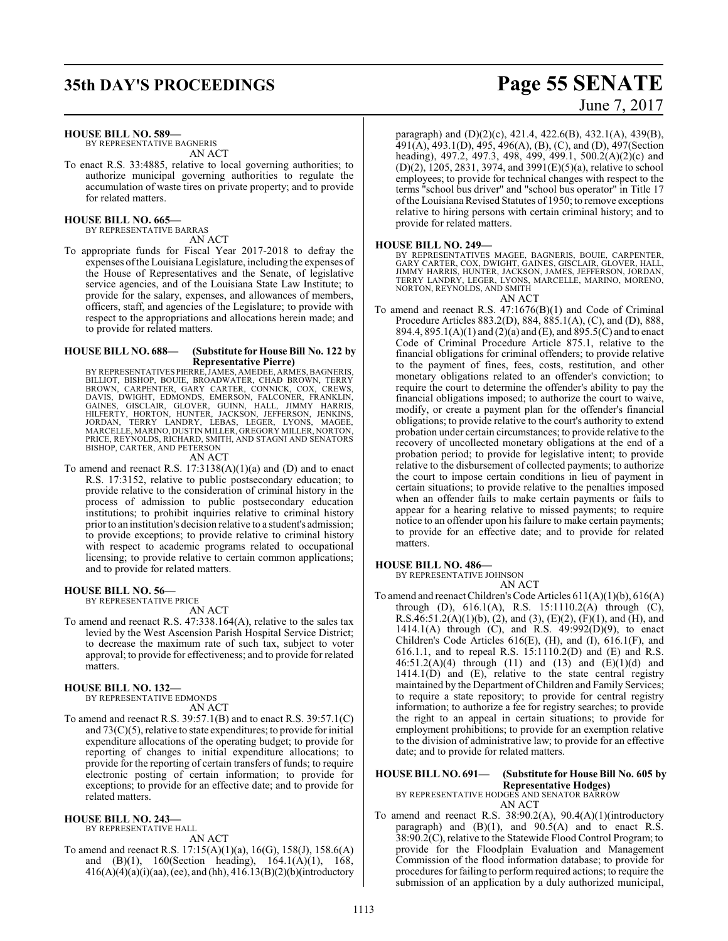# **35th DAY'S PROCEEDINGS Page 55 SENATE**

#### **HOUSE BILL NO. 589—**

BY REPRESENTATIVE BAGNERIS AN ACT

To enact R.S. 33:4885, relative to local governing authorities; to authorize municipal governing authorities to regulate the accumulation of waste tires on private property; and to provide for related matters.

#### **HOUSE BILL NO. 665—**

BY REPRESENTATIVE BARRAS AN ACT

To appropriate funds for Fiscal Year 2017-2018 to defray the expenses ofthe Louisiana Legislature, including the expenses of the House of Representatives and the Senate, of legislative service agencies, and of the Louisiana State Law Institute; to provide for the salary, expenses, and allowances of members, officers, staff, and agencies of the Legislature; to provide with respect to the appropriations and allocations herein made; and to provide for related matters.

#### **HOUSE BILL NO. 688— (Substitute for House Bill No. 122 by Representative Pierre)**

BY REPRESENTATIVES PIERRE, JAMES, AMEDEE, ARMES, BAGNERIS, BILLIOT, BISHOP, BOUIE, BROWN, TERRY<br>BROWN, CARPENTER, GARY CARTER, CHAD BROWN, TERRY<br>DAVIS, DWIGHT, EDMONDS, EMERSON, FALCONER, FRANKLIN,<br>GAINES, GISCLAIR, GLOVER PRICE, REYNOLDS, RICHARD, SMITH, AND STAGNI AND SENATORS BISHOP, CARTER, AND PETERSON

#### AN ACT

To amend and reenact R.S. 17:3138(A)(1)(a) and (D) and to enact R.S. 17:3152, relative to public postsecondary education; to provide relative to the consideration of criminal history in the process of admission to public postsecondary education institutions; to prohibit inquiries relative to criminal history prior to an institution's decision relative to a student's admission; to provide exceptions; to provide relative to criminal history with respect to academic programs related to occupational licensing; to provide relative to certain common applications; and to provide for related matters.

#### **HOUSE BILL NO. 56—**

BY REPRESENTATIVE PRICE AN ACT

To amend and reenact R.S. 47:338.164(A), relative to the sales tax levied by the West Ascension Parish Hospital Service District; to decrease the maximum rate of such tax, subject to voter approval; to provide for effectiveness; and to provide for related matters.

#### **HOUSE BILL NO. 132—**

BY REPRESENTATIVE EDMONDS AN ACT

To amend and reenact R.S. 39:57.1(B) and to enact R.S. 39:57.1(C) and 73(C)(5), relative to state expenditures; to provide for initial expenditure allocations of the operating budget; to provide for reporting of changes to initial expenditure allocations; to provide for the reporting of certain transfers of funds; to require electronic posting of certain information; to provide for exceptions; to provide for an effective date; and to provide for related matters.

#### **HOUSE BILL NO. 243—**

BY REPRESENTATIVE HALL

AN ACT To amend and reenact R.S. 17:15(A)(1)(a), 16(G), 158(J), 158.6(A) and (B)(1), 160(Section heading), 164.1(A)(1), 168, 416(A)(4)(a)(i)(aa), (ee), and (hh), 416.13(B)(2)(b)(introductory

paragraph) and (D)(2)(c), 421.4, 422.6(B), 432.1(A), 439(B), 491(A), 493.1(D), 495, 496(A), (B), (C), and (D), 497(Section heading), 497.2, 497.3, 498, 499, 499.1, 500.2(A)(2)(c) and (D)(2), 1205, 2831, 3974, and 3991(E)(5)(a), relative to school employees; to provide for technical changes with respect to the terms "school bus driver" and "school bus operator" in Title 17 ofthe Louisiana Revised Statutes of 1950; to remove exceptions relative to hiring persons with certain criminal history; and to provide for related matters.

#### **HOUSE BILL NO. 249—**

BY REPRESENTATIVES MAGEE, BAGNERIS, BOUIE, CARPENTER, GARY CARTER, COX, DWIGHT, GAINES, GISCLAIR, GLOVER, HALL,<br>JIMMY HARRIS, HUNTER, JACKSON, JAMES, JEFFERSON, JORDAN,<br>TERRY LANDRY, LEGER, LYONS, MARCELLE, MARINO, MORENO, NORTON, REYNOLDS, AND SMITH

#### AN ACT

To amend and reenact R.S. 47:1676(B)(1) and Code of Criminal Procedure Articles 883.2(D), 884, 885.1(A), (C), and (D), 888, 894.4, 895.1(A)(1) and (2)(a) and (E), and 895.5(C) and to enact Code of Criminal Procedure Article 875.1, relative to the financial obligations for criminal offenders; to provide relative to the payment of fines, fees, costs, restitution, and other monetary obligations related to an offender's conviction; to require the court to determine the offender's ability to pay the financial obligations imposed; to authorize the court to waive, modify, or create a payment plan for the offender's financial obligations; to provide relative to the court's authority to extend probation under certain circumstances; to provide relative to the recovery of uncollected monetary obligations at the end of a probation period; to provide for legislative intent; to provide relative to the disbursement of collected payments; to authorize the court to impose certain conditions in lieu of payment in certain situations; to provide relative to the penalties imposed when an offender fails to make certain payments or fails to appear for a hearing relative to missed payments; to require notice to an offender upon his failure to make certain payments; to provide for an effective date; and to provide for related matters.

#### **HOUSE BILL NO. 486—**

BY REPRESENTATIVE JOHNSON AN ACT

To amend and reenact Children's Code Articles 611(A)(1)(b), 616(A) through (D), 616.1(A), R.S. 15:1110.2(A) through (C), R.S.46:51.2(A)(1)(b), (2), and (3), (E)(2), (F)(1), and (H), and 1414.1(A) through (C), and R.S. 49:992(D)(9), to enact Children's Code Articles 616(E), (H), and (I), 616.1(F), and 616.1.1, and to repeal R.S. 15:1110.2(D) and (E) and R.S. 46:51.2(A)(4) through (11) and (13) and (E)(1)(d) and 1414.1(D) and (E), relative to the state central registry maintained by the Department ofChildren and Family Services; to require a state repository; to provide for central registry information; to authorize a fee for registry searches; to provide the right to an appeal in certain situations; to provide for employment prohibitions; to provide for an exemption relative to the division of administrative law; to provide for an effective date; and to provide for related matters.

#### **HOUSE BILL NO. 691— (Substitute for House Bill No. 605 by Representative Hodges)**

BY REPRESENTATIVE HODGES AND SENATOR BARROW AN ACT

To amend and reenact R.S. 38:90.2(A), 90.4(A)(1)(introductory paragraph) and  $(B)(1)$ , and  $90.5(A)$  and to enact R.S.  $38:90.2(C)$ , relative to the Statewide Flood Control Program; to provide for the Floodplain Evaluation and Management Commission of the flood information database; to provide for procedures for failing to perform required actions; to require the submission of an application by a duly authorized municipal,

# June 7, 2017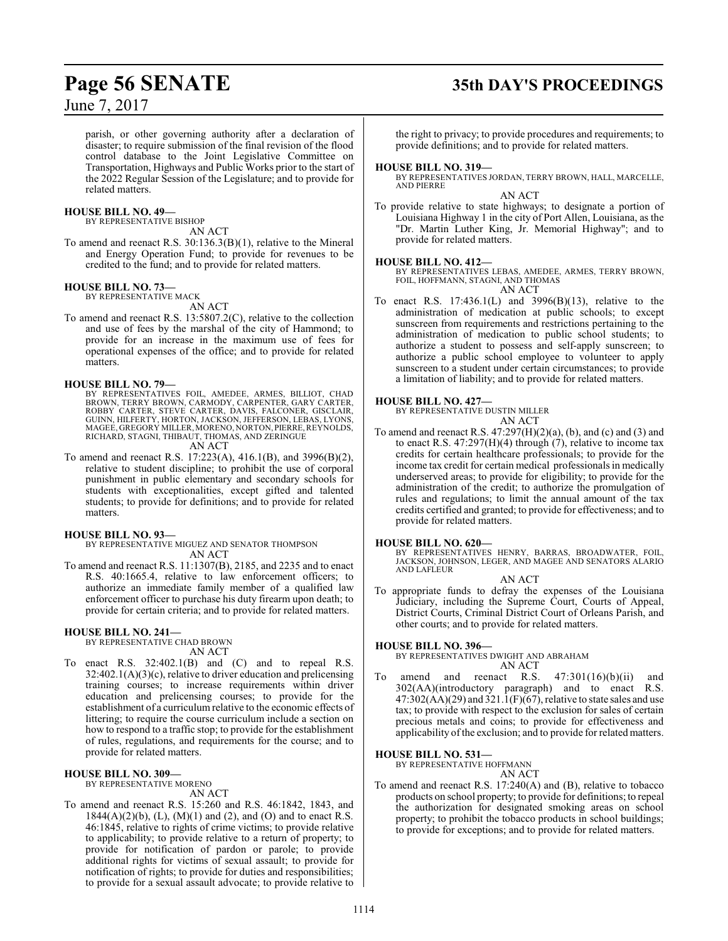parish, or other governing authority after a declaration of disaster; to require submission of the final revision of the flood control database to the Joint Legislative Committee on Transportation, Highways and Public Works prior to the start of the 2022 Regular Session of the Legislature; and to provide for related matters.

#### **HOUSE BILL NO. 49—**

BY REPRESENTATIVE BISHOP

AN ACT

To amend and reenact R.S. 30:136.3(B)(1), relative to the Mineral and Energy Operation Fund; to provide for revenues to be credited to the fund; and to provide for related matters.

#### **HOUSE BILL NO. 73—** BY REPRESENTATIVE MACK

AN ACT

To amend and reenact R.S. 13:5807.2(C), relative to the collection and use of fees by the marshal of the city of Hammond; to provide for an increase in the maximum use of fees for operational expenses of the office; and to provide for related matters.

#### **HOUSE BILL NO. 79—**

BY REPRESENTATIVES FOIL, AMEDEE, ARMES, BILLIOT, CHAD<br>BROWN, TERRY BROWN, CARMODY, CARPENTER, GARY CARTER,<br>ROBBY CARTER, STEVE CARTER, DAVIS, FALCONER, GISCLAIR,<br>GUINN, HILFERTY, HORTON, JACKSON, JEFFERSON, LEBAS, LYONS,<br>M RICHARD, STAGNI, THIBAUT, THOMAS, AND ZERINGUE

AN ACT

To amend and reenact R.S. 17:223(A), 416.1(B), and 3996(B)(2), relative to student discipline; to prohibit the use of corporal punishment in public elementary and secondary schools for students with exceptionalities, except gifted and talented students; to provide for definitions; and to provide for related matters.

#### **HOUSE BILL NO. 93—**

BY REPRESENTATIVE MIGUEZ AND SENATOR THOMPSON AN ACT

To amend and reenact R.S. 11:1307(B), 2185, and 2235 and to enact R.S. 40:1665.4, relative to law enforcement officers; to authorize an immediate family member of a qualified law enforcement officer to purchase his duty firearm upon death; to provide for certain criteria; and to provide for related matters.

#### **HOUSE BILL NO. 241—**

BY REPRESENTATIVE CHAD BROWN AN ACT

To enact R.S. 32:402.1(B) and (C) and to repeal R.S. 32:402.1(A)(3)(c), relative to driver education and prelicensing training courses; to increase requirements within driver education and prelicensing courses; to provide for the establishment of a curriculumrelative to the economic effects of littering; to require the course curriculum include a section on how to respond to a traffic stop; to provide for the establishment of rules, regulations, and requirements for the course; and to provide for related matters.

#### **HOUSE BILL NO. 309—**

BY REPRESENTATIVE MORENO AN ACT

To amend and reenact R.S. 15:260 and R.S. 46:1842, 1843, and 1844(A)(2)(b), (L), (M)(1) and (2), and (O) and to enact R.S. 46:1845, relative to rights of crime victims; to provide relative to applicability; to provide relative to a return of property; to provide for notification of pardon or parole; to provide additional rights for victims of sexual assault; to provide for notification of rights; to provide for duties and responsibilities; to provide for a sexual assault advocate; to provide relative to

# **Page 56 SENATE 35th DAY'S PROCEEDINGS**

the right to privacy; to provide procedures and requirements; to provide definitions; and to provide for related matters.

#### **HOUSE BILL NO. 319—**

BY REPRESENTATIVES JORDAN, TERRY BROWN, HALL, MARCELLE, AND PIERRE AN ACT

To provide relative to state highways; to designate a portion of Louisiana Highway 1 in the city of Port Allen, Louisiana, as the "Dr. Martin Luther King, Jr. Memorial Highway"; and to provide for related matters.

#### **HOUSE BILL NO. 412—**

BY REPRESENTATIVES LEBAS, AMEDEE, ARMES, TERRY BROWN, FOIL, HOFFMANN, STAGNI, AND THOMAS AN ACT

To enact R.S. 17:436.1(L) and 3996(B)(13), relative to the administration of medication at public schools; to except sunscreen from requirements and restrictions pertaining to the administration of medication to public school students; to authorize a student to possess and self-apply sunscreen; to authorize a public school employee to volunteer to apply sunscreen to a student under certain circumstances; to provide a limitation of liability; and to provide for related matters.

#### **HOUSE BILL NO. 427—**

BY REPRESENTATIVE DUSTIN MILLER AN ACT

To amend and reenact R.S.  $47:297(H)(2)(a)$ , (b), and (c) and (3) and to enact R.S. 47:297(H)(4) through (7), relative to income tax credits for certain healthcare professionals; to provide for the income tax credit for certain medical professionals in medically underserved areas; to provide for eligibility; to provide for the administration of the credit; to authorize the promulgation of rules and regulations; to limit the annual amount of the tax credits certified and granted; to provide for effectiveness; and to provide for related matters.

#### **HOUSE BILL NO. 620—**

BY REPRESENTATIVES HENRY, BARRAS, BROADWATER, FOIL, JACKSON, JOHNSON, LEGER, AND MAGEE AND SENATORS ALARIO AND LAFLEUR AN ACT

To appropriate funds to defray the expenses of the Louisiana Judiciary, including the Supreme Court, Courts of Appeal, District Courts, Criminal District Court of Orleans Parish, and other courts; and to provide for related matters.

#### **HOUSE BILL NO. 396—**

BY REPRESENTATIVES DWIGHT AND ABRAHAM AN ACT

To amend and reenact R.S. 47:301(16)(b)(ii) and 302(AA)(introductory paragraph) and to enact R.S.  $47:302(AA)(29)$  and  $321.1(F)(67)$ , relative to state sales and use tax; to provide with respect to the exclusion for sales of certain precious metals and coins; to provide for effectiveness and applicability of the exclusion; and to provide for related matters.

#### **HOUSE BILL NO. 531—**

BY REPRESENTATIVE HOFFMANN AN ACT

To amend and reenact R.S. 17:240(A) and (B), relative to tobacco products on school property; to provide for definitions; to repeal the authorization for designated smoking areas on school property; to prohibit the tobacco products in school buildings; to provide for exceptions; and to provide for related matters.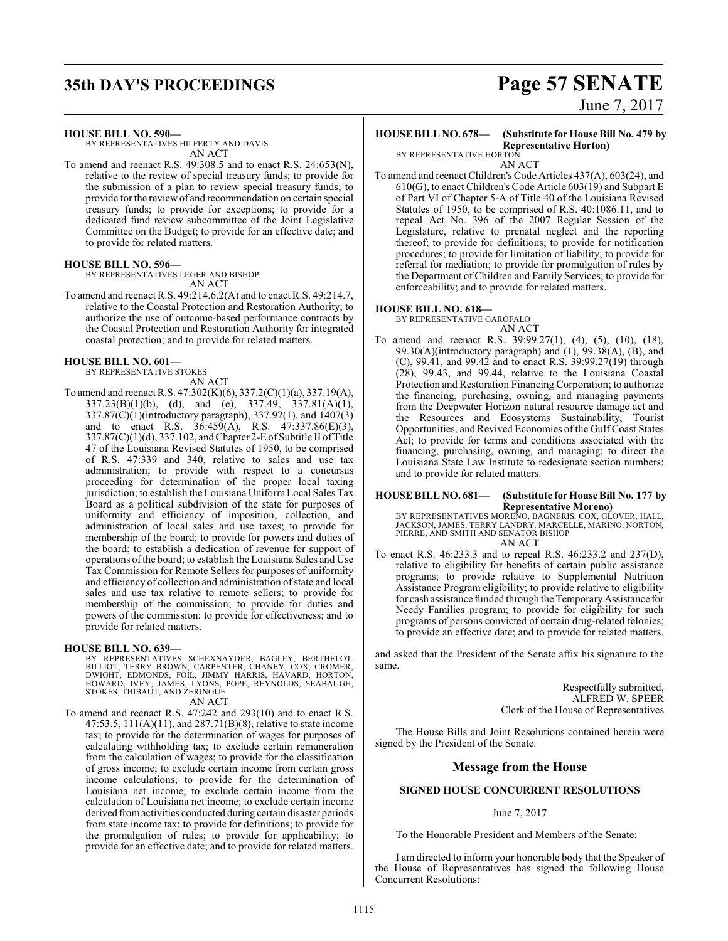# **35th DAY'S PROCEEDINGS Page 57 SENATE**

#### **HOUSE BILL NO. 590—**

BY REPRESENTATIVES HILFERTY AND DAVIS AN ACT

To amend and reenact R.S. 49:308.5 and to enact R.S. 24:653(N), relative to the review of special treasury funds; to provide for the submission of a plan to review special treasury funds; to provide forthe reviewof and recommendation on certain special treasury funds; to provide for exceptions; to provide for a dedicated fund review subcommittee of the Joint Legislative Committee on the Budget; to provide for an effective date; and to provide for related matters.

#### **HOUSE BILL NO. 596—**

BY REPRESENTATIVES LEGER AND BISHOP AN ACT

To amend and reenact R.S. 49:214.6.2(A) and to enact R.S. 49:214.7, relative to the Coastal Protection and Restoration Authority; to authorize the use of outcome-based performance contracts by the Coastal Protection and Restoration Authority for integrated coastal protection; and to provide for related matters.

#### **HOUSE BILL NO. 601—**

BY REPRESENTATIVE STOKES

AN ACT To amend and reenact R.S. 47:302(K)(6), 337.2(C)(1)(a), 337.19(A), 337.23(B)(1)(b), (d), and (e), 337.49, 337.81(A)(1), 337.87(C)(1)(introductory paragraph), 337.92(1), and 1407(3) and to enact R.S.  $36:459(A)$ , R.S.  $47:337.86(E)(3)$ ,  $337.87(C)(1)(d)$ ,  $337.102$ , and Chapter 2-E of Subtitle II of Title 47 of the Louisiana Revised Statutes of 1950, to be comprised of R.S. 47:339 and 340, relative to sales and use tax administration; to provide with respect to a concursus proceeding for determination of the proper local taxing jurisdiction; to establish the Louisiana Uniform Local Sales Tax Board as a political subdivision of the state for purposes of uniformity and efficiency of imposition, collection, and administration of local sales and use taxes; to provide for membership of the board; to provide for powers and duties of the board; to establish a dedication of revenue for support of operations ofthe board; to establish the Louisiana Sales and Use Tax Commission for Remote Sellers for purposes of uniformity and efficiency of collection and administration of state and local sales and use tax relative to remote sellers; to provide for membership of the commission; to provide for duties and powers of the commission; to provide for effectiveness; and to provide for related matters.

#### **HOUSE BILL NO. 639—**

BY REPRESENTATIVES SCHEXNAYDER, BAGLEY, BERTHELOT, BILLIOT, TERRY BROWN, CARPENTER, CHANEY, COX, CROMER,<br>DWIGHT, EDMONDS, FOIL, JIMMY HARRIS, HAVARD, HORTON,<br>HOWARD, IVEY, JAMES, LYONS, POPE, REYNOLDS, SEABAUGH, STOKES, THIBAUT, AND ZERINGUE

#### AN ACT

To amend and reenact R.S. 47:242 and 293(10) and to enact R.S. 47:53.5, 111(A)(11), and 287.71(B)(8), relative to state income tax; to provide for the determination of wages for purposes of calculating withholding tax; to exclude certain remuneration from the calculation of wages; to provide for the classification of gross income; to exclude certain income from certain gross income calculations; to provide for the determination of Louisiana net income; to exclude certain income from the calculation of Louisiana net income; to exclude certain income derived fromactivities conducted during certain disaster periods from state income tax; to provide for definitions; to provide for the promulgation of rules; to provide for applicability; to provide for an effective date; and to provide for related matters.

# June 7, 2017

## **HOUSE BILL NO. 678— (Substitute for House Bill No. 479 by**

**Representative Horton)** BY REPRESENTATIVE HORTON

AN ACT

To amend and reenact Children's Code Articles 437(A), 603(24), and 610(G), to enact Children's Code Article 603(19) and Subpart E of Part VI of Chapter 5-A of Title 40 of the Louisiana Revised Statutes of 1950, to be comprised of R.S. 40:1086.11, and to repeal Act No. 396 of the 2007 Regular Session of the Legislature, relative to prenatal neglect and the reporting thereof; to provide for definitions; to provide for notification procedures; to provide for limitation of liability; to provide for referral for mediation; to provide for promulgation of rules by the Department of Children and Family Services; to provide for enforceability; and to provide for related matters.

#### **HOUSE BILL NO. 618—**

BY REPRESENTATIVE GAROFALO AN ACT

To amend and reenact R.S. 39:99.27(1), (4), (5), (10), (18), 99.30(A)(introductory paragraph) and (1), 99.38(A), (B), and (C), 99.41, and 99.42 and to enact R.S. 39:99.27(19) through (28), 99.43, and 99.44, relative to the Louisiana Coastal Protection and Restoration Financing Corporation; to authorize the financing, purchasing, owning, and managing payments from the Deepwater Horizon natural resource damage act and the Resources and Ecosystems Sustainability, Tourist Opportunities, and Revived Economies of the Gulf Coast States Act; to provide for terms and conditions associated with the financing, purchasing, owning, and managing; to direct the Louisiana State Law Institute to redesignate section numbers; and to provide for related matters.

#### **HOUSE BILL NO. 681— (Substitute for House Bill No. 177 by Representative Moreno)**

BY REPRESENTATIVES MORENO, BAGNERIS, COX, GLOVER, HALL, JACKSON, JAMES, TERRY LANDRY, MARCELLE, MARINO, NORTON, PIERRE, AND SMITH AND SENATOR BISHOP AN ACT

To enact R.S. 46:233.3 and to repeal R.S. 46:233.2 and 237(D), relative to eligibility for benefits of certain public assistance programs; to provide relative to Supplemental Nutrition Assistance Program eligibility; to provide relative to eligibility for cash assistance funded through the Temporary Assistance for Needy Families program; to provide for eligibility for such programs of persons convicted of certain drug-related felonies; to provide an effective date; and to provide for related matters.

and asked that the President of the Senate affix his signature to the same.

> Respectfully submitted, ALFRED W. SPEER Clerk of the House of Representatives

The House Bills and Joint Resolutions contained herein were signed by the President of the Senate.

#### **Message from the House**

#### **SIGNED HOUSE CONCURRENT RESOLUTIONS**

#### June 7, 2017

To the Honorable President and Members of the Senate:

I am directed to inform your honorable body that the Speaker of the House of Representatives has signed the following House Concurrent Resolutions: